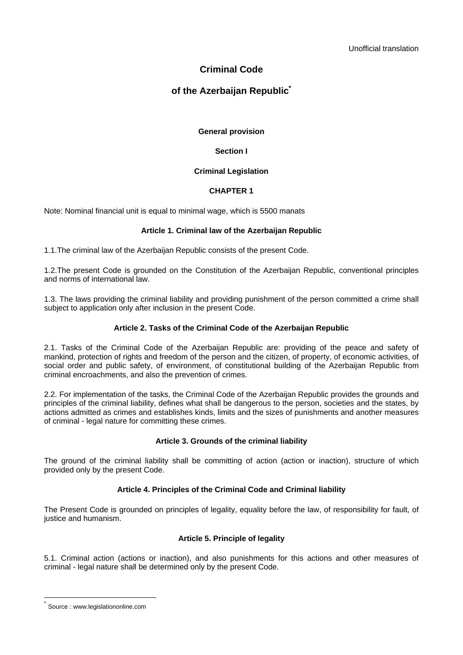# **Criminal Code**

# **of the Azerbaijan Republic\***

# **General provision**

# **Section I**

## **Criminal Legislation**

## **CHAPTER 1**

Note: Nominal financial unit is equal to minimal wage, which is 5500 manats

# **Article 1. Criminal law of the Azerbaijan Republic**

1.1.The criminal law of the Azerbaijan Republic consists of the present Code.

1.2.The present Code is grounded on the Constitution of the Azerbaijan Republic, conventional principles and norms of international law.

1.3. The laws providing the criminal liability and providing punishment of the person committed a crime shall subject to application only after inclusion in the present Code.

## **Article 2. Tasks of the Criminal Code of the Azerbaijan Republic**

2.1. Tasks of the Criminal Code of the Azerbaijan Republic are: providing of the peace and safety of mankind, protection of rights and freedom of the person and the citizen, of property, of economic activities, of social order and public safety, of environment, of constitutional building of the Azerbaijan Republic from criminal encroachments, and also the prevention of crimes.

2.2. For implementation of the tasks, the Criminal Code of the Azerbaijan Republic provides the grounds and principles of the criminal liability, defines what shall be dangerous to the person, societies and the states, by actions admitted as crimes and establishes kinds, limits and the sizes of punishments and another measures of criminal - legal nature for committing these crimes.

### **Article 3. Grounds of the criminal liability**

The ground of the criminal liability shall be committing of action (action or inaction), structure of which provided only by the present Code.

# **Article 4. Principles of the Criminal Code and Criminal liability**

The Present Code is grounded on principles of legality, equality before the law, of responsibility for fault, of justice and humanism.

### **Article 5. Principle of legality**

5.1. Criminal action (actions or inaction), and also punishments for this actions and other measures of criminal - legal nature shall be determined only by the present Code.

 $\overline{a}$ 

Source : www.legislationonline.com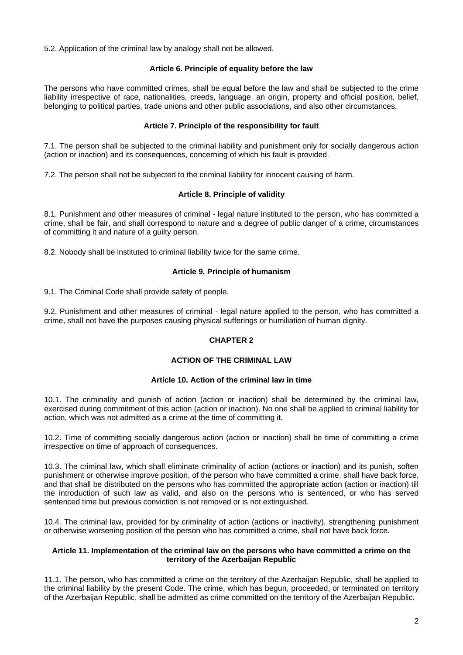5.2. Application of the criminal law by analogy shall not be allowed.

# **Article 6. Principle of equality before the law**

The persons who have committed crimes, shall be equal before the law and shall be subjected to the crime liability irrespective of race, nationalities, creeds, language, an origin, property and official position, belief, belonging to political parties, trade unions and other public associations, and also other circumstances.

## **Article 7. Principle of the responsibility for fault**

7.1. The person shall be subjected to the criminal liability and punishment only for socially dangerous action (action or inaction) and its consequences, concerning of which his fault is provided.

7.2. The person shall not be subjected to the criminal liability for innocent causing of harm.

## **Article 8. Principle of validity**

8.1. Punishment and other measures of criminal - legal nature instituted to the person, who has committed a crime, shall be fair, and shall correspond to nature and a degree of public danger of a crime, circumstances of committing it and nature of a guilty person.

8.2. Nobody shall be instituted to criminal liability twice for the same crime.

## **Article 9. Principle of humanism**

9.1. The Criminal Code shall provide safety of people.

9.2. Punishment and other measures of criminal - legal nature applied to the person, who has committed a crime, shall not have the purposes causing physical sufferings or humiliation of human dignity.

### **CHAPTER 2**

# **ACTION OF THE CRIMINAL LAW**

### **Article 10. Action of the criminal law in time**

10.1. The criminality and punish of action (action or inaction) shall be determined by the criminal law, exercised during commitment of this action (action or inaction). No one shall be applied to criminal liability for action, which was not admitted as a crime at the time of committing it.

10.2. Time of committing socially dangerous action (action or inaction) shall be time of committing a crime irrespective on time of approach of consequences.

10.3. The criminal law, which shall eliminate criminality of action (actions or inaction) and its punish, soften punishment or otherwise improve position, of the person who have committed a crime, shall have back force, and that shall be distributed on the persons who has committed the appropriate action (action or inaction) till the introduction of such law as valid, and also on the persons who is sentenced, or who has served sentenced time but previous conviction is not removed or is not extinguished.

10.4. The criminal law, provided for by criminality of action (actions or inactivity), strengthening punishment or otherwise worsening position of the person who has committed a crime, shall not have back force.

# **Article 11. Implementation of the criminal law on the persons who have committed a crime on the territory of the Azerbaijan Republic**

11.1. The person, who has committed a crime on the territory of the Azerbaijan Republic, shall be applied to the criminal liability by the present Code. The crime, which has begun, proceeded, or terminated on territory of the Azerbaijan Republic, shall be admitted as crime committed on the territory of the Azerbaijan Republic.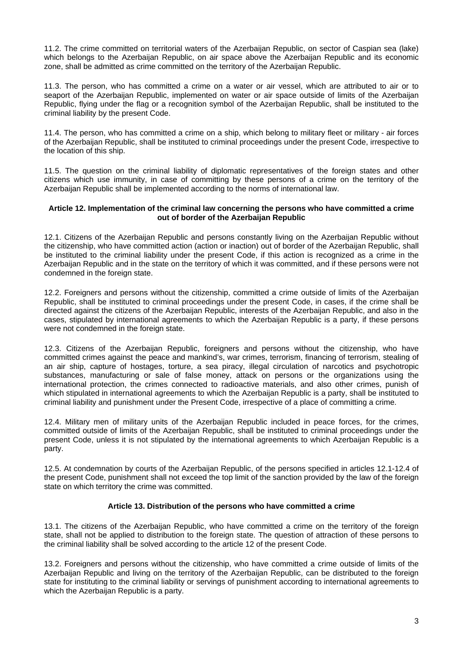11.2. The crime committed on territorial waters of the Azerbaijan Republic, on sector of Caspian sea (lake) which belongs to the Azerbaijan Republic, on air space above the Azerbaijan Republic and its economic zone, shall be admitted as crime committed on the territory of the Azerbaijan Republic.

11.3. The person, who has committed a crime on a water or air vessel, which are attributed to air or to seaport of the Azerbaijan Republic, implemented on water or air space outside of limits of the Azerbaijan Republic, flying under the flag or a recognition symbol of the Azerbaijan Republic, shall be instituted to the criminal liability by the present Code.

11.4. The person, who has committed a crime on a ship, which belong to military fleet or military - air forces of the Azerbaijan Republic, shall be instituted to criminal proceedings under the present Code, irrespective to the location of this ship.

11.5. The question on the criminal liability of diplomatic representatives of the foreign states and other citizens which use immunity, in case of committing by these persons of a crime on the territory of the Azerbaijan Republic shall be implemented according to the norms of international law.

## **Article 12. Implementation of the criminal law concerning the persons who have committed a crime out of border of the Azerbaijan Republic**

12.1. Citizens of the Azerbaijan Republic and persons constantly living on the Azerbaijan Republic without the citizenship, who have committed action (action or inaction) out of border of the Azerbaijan Republic, shall be instituted to the criminal liability under the present Code, if this action is recognized as a crime in the Azerbaijan Republic and in the state on the territory of which it was committed, and if these persons were not condemned in the foreign state.

12.2. Foreigners and persons without the citizenship, committed a crime outside of limits of the Azerbaijan Republic, shall be instituted to criminal proceedings under the present Code, in cases, if the crime shall be directed against the citizens of the Azerbaijan Republic, interests of the Azerbaijan Republic, and also in the cases, stipulated by international agreements to which the Azerbaijan Republic is a party, if these persons were not condemned in the foreign state.

12.3. Citizens of the Azerbaijan Republic, foreigners and persons without the citizenship, who have committed crimes against the peace and mankind's, war crimes, terrorism, financing of terrorism, stealing of an air ship, capture of hostages, torture, a sea piracy, illegal circulation of narcotics and psychotropic substances, manufacturing or sale of false money, attack on persons or the organizations using the international protection, the crimes connected to radioactive materials, and also other crimes, punish of which stipulated in international agreements to which the Azerbaijan Republic is a party, shall be instituted to criminal liability and punishment under the Present Code, irrespective of a place of committing a crime.

12.4. Military men of military units of the Azerbaijan Republic included in peace forces, for the crimes, committed outside of limits of the Azerbaijan Republic, shall be instituted to criminal proceedings under the present Code, unless it is not stipulated by the international agreements to which Azerbaijan Republic is a party.

12.5. At condemnation by courts of the Azerbaijan Republic, of the persons specified in articles 12.1-12.4 of the present Code, punishment shall not exceed the top limit of the sanction provided by the law of the foreign state on which territory the crime was committed.

# **Article 13. Distribution of the persons who have committed a crime**

13.1. The citizens of the Azerbaijan Republic, who have committed a crime on the territory of the foreign state, shall not be applied to distribution to the foreign state. The question of attraction of these persons to the criminal liability shall be solved according to the article 12 of the present Code.

13.2. Foreigners and persons without the citizenship, who have committed a crime outside of limits of the Azerbaijan Republic and living on the territory of the Azerbaijan Republic, can be distributed to the foreign state for instituting to the criminal liability or servings of punishment according to international agreements to which the Azerbaijan Republic is a party.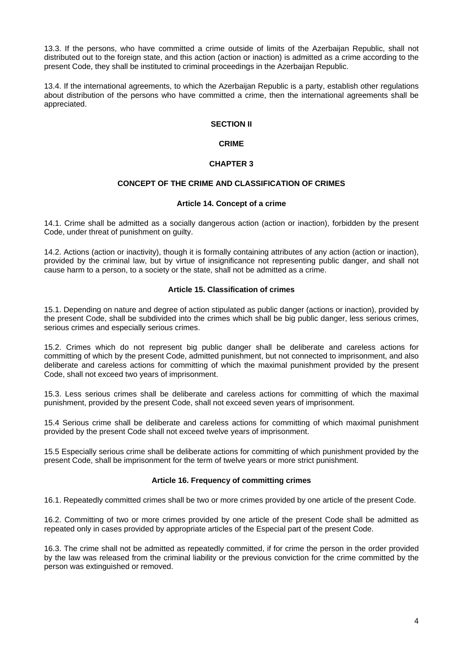13.3. If the persons, who have committed a crime outside of limits of the Azerbaijan Republic, shall not distributed out to the foreign state, and this action (action or inaction) is admitted as a crime according to the present Code, they shall be instituted to criminal proceedings in the Azerbaijan Republic.

13.4. If the international agreements, to which the Azerbaijan Republic is a party, establish other regulations about distribution of the persons who have committed a crime, then the international agreements shall be appreciated.

# **SECTION II**

# **CRIME**

# **CHAPTER 3**

# **CONCEPT OF THE CRIME AND CLASSIFICATION OF CRIMES**

## **Article 14. Concept of a crime**

14.1. Crime shall be admitted as a socially dangerous action (action or inaction), forbidden by the present Code, under threat of punishment on guilty.

14.2. Actions (action or inactivity), though it is formally containing attributes of any action (action or inaction), provided by the criminal law, but by virtue of insignificance not representing public danger, and shall not cause harm to a person, to a society or the state, shall not be admitted as a crime.

## **Article 15. Classification of crimes**

15.1. Depending on nature and degree of action stipulated as public danger (actions or inaction), provided by the present Code, shall be subdivided into the crimes which shall be big public danger, less serious crimes, serious crimes and especially serious crimes.

15.2. Crimes which do not represent big public danger shall be deliberate and careless actions for committing of which by the present Code, admitted punishment, but not connected to imprisonment, and also deliberate and careless actions for committing of which the maximal punishment provided by the present Code, shall not exceed two years of imprisonment.

15.3. Less serious crimes shall be deliberate and careless actions for committing of which the maximal punishment, provided by the present Code, shall not exceed seven years of imprisonment.

15.4 Serious crime shall be deliberate and careless actions for committing of which maximal punishment provided by the present Code shall not exceed twelve years of imprisonment.

15.5 Especially serious crime shall be deliberate actions for committing of which punishment provided by the present Code, shall be imprisonment for the term of twelve years or more strict punishment.

# **Article 16. Frequency of committing crimes**

16.1. Repeatedly committed crimes shall be two or more crimes provided by one article of the present Code.

16.2. Committing of two or more crimes provided by one article of the present Code shall be admitted as repeated only in cases provided by appropriate articles of the Especial part of the present Code.

16.3. The crime shall not be admitted as repeatedly committed, if for crime the person in the order provided by the law was released from the criminal liability or the previous conviction for the crime committed by the person was extinguished or removed.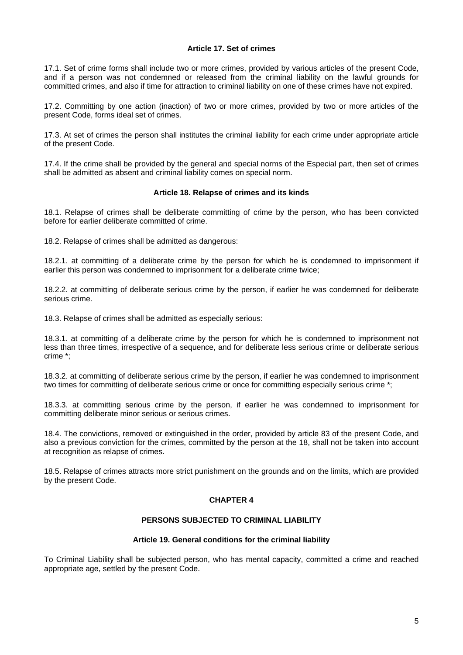## **Article 17. Set of crimes**

17.1. Set of crime forms shall include two or more crimes, provided by various articles of the present Code, and if a person was not condemned or released from the criminal liability on the lawful grounds for committed crimes, and also if time for attraction to criminal liability on one of these crimes have not expired.

17.2. Committing by one action (inaction) of two or more crimes, provided by two or more articles of the present Code, forms ideal set of crimes.

17.3. At set of crimes the person shall institutes the criminal liability for each crime under appropriate article of the present Code.

17.4. If the crime shall be provided by the general and special norms of the Especial part, then set of crimes shall be admitted as absent and criminal liability comes on special norm.

## **Article 18. Relapse of crimes and its kinds**

18.1. Relapse of crimes shall be deliberate committing of crime by the person, who has been convicted before for earlier deliberate committed of crime.

18.2. Relapse of crimes shall be admitted as dangerous:

18.2.1. at committing of a deliberate crime by the person for which he is condemned to imprisonment if earlier this person was condemned to imprisonment for a deliberate crime twice;

18.2.2. at committing of deliberate serious crime by the person, if earlier he was condemned for deliberate serious crime.

18.3. Relapse of crimes shall be admitted as especially serious:

18.3.1. at committing of a deliberate crime by the person for which he is condemned to imprisonment not less than three times, irrespective of a sequence, and for deliberate less serious crime or deliberate serious crime \*;

18.3.2. at committing of deliberate serious crime by the person, if earlier he was condemned to imprisonment two times for committing of deliberate serious crime or once for committing especially serious crime \*;

18.3.3. at committing serious crime by the person, if earlier he was condemned to imprisonment for committing deliberate minor serious or serious crimes.

18.4. The convictions, removed or extinguished in the order, provided by article 83 of the present Code, and also a previous conviction for the crimes, committed by the person at the 18, shall not be taken into account at recognition as relapse of crimes.

18.5. Relapse of crimes attracts more strict punishment on the grounds and on the limits, which are provided by the present Code.

# **CHAPTER 4**

# **PERSONS SUBJECTED TO CRIMINAL LIABILITY**

### **Article 19. General conditions for the criminal liability**

To Criminal Liability shall be subjected person, who has mental capacity, committed a crime and reached appropriate age, settled by the present Code.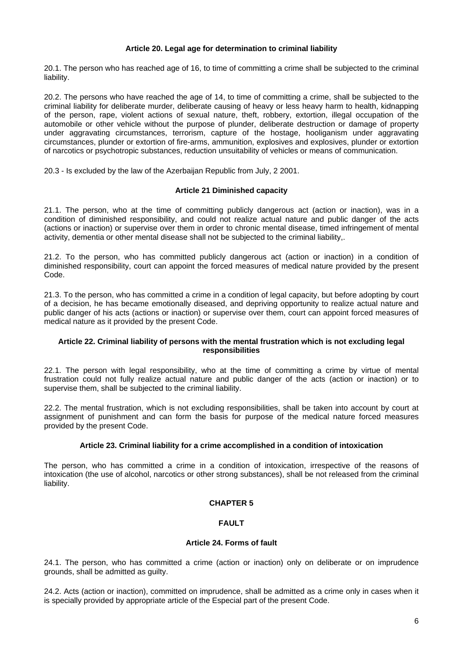# **Article 20. Legal age for determination to criminal liability**

20.1. The person who has reached age of 16, to time of committing a crime shall be subjected to the criminal liability.

20.2. The persons who have reached the age of 14, to time of committing a crime, shall be subjected to the criminal liability for deliberate murder, deliberate causing of heavy or less heavy harm to health, kidnapping of the person, rape, violent actions of sexual nature, theft, robbery, extortion, illegal occupation of the automobile or other vehicle without the purpose of plunder, deliberate destruction or damage of property under aggravating circumstances, terrorism, capture of the hostage, hooliganism under aggravating circumstances, plunder or extortion of fire-arms, ammunition, explosives and explosives, plunder or extortion of narcotics or psychotropic substances, reduction unsuitability of vehicles or means of communication.

20.3 - Is excluded by the law of the Azerbaijan Republic from July, 2 2001.

## **Article 21 Diminished capacity**

21.1. The person, who at the time of committing publicly dangerous act (action or inaction), was in a condition of diminished responsibility, and could not realize actual nature and public danger of the acts (actions or inaction) or supervise over them in order to chronic mental disease, timed infringement of mental activity, dementia or other mental disease shall not be subjected to the criminal liability,.

21.2. To the person, who has committed publicly dangerous act (action or inaction) in a condition of diminished responsibility, court can appoint the forced measures of medical nature provided by the present Code.

21.3. To the person, who has committed a crime in a condition of legal capacity, but before adopting by court of a decision, he has became emotionally diseased, and depriving opportunity to realize actual nature and public danger of his acts (actions or inaction) or supervise over them, court can appoint forced measures of medical nature as it provided by the present Code.

### **Article 22. Criminal liability of persons with the mental frustration which is not excluding legal responsibilities**

22.1. The person with legal responsibility, who at the time of committing a crime by virtue of mental frustration could not fully realize actual nature and public danger of the acts (action or inaction) or to supervise them, shall be subjected to the criminal liability.

22.2. The mental frustration, which is not excluding responsibilities, shall be taken into account by court at assignment of punishment and can form the basis for purpose of the medical nature forced measures provided by the present Code.

# **Article 23. Criminal liability for a crime accomplished in a condition of intoxication**

The person, who has committed a crime in a condition of intoxication, irrespective of the reasons of intoxication (the use of alcohol, narcotics or other strong substances), shall be not released from the criminal liability.

### **CHAPTER 5**

# **FAULT**

## **Article 24. Forms of fault**

24.1. The person, who has committed a crime (action or inaction) only on deliberate or on imprudence grounds, shall be admitted as guilty.

24.2. Acts (action or inaction), committed on imprudence, shall be admitted as a crime only in cases when it is specially provided by appropriate article of the Especial part of the present Code.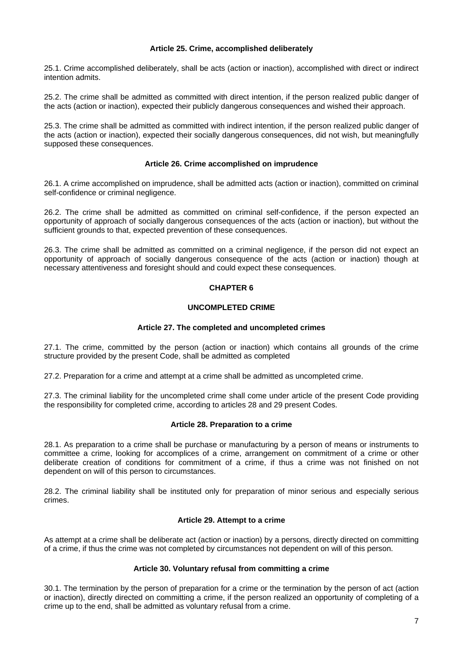## **Article 25. Crime, accomplished deliberately**

25.1. Crime accomplished deliberately, shall be acts (action or inaction), accomplished with direct or indirect intention admits.

25.2. The crime shall be admitted as committed with direct intention, if the person realized public danger of the acts (action or inaction), expected their publicly dangerous consequences and wished their approach.

25.3. The crime shall be admitted as committed with indirect intention, if the person realized public danger of the acts (action or inaction), expected their socially dangerous consequences, did not wish, but meaningfully supposed these consequences.

## **Article 26. Crime accomplished on imprudence**

26.1. A crime accomplished on imprudence, shall be admitted acts (action or inaction), committed on criminal self-confidence or criminal negligence.

26.2. The crime shall be admitted as committed on criminal self-confidence, if the person expected an opportunity of approach of socially dangerous consequences of the acts (action or inaction), but without the sufficient grounds to that, expected prevention of these consequences.

26.3. The crime shall be admitted as committed on a criminal negligence, if the person did not expect an opportunity of approach of socially dangerous consequence of the acts (action or inaction) though at necessary attentiveness and foresight should and could expect these consequences.

# **CHAPTER 6**

# **UNCOMPLETED CRIME**

# **Article 27. The completed and uncompleted crimes**

27.1. The crime, committed by the person (action or inaction) which contains all grounds of the crime structure provided by the present Code, shall be admitted as completed

27.2. Preparation for a crime and attempt at a crime shall be admitted as uncompleted crime.

27.3. The criminal liability for the uncompleted crime shall come under article of the present Code providing the responsibility for completed crime, according to articles 28 and 29 present Codes.

### **Article 28. Preparation to a crime**

28.1. As preparation to a crime shall be purchase or manufacturing by a person of means or instruments to committee a crime, looking for accomplices of a crime, arrangement on commitment of a crime or other deliberate creation of conditions for commitment of a crime, if thus a crime was not finished on not dependent on will of this person to circumstances.

28.2. The criminal liability shall be instituted only for preparation of minor serious and especially serious crimes.

# **Article 29. Attempt to a crime**

As attempt at a crime shall be deliberate act (action or inaction) by a persons, directly directed on committing of a crime, if thus the crime was not completed by circumstances not dependent on will of this person.

# **Article 30. Voluntary refusal from committing a crime**

30.1. The termination by the person of preparation for a crime or the termination by the person of act (action or inaction), directly directed on committing a crime, if the person realized an opportunity of completing of a crime up to the end, shall be admitted as voluntary refusal from a crime.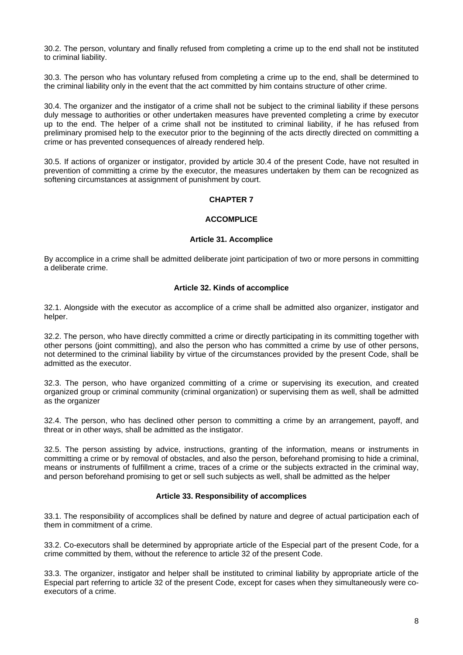30.2. The person, voluntary and finally refused from completing a crime up to the end shall not be instituted to criminal liability.

30.3. The person who has voluntary refused from completing a crime up to the end, shall be determined to the criminal liability only in the event that the act committed by him contains structure of other crime.

30.4. The organizer and the instigator of a crime shall not be subject to the criminal liability if these persons duly message to authorities or other undertaken measures have prevented completing a crime by executor up to the end. The helper of a crime shall not be instituted to criminal liability, if he has refused from preliminary promised help to the executor prior to the beginning of the acts directly directed on committing a crime or has prevented consequences of already rendered help.

30.5. If actions of organizer or instigator, provided by article 30.4 of the present Code, have not resulted in prevention of committing a crime by the executor, the measures undertaken by them can be recognized as softening circumstances at assignment of punishment by court.

# **CHAPTER 7**

# **ACCOMPLICE**

## **Article 31. Accomplice**

By accomplice in a crime shall be admitted deliberate joint participation of two or more persons in committing a deliberate crime.

## **Article 32. Kinds of accomplice**

32.1. Alongside with the executor as accomplice of a crime shall be admitted also organizer, instigator and helper.

32.2. The person, who have directly committed a crime or directly participating in its committing together with other persons (joint committing), and also the person who has committed a crime by use of other persons, not determined to the criminal liability by virtue of the circumstances provided by the present Code, shall be admitted as the executor.

32.3. The person, who have organized committing of a crime or supervising its execution, and created organized group or criminal community (criminal organization) or supervising them as well, shall be admitted as the organizer

32.4. The person, who has declined other person to committing a crime by an arrangement, payoff, and threat or in other ways, shall be admitted as the instigator.

32.5. The person assisting by advice, instructions, granting of the information, means or instruments in committing a crime or by removal of obstacles, and also the person, beforehand promising to hide a criminal, means or instruments of fulfillment a crime, traces of a crime or the subjects extracted in the criminal way, and person beforehand promising to get or sell such subjects as well, shall be admitted as the helper

### **Article 33. Responsibility of accomplices**

33.1. The responsibility of accomplices shall be defined by nature and degree of actual participation each of them in commitment of a crime.

33.2. Co-executors shall be determined by appropriate article of the Especial part of the present Code, for a crime committed by them, without the reference to article 32 of the present Code.

33.3. The organizer, instigator and helper shall be instituted to criminal liability by appropriate article of the Especial part referring to article 32 of the present Code, except for cases when they simultaneously were coexecutors of a crime.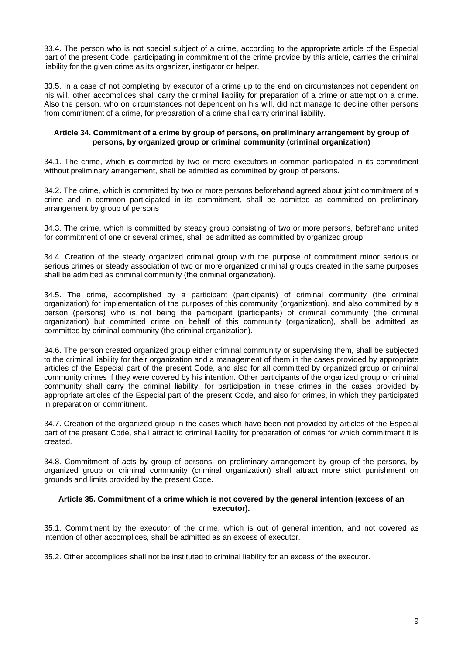33.4. The person who is not special subject of a crime, according to the appropriate article of the Especial part of the present Code, participating in commitment of the crime provide by this article, carries the criminal liability for the given crime as its organizer, instigator or helper.

33.5. In a case of not completing by executor of a crime up to the end on circumstances not dependent on his will, other accomplices shall carry the criminal liability for preparation of a crime or attempt on a crime. Also the person, who on circumstances not dependent on his will, did not manage to decline other persons from commitment of a crime, for preparation of a crime shall carry criminal liability.

## **Article 34. Commitment of a crime by group of persons, on preliminary arrangement by group of persons, by organized group or criminal community (criminal organization)**

34.1. The crime, which is committed by two or more executors in common participated in its commitment without preliminary arrangement, shall be admitted as committed by group of persons.

34.2. The crime, which is committed by two or more persons beforehand agreed about joint commitment of a crime and in common participated in its commitment, shall be admitted as committed on preliminary arrangement by group of persons

34.3. The crime, which is committed by steady group consisting of two or more persons, beforehand united for commitment of one or several crimes, shall be admitted as committed by organized group

34.4. Creation of the steady organized criminal group with the purpose of commitment minor serious or serious crimes or steady association of two or more organized criminal groups created in the same purposes shall be admitted as criminal community (the criminal organization).

34.5. The crime, accomplished by a participant (participants) of criminal community (the criminal organization) for implementation of the purposes of this community (organization), and also committed by a person (persons) who is not being the participant (participants) of criminal community (the criminal organization) but committed crime on behalf of this community (organization), shall be admitted as committed by criminal community (the criminal organization).

34.6. The person created organized group either criminal community or supervising them, shall be subjected to the criminal liability for their organization and a management of them in the cases provided by appropriate articles of the Especial part of the present Code, and also for all committed by organized group or criminal community crimes if they were covered by his intention. Other participants of the organized group or criminal community shall carry the criminal liability, for participation in these crimes in the cases provided by appropriate articles of the Especial part of the present Code, and also for crimes, in which they participated in preparation or commitment.

34.7. Creation of the organized group in the cases which have been not provided by articles of the Especial part of the present Code, shall attract to criminal liability for preparation of crimes for which commitment it is created.

34.8. Commitment of acts by group of persons, on preliminary arrangement by group of the persons, by organized group or criminal community (criminal organization) shall attract more strict punishment on grounds and limits provided by the present Code.

### **Article 35. Commitment of a crime which is not covered by the general intention (excess of an executor).**

35.1. Commitment by the executor of the crime, which is out of general intention, and not covered as intention of other accomplices, shall be admitted as an excess of executor.

35.2. Other accomplices shall not be instituted to criminal liability for an excess of the executor.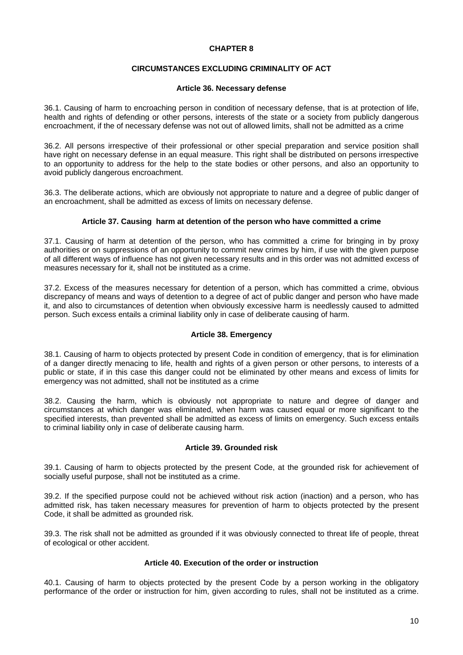## **CHAPTER 8**

## **CIRCUMSTANCES EXCLUDING CRIMINALITY OF ACT**

### **Article 36. Necessary defense**

36.1. Causing of harm to encroaching person in condition of necessary defense, that is at protection of life, health and rights of defending or other persons, interests of the state or a society from publicly dangerous encroachment, if the of necessary defense was not out of allowed limits, shall not be admitted as a crime

36.2. All persons irrespective of their professional or other special preparation and service position shall have right on necessary defense in an equal measure. This right shall be distributed on persons irrespective to an opportunity to address for the help to the state bodies or other persons, and also an opportunity to avoid publicly dangerous encroachment.

36.3. The deliberate actions, which are obviously not appropriate to nature and a degree of public danger of an encroachment, shall be admitted as excess of limits on necessary defense.

## **Article 37. Causing harm at detention of the person who have committed a crime**

37.1. Causing of harm at detention of the person, who has committed a crime for bringing in by proxy authorities or on suppressions of an opportunity to commit new crimes by him, if use with the given purpose of all different ways of influence has not given necessary results and in this order was not admitted excess of measures necessary for it, shall not be instituted as a crime.

37.2. Excess of the measures necessary for detention of a person, which has committed a crime, obvious discrepancy of means and ways of detention to a degree of act of public danger and person who have made it, and also to circumstances of detention when obviously excessive harm is needlessly caused to admitted person. Such excess entails a criminal liability only in case of deliberate causing of harm.

# **Article 38. Emergency**

38.1. Causing of harm to objects protected by present Code in condition of emergency, that is for elimination of a danger directly menacing to life, health and rights of a given person or other persons, to interests of a public or state, if in this case this danger could not be eliminated by other means and excess of limits for emergency was not admitted, shall not be instituted as a crime

38.2. Causing the harm, which is obviously not appropriate to nature and degree of danger and circumstances at which danger was eliminated, when harm was caused equal or more significant to the specified interests, than prevented shall be admitted as excess of limits on emergency. Such excess entails to criminal liability only in case of deliberate causing harm.

### **Article 39. Grounded risk**

39.1. Causing of harm to objects protected by the present Code, at the grounded risk for achievement of socially useful purpose, shall not be instituted as a crime.

39.2. If the specified purpose could not be achieved without risk action (inaction) and a person, who has admitted risk, has taken necessary measures for prevention of harm to objects protected by the present Code, it shall be admitted as grounded risk.

39.3. The risk shall not be admitted as grounded if it was obviously connected to threat life of people, threat of ecological or other accident.

## **Article 40. Execution of the order or instruction**

40.1. Causing of harm to objects protected by the present Code by a person working in the obligatory performance of the order or instruction for him, given according to rules, shall not be instituted as a crime.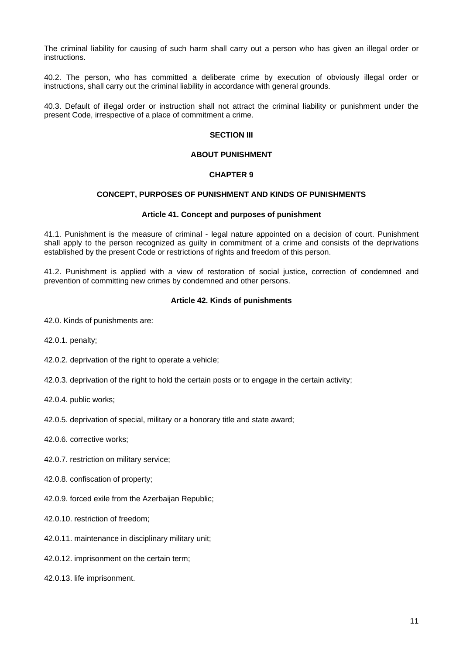The criminal liability for causing of such harm shall carry out a person who has given an illegal order or instructions.

40.2. The person, who has committed a deliberate crime by execution of obviously illegal order or instructions, shall carry out the criminal liability in accordance with general grounds.

40.3. Default of illegal order or instruction shall not attract the criminal liability or punishment under the present Code, irrespective of a place of commitment a crime.

### **SECTION III**

## **ABOUT PUNISHMENT**

## **CHAPTER 9**

## **CONCEPT, PURPOSES OF PUNISHMENT AND KINDS OF PUNISHMENTS**

### **Article 41. Concept and purposes of punishment**

41.1. Punishment is the measure of criminal - legal nature appointed on a decision of court. Punishment shall apply to the person recognized as guilty in commitment of a crime and consists of the deprivations established by the present Code or restrictions of rights and freedom of this person.

41.2. Punishment is applied with a view of restoration of social justice, correction of condemned and prevention of committing new crimes by condemned and other persons.

## **Article 42. Kinds of punishments**

42.0. Kinds of punishments are:

42.0.1. penalty;

42.0.2. deprivation of the right to operate a vehicle;

42.0.3. deprivation of the right to hold the certain posts or to engage in the certain activity;

42.0.4. public works;

42.0.5. deprivation of special, military or a honorary title and state award;

42.0.6. corrective works;

42.0.7. restriction on military service;

42.0.8. confiscation of property;

42.0.9. forced exile from the Azerbaijan Republic;

42.0.10. restriction of freedom;

42.0.11. maintenance in disciplinary military unit;

42.0.12. imprisonment on the certain term;

42.0.13. life imprisonment.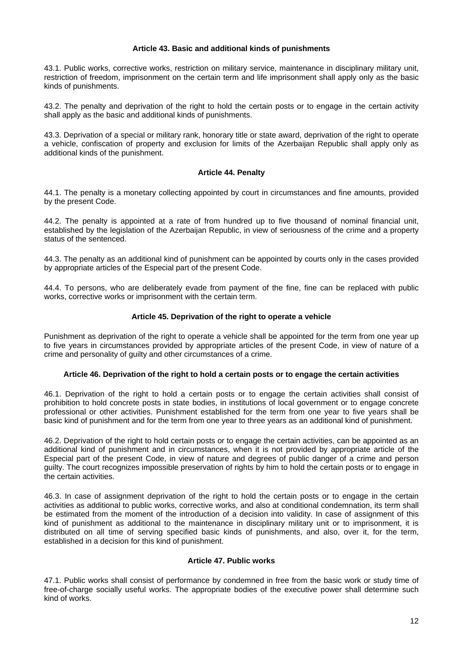## **Article 43. Basic and additional kinds of punishments**

43.1. Public works, corrective works, restriction on military service, maintenance in disciplinary military unit, restriction of freedom, imprisonment on the certain term and life imprisonment shall apply only as the basic kinds of punishments.

43.2. The penalty and deprivation of the right to hold the certain posts or to engage in the certain activity shall apply as the basic and additional kinds of punishments.

43.3. Deprivation of a special or military rank, honorary title or state award, deprivation of the right to operate a vehicle, confiscation of property and exclusion for limits of the Azerbaijan Republic shall apply only as additional kinds of the punishment.

## **Article 44. Penalty**

44.1. The penalty is a monetary collecting appointed by court in circumstances and fine amounts, provided by the present Code.

44.2. The penalty is appointed at a rate of from hundred up to five thousand of nominal financial unit, established by the legislation of the Azerbaijan Republic, in view of seriousness of the crime and a property status of the sentenced.

44.3. The penalty as an additional kind of punishment can be appointed by courts only in the cases provided by appropriate articles of the Especial part of the present Code.

44.4. To persons, who are deliberately evade from payment of the fine, fine can be replaced with public works, corrective works or imprisonment with the certain term.

## **Article 45. Deprivation of the right to operate a vehicle**

Punishment as deprivation of the right to operate a vehicle shall be appointed for the term from one year up to five years in circumstances provided by appropriate articles of the present Code, in view of nature of a crime and personality of guilty and other circumstances of a crime.

### **Article 46. Deprivation of the right to hold a certain posts or to engage the certain activities**

46.1. Deprivation of the right to hold a certain posts or to engage the certain activities shall consist of prohibition to hold concrete posts in state bodies, in institutions of local government or to engage concrete professional or other activities. Punishment established for the term from one year to five years shall be basic kind of punishment and for the term from one year to three years as an additional kind of punishment.

46.2. Deprivation of the right to hold certain posts or to engage the certain activities, can be appointed as an additional kind of punishment and in circumstances, when it is not provided by appropriate article of the Especial part of the present Code, in view of nature and degrees of public danger of a crime and person guilty. The court recognizes impossible preservation of rights by him to hold the certain posts or to engage in the certain activities.

46.3. In case of assignment deprivation of the right to hold the certain posts or to engage in the certain activities as additional to public works, corrective works, and also at conditional condemnation, its term shall be estimated from the moment of the introduction of a decision into validity. In case of assignment of this kind of punishment as additional to the maintenance in disciplinary military unit or to imprisonment, it is distributed on all time of serving specified basic kinds of punishments, and also, over it, for the term, established in a decision for this kind of punishment.

# **Article 47. Public works**

47.1. Public works shall consist of performance by condemned in free from the basic work or study time of free-of-charge socially useful works. The appropriate bodies of the executive power shall determine such kind of works.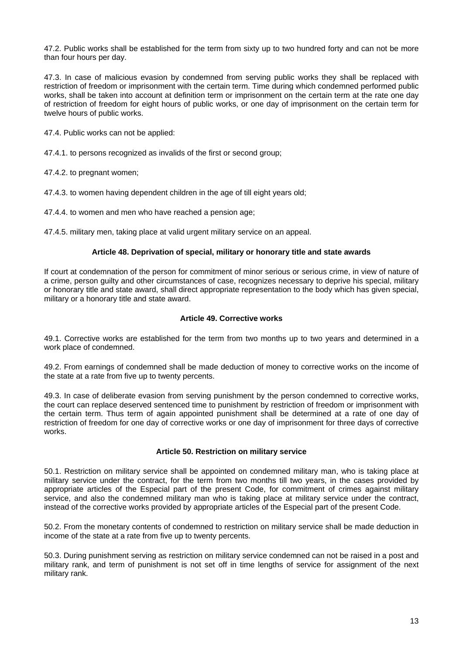47.2. Public works shall be established for the term from sixty up to two hundred forty and can not be more than four hours per day.

47.3. In case of malicious evasion by condemned from serving public works they shall be replaced with restriction of freedom or imprisonment with the certain term. Time during which condemned performed public works, shall be taken into account at definition term or imprisonment on the certain term at the rate one day of restriction of freedom for eight hours of public works, or one day of imprisonment on the certain term for twelve hours of public works.

47.4. Public works can not be applied:

47.4.1. to persons recognized as invalids of the first or second group;

47.4.2. to pregnant women;

47.4.3. to women having dependent children in the age of till eight years old;

47.4.4. to women and men who have reached a pension age;

47.4.5. military men, taking place at valid urgent military service on an appeal.

## **Article 48. Deprivation of special, military or honorary title and state awards**

If court at condemnation of the person for commitment of minor serious or serious crime, in view of nature of a crime, person guilty and other circumstances of case, recognizes necessary to deprive his special, military or honorary title and state award, shall direct appropriate representation to the body which has given special, military or a honorary title and state award.

## **Article 49. Corrective works**

49.1. Corrective works are established for the term from two months up to two years and determined in a work place of condemned.

49.2. From earnings of condemned shall be made deduction of money to corrective works on the income of the state at a rate from five up to twenty percents.

49.3. In case of deliberate evasion from serving punishment by the person condemned to corrective works, the court can replace deserved sentenced time to punishment by restriction of freedom or imprisonment with the certain term. Thus term of again appointed punishment shall be determined at a rate of one day of restriction of freedom for one day of corrective works or one day of imprisonment for three days of corrective works.

### **Article 50. Restriction on military service**

50.1. Restriction on military service shall be appointed on condemned military man, who is taking place at military service under the contract, for the term from two months till two years, in the cases provided by appropriate articles of the Especial part of the present Code, for commitment of crimes against military service, and also the condemned military man who is taking place at military service under the contract, instead of the corrective works provided by appropriate articles of the Especial part of the present Code.

50.2. From the monetary contents of condemned to restriction on military service shall be made deduction in income of the state at a rate from five up to twenty percents.

50.3. During punishment serving as restriction on military service condemned can not be raised in a post and military rank, and term of punishment is not set off in time lengths of service for assignment of the next military rank.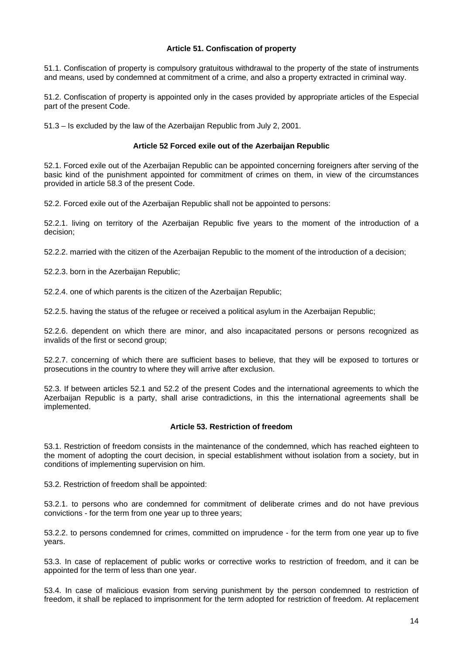## **Article 51. Confiscation of property**

51.1. Confiscation of property is compulsory gratuitous withdrawal to the property of the state of instruments and means, used by condemned at commitment of a crime, and also a property extracted in criminal way.

51.2. Confiscation of property is appointed only in the cases provided by appropriate articles of the Especial part of the present Code.

51.3 – Is excluded by the law of the Azerbaijan Republic from July 2, 2001.

## **Article 52 Forced exile out of the Azerbaijan Republic**

52.1. Forced exile out of the Azerbaijan Republic can be appointed concerning foreigners after serving of the basic kind of the punishment appointed for commitment of crimes on them, in view of the circumstances provided in article 58.3 of the present Code.

52.2. Forced exile out of the Azerbaijan Republic shall not be appointed to persons:

52.2.1. living on territory of the Azerbaijan Republic five years to the moment of the introduction of a decision;

52.2.2. married with the citizen of the Azerbaijan Republic to the moment of the introduction of a decision;

52.2.3. born in the Azerbaijan Republic;

52.2.4. one of which parents is the citizen of the Azerbaijan Republic;

52.2.5. having the status of the refugee or received a political asylum in the Azerbaijan Republic;

52.2.6. dependent on which there are minor, and also incapacitated persons or persons recognized as invalids of the first or second group;

52.2.7. concerning of which there are sufficient bases to believe, that they will be exposed to tortures or prosecutions in the country to where they will arrive after exclusion.

52.3. If between articles 52.1 and 52.2 of the present Codes and the international agreements to which the Azerbaijan Republic is a party, shall arise contradictions, in this the international agreements shall be implemented.

### **Article 53. Restriction of freedom**

53.1. Restriction of freedom consists in the maintenance of the condemned, which has reached eighteen to the moment of adopting the court decision, in special establishment without isolation from a society, but in conditions of implementing supervision on him.

53.2. Restriction of freedom shall be appointed:

53.2.1. to persons who are condemned for commitment of deliberate crimes and do not have previous convictions - for the term from one year up to three years;

53.2.2. to persons condemned for crimes, committed on imprudence - for the term from one year up to five years.

53.3. In case of replacement of public works or corrective works to restriction of freedom, and it can be appointed for the term of less than one year.

53.4. In case of malicious evasion from serving punishment by the person condemned to restriction of freedom, it shall be replaced to imprisonment for the term adopted for restriction of freedom. At replacement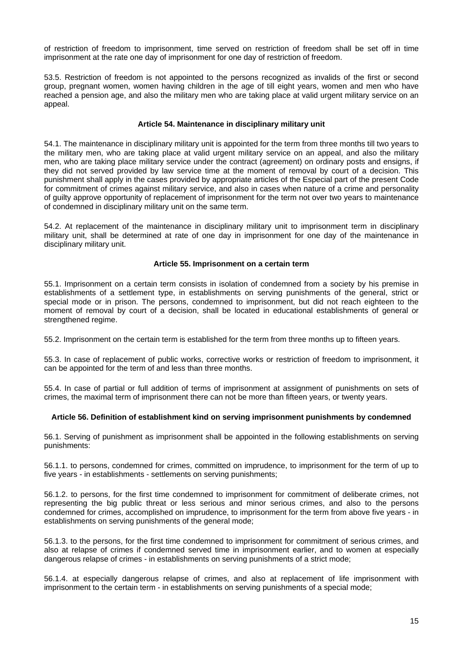of restriction of freedom to imprisonment, time served on restriction of freedom shall be set off in time imprisonment at the rate one day of imprisonment for one day of restriction of freedom.

53.5. Restriction of freedom is not appointed to the persons recognized as invalids of the first or second group, pregnant women, women having children in the age of till eight years, women and men who have reached a pension age, and also the military men who are taking place at valid urgent military service on an appeal.

## **Article 54. Maintenance in disciplinary military unit**

54.1. The maintenance in disciplinary military unit is appointed for the term from three months till two years to the military men, who are taking place at valid urgent military service on an appeal, and also the military men, who are taking place military service under the contract (agreement) on ordinary posts and ensigns, if they did not served provided by law service time at the moment of removal by court of a decision. This punishment shall apply in the cases provided by appropriate articles of the Especial part of the present Code for commitment of crimes against military service, and also in cases when nature of a crime and personality of guilty approve opportunity of replacement of imprisonment for the term not over two years to maintenance of condemned in disciplinary military unit on the same term.

54.2. At replacement of the maintenance in disciplinary military unit to imprisonment term in disciplinary military unit, shall be determined at rate of one day in imprisonment for one day of the maintenance in disciplinary military unit.

# **Article 55. Imprisonment on a certain term**

55.1. Imprisonment on a certain term consists in isolation of condemned from a society by his premise in establishments of a settlement type, in establishments on serving punishments of the general, strict or special mode or in prison. The persons, condemned to imprisonment, but did not reach eighteen to the moment of removal by court of a decision, shall be located in educational establishments of general or strengthened regime.

55.2. Imprisonment on the certain term is established for the term from three months up to fifteen years.

55.3. In case of replacement of public works, corrective works or restriction of freedom to imprisonment, it can be appointed for the term of and less than three months.

55.4. In case of partial or full addition of terms of imprisonment at assignment of punishments on sets of crimes, the maximal term of imprisonment there can not be more than fifteen years, or twenty years.

# **Article 56. Definition of establishment kind on serving imprisonment punishments by condemned**

56.1. Serving of punishment as imprisonment shall be appointed in the following establishments on serving punishments:

56.1.1. to persons, condemned for crimes, committed on imprudence, to imprisonment for the term of up to five years - in establishments - settlements on serving punishments;

56.1.2. to persons, for the first time condemned to imprisonment for commitment of deliberate crimes, not representing the big public threat or less serious and minor serious crimes, and also to the persons condemned for crimes, accomplished on imprudence, to imprisonment for the term from above five years - in establishments on serving punishments of the general mode;

56.1.3. to the persons, for the first time condemned to imprisonment for commitment of serious crimes, and also at relapse of crimes if condemned served time in imprisonment earlier, and to women at especially dangerous relapse of crimes - in establishments on serving punishments of a strict mode;

56.1.4. at especially dangerous relapse of crimes, and also at replacement of life imprisonment with imprisonment to the certain term - in establishments on serving punishments of a special mode;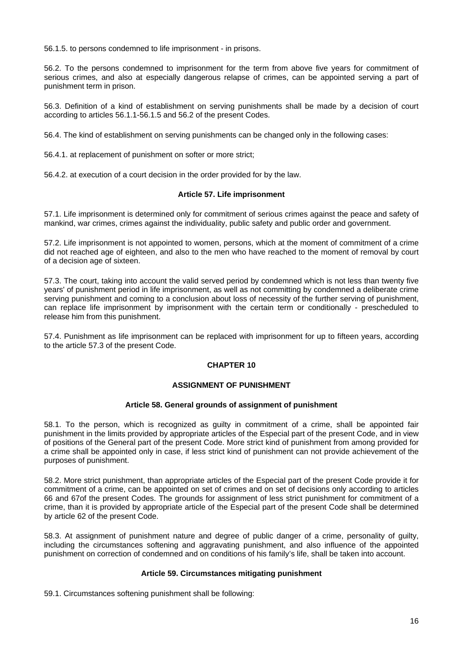56.1.5. to persons condemned to life imprisonment - in prisons.

56.2. To the persons condemned to imprisonment for the term from above five years for commitment of serious crimes, and also at especially dangerous relapse of crimes, can be appointed serving a part of punishment term in prison.

56.3. Definition of a kind of establishment on serving punishments shall be made by a decision of court according to articles 56.1.1-56.1.5 and 56.2 of the present Codes.

56.4. The kind of establishment on serving punishments can be changed only in the following cases:

56.4.1. at replacement of punishment on softer or more strict;

56.4.2. at execution of a court decision in the order provided for by the law.

## **Article 57. Life imprisonment**

57.1. Life imprisonment is determined only for commitment of serious crimes against the peace and safety of mankind, war crimes, crimes against the individuality, public safety and public order and government.

57.2. Life imprisonment is not appointed to women, persons, which at the moment of commitment of a crime did not reached age of eighteen, and also to the men who have reached to the moment of removal by court of a decision age of sixteen.

57.3. The court, taking into account the valid served period by condemned which is not less than twenty five years' of punishment period in life imprisonment, as well as not committing by condemned a deliberate crime serving punishment and coming to a conclusion about loss of necessity of the further serving of punishment, can replace life imprisonment by imprisonment with the certain term or conditionally - prescheduled to release him from this punishment.

57.4. Punishment as life imprisonment can be replaced with imprisonment for up to fifteen years, according to the article 57.3 of the present Code.

# **CHAPTER 10**

# **ASSIGNMENT OF PUNISHMENT**

## **Article 58. General grounds of assignment of punishment**

58.1. To the person, which is recognized as guilty in commitment of a crime, shall be appointed fair punishment in the limits provided by appropriate articles of the Especial part of the present Code, and in view of positions of the General part of the present Code. More strict kind of punishment from among provided for a crime shall be appointed only in case, if less strict kind of punishment can not provide achievement of the purposes of punishment.

58.2. More strict punishment, than appropriate articles of the Especial part of the present Code provide it for commitment of a crime, can be appointed on set of crimes and on set of decisions only according to articles 66 and 67of the present Codes. The grounds for assignment of less strict punishment for commitment of a crime, than it is provided by appropriate article of the Especial part of the present Code shall be determined by article 62 of the present Code.

58.3. At assignment of punishment nature and degree of public danger of a crime, personality of guilty, including the circumstances softening and aggravating punishment, and also influence of the appointed punishment on correction of condemned and on conditions of his family's life, shall be taken into account.

### **Article 59. Circumstances mitigating punishment**

59.1. Circumstances softening punishment shall be following: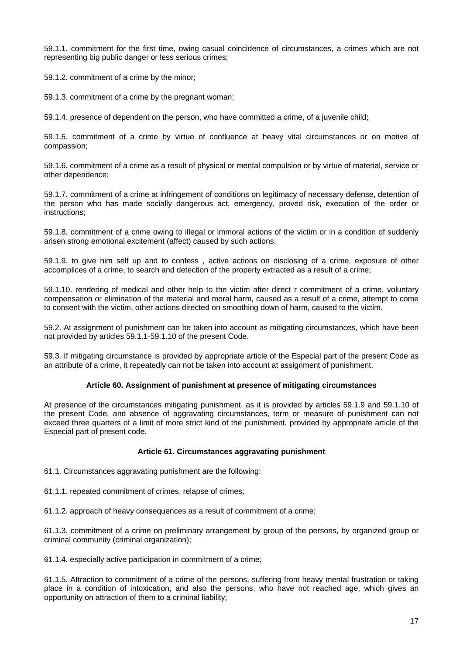59.1.1. commitment for the first time, owing casual coincidence of circumstances, a crimes which are not representing big public danger or less serious crimes;

59.1.2. commitment of a crime by the minor;

59.1.3. commitment of a crime by the pregnant woman;

59.1.4. presence of dependent on the person, who have committed a crime, of a juvenile child;

59.1.5. commitment of a crime by virtue of confluence at heavy vital circumstances or on motive of compassion;

59.1.6. commitment of a crime as a result of physical or mental compulsion or by virtue of material, service or other dependence;

59.1.7. commitment of a crime at infringement of conditions on legitimacy of necessary defense, detention of the person who has made socially dangerous act, emergency, proved risk, execution of the order or instructions;

59.1.8. commitment of a crime owing to illegal or immoral actions of the victim or in a condition of suddenly arisen strong emotional excitement (affect) caused by such actions;

59.1.9. to give him self up and to confess , active actions on disclosing of a crime, exposure of other accomplices of a crime, to search and detection of the property extracted as a result of a crime;

59.1.10. rendering of medical and other help to the victim after direct r commitment of a crime, voluntary compensation or elimination of the material and moral harm, caused as a result of a crime, attempt to come to consent with the victim, other actions directed on smoothing down of harm, caused to the victim.

59.2. At assignment of punishment can be taken into account as mitigating circumstances, which have been not provided by articles 59.1.1-59.1.10 of the present Code.

59.3. If mitigating circumstance is provided by appropriate article of the Especial part of the present Code as an attribute of a crime, it repeatedly can not be taken into account at assignment of punishment.

### **Article 60. Assignment of punishment at presence of mitigating circumstances**

At presence of the circumstances mitigating punishment, as it is provided by articles 59.1.9 and 59.1.10 of the present Code, and absence of aggravating circumstances, term or measure of punishment can not exceed three quarters of a limit of more strict kind of the punishment, provided by appropriate article of the Especial part of present code.

### **Article 61. Circumstances aggravating punishment**

61.1. Circumstances aggravating punishment are the following:

61.1.1. repeated commitment of crimes, relapse of crimes;

61.1.2. approach of heavy consequences as a result of commitment of a crime;

61.1.3. commitment of a crime on preliminary arrangement by group of the persons, by organized group or criminal community (criminal organization);

61.1.4. especially active participation in commitment of a crime;

61.1.5. Attraction to commitment of a crime of the persons, suffering from heavy mental frustration or taking place in a condition of intoxication, and also the persons, who have not reached age, which gives an opportunity on attraction of them to a criminal liability;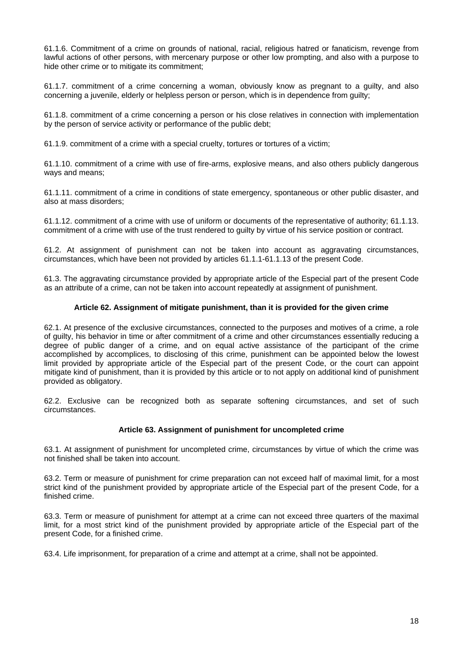61.1.6. Commitment of a crime on grounds of national, racial, religious hatred or fanaticism, revenge from lawful actions of other persons, with mercenary purpose or other low prompting, and also with a purpose to hide other crime or to mitigate its commitment;

61.1.7. commitment of a crime concerning a woman, obviously know as pregnant to a guilty, and also concerning a juvenile, elderly or helpless person or person, which is in dependence from guilty;

61.1.8. commitment of a crime concerning a person or his close relatives in connection with implementation by the person of service activity or performance of the public debt;

61.1.9. commitment of a crime with a special cruelty, tortures or tortures of a victim;

61.1.10. commitment of a crime with use of fire-arms, explosive means, and also others publicly dangerous ways and means;

61.1.11. commitment of a crime in conditions of state emergency, spontaneous or other public disaster, and also at mass disorders;

61.1.12. commitment of a crime with use of uniform or documents of the representative of authority; 61.1.13. commitment of a crime with use of the trust rendered to guilty by virtue of his service position or contract.

61.2. At assignment of punishment can not be taken into account as aggravating circumstances, circumstances, which have been not provided by articles 61.1.1-61.1.13 of the present Code.

61.3. The aggravating circumstance provided by appropriate article of the Especial part of the present Code as an attribute of a crime, can not be taken into account repeatedly at assignment of punishment.

# **Article 62. Assignment of mitigate punishment, than it is provided for the given crime**

62.1. At presence of the exclusive circumstances, connected to the purposes and motives of a crime, a role of guilty, his behavior in time or after commitment of a crime and other circumstances essentially reducing a degree of public danger of a crime, and on equal active assistance of the participant of the crime accomplished by accomplices, to disclosing of this crime, punishment can be appointed below the lowest limit provided by appropriate article of the Especial part of the present Code, or the court can appoint mitigate kind of punishment, than it is provided by this article or to not apply on additional kind of punishment provided as obligatory.

62.2. Exclusive can be recognized both as separate softening circumstances, and set of such circumstances.

# **Article 63. Assignment of punishment for uncompleted crime**

63.1. At assignment of punishment for uncompleted crime, circumstances by virtue of which the crime was not finished shall be taken into account.

63.2. Term or measure of punishment for crime preparation can not exceed half of maximal limit, for a most strict kind of the punishment provided by appropriate article of the Especial part of the present Code, for a finished crime.

63.3. Term or measure of punishment for attempt at a crime can not exceed three quarters of the maximal limit, for a most strict kind of the punishment provided by appropriate article of the Especial part of the present Code, for a finished crime.

63.4. Life imprisonment, for preparation of a crime and attempt at a crime, shall not be appointed.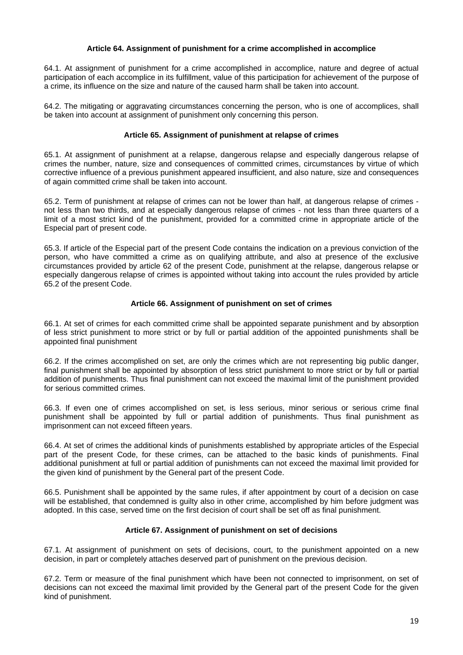## **Article 64. Assignment of punishment for a crime accomplished in accomplice**

64.1. At assignment of punishment for a crime accomplished in accomplice, nature and degree of actual participation of each accomplice in its fulfillment, value of this participation for achievement of the purpose of a crime, its influence on the size and nature of the caused harm shall be taken into account.

64.2. The mitigating or aggravating circumstances concerning the person, who is one of accomplices, shall be taken into account at assignment of punishment only concerning this person.

## **Article 65. Assignment of punishment at relapse of crimes**

65.1. At assignment of punishment at a relapse, dangerous relapse and especially dangerous relapse of crimes the number, nature, size and consequences of committed crimes, circumstances by virtue of which corrective influence of a previous punishment appeared insufficient, and also nature, size and consequences of again committed crime shall be taken into account.

65.2. Term of punishment at relapse of crimes can not be lower than half, at dangerous relapse of crimes not less than two thirds, and at especially dangerous relapse of crimes - not less than three quarters of a limit of a most strict kind of the punishment, provided for a committed crime in appropriate article of the Especial part of present code.

65.3. If article of the Especial part of the present Code contains the indication on a previous conviction of the person, who have committed a crime as on qualifying attribute, and also at presence of the exclusive circumstances provided by article 62 of the present Code, punishment at the relapse, dangerous relapse or especially dangerous relapse of crimes is appointed without taking into account the rules provided by article 65.2 of the present Code.

## **Article 66. Assignment of punishment on set of crimes**

66.1. At set of crimes for each committed crime shall be appointed separate punishment and by absorption of less strict punishment to more strict or by full or partial addition of the appointed punishments shall be appointed final punishment

66.2. If the crimes accomplished on set, are only the crimes which are not representing big public danger, final punishment shall be appointed by absorption of less strict punishment to more strict or by full or partial addition of punishments. Thus final punishment can not exceed the maximal limit of the punishment provided for serious committed crimes.

66.3. If even one of crimes accomplished on set, is less serious, minor serious or serious crime final punishment shall be appointed by full or partial addition of punishments. Thus final punishment as imprisonment can not exceed fifteen years.

66.4. At set of crimes the additional kinds of punishments established by appropriate articles of the Especial part of the present Code, for these crimes, can be attached to the basic kinds of punishments. Final additional punishment at full or partial addition of punishments can not exceed the maximal limit provided for the given kind of punishment by the General part of the present Code.

66.5. Punishment shall be appointed by the same rules, if after appointment by court of a decision on case will be established, that condemned is guilty also in other crime, accomplished by him before judgment was adopted. In this case, served time on the first decision of court shall be set off as final punishment.

# **Article 67. Assignment of punishment on set of decisions**

67.1. At assignment of punishment on sets of decisions, court, to the punishment appointed on a new decision, in part or completely attaches deserved part of punishment on the previous decision.

67.2. Term or measure of the final punishment which have been not connected to imprisonment, on set of decisions can not exceed the maximal limit provided by the General part of the present Code for the given kind of punishment.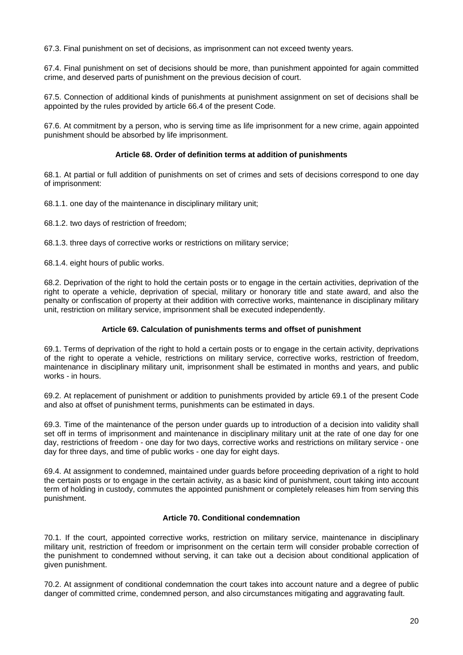67.3. Final punishment on set of decisions, as imprisonment can not exceed twenty years.

67.4. Final punishment on set of decisions should be more, than punishment appointed for again committed crime, and deserved parts of punishment on the previous decision of court.

67.5. Connection of additional kinds of punishments at punishment assignment on set of decisions shall be appointed by the rules provided by article 66.4 of the present Code.

67.6. At commitment by a person, who is serving time as life imprisonment for a new crime, again appointed punishment should be absorbed by life imprisonment.

## **Article 68. Order of definition terms at addition of punishments**

68.1. At partial or full addition of punishments on set of crimes and sets of decisions correspond to one day of imprisonment:

68.1.1. one day of the maintenance in disciplinary military unit;

68.1.2. two days of restriction of freedom;

68.1.3. three days of corrective works or restrictions on military service;

68.1.4. eight hours of public works.

68.2. Deprivation of the right to hold the certain posts or to engage in the certain activities, deprivation of the right to operate a vehicle, deprivation of special, military or honorary title and state award, and also the penalty or confiscation of property at their addition with corrective works, maintenance in disciplinary military unit, restriction on military service, imprisonment shall be executed independently.

### **Article 69. Calculation of punishments terms and offset of punishment**

69.1. Terms of deprivation of the right to hold a certain posts or to engage in the certain activity, deprivations of the right to operate a vehicle, restrictions on military service, corrective works, restriction of freedom, maintenance in disciplinary military unit, imprisonment shall be estimated in months and years, and public works - in hours.

69.2. At replacement of punishment or addition to punishments provided by article 69.1 of the present Code and also at offset of punishment terms, punishments can be estimated in days.

69.3. Time of the maintenance of the person under guards up to introduction of a decision into validity shall set off in terms of imprisonment and maintenance in disciplinary military unit at the rate of one day for one day, restrictions of freedom - one day for two days, corrective works and restrictions on military service - one day for three days, and time of public works - one day for eight days.

69.4. At assignment to condemned, maintained under guards before proceeding deprivation of a right to hold the certain posts or to engage in the certain activity, as a basic kind of punishment, court taking into account term of holding in custody, commutes the appointed punishment or completely releases him from serving this punishment.

# **Article 70. Conditional condemnation**

70.1. If the court, appointed corrective works, restriction on military service, maintenance in disciplinary military unit, restriction of freedom or imprisonment on the certain term will consider probable correction of the punishment to condemned without serving, it can take out a decision about conditional application of given punishment.

70.2. At assignment of conditional condemnation the court takes into account nature and a degree of public danger of committed crime, condemned person, and also circumstances mitigating and aggravating fault.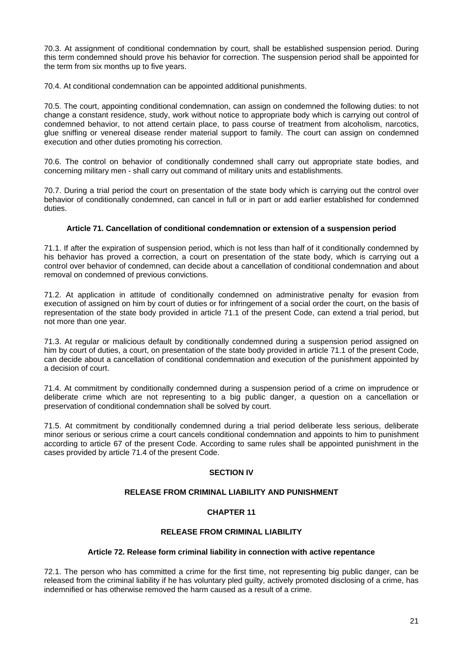70.3. At assignment of conditional condemnation by court, shall be established suspension period. During this term condemned should prove his behavior for correction. The suspension period shall be appointed for the term from six months up to five years.

70.4. At conditional condemnation can be appointed additional punishments.

70.5. The court, appointing conditional condemnation, can assign on condemned the following duties: to not change a constant residence, study, work without notice to appropriate body which is carrying out control of condemned behavior, to not attend certain place, to pass course of treatment from alcoholism, narcotics, glue sniffing or venereal disease render material support to family. The court can assign on condemned execution and other duties promoting his correction.

70.6. The control on behavior of conditionally condemned shall carry out appropriate state bodies, and concerning military men - shall carry out command of military units and establishments.

70.7. During a trial period the court on presentation of the state body which is carrying out the control over behavior of conditionally condemned, can cancel in full or in part or add earlier established for condemned duties.

# **Article 71. Cancellation of conditional condemnation or extension of a suspension period**

71.1. If after the expiration of suspension period, which is not less than half of it conditionally condemned by his behavior has proved a correction, a court on presentation of the state body, which is carrying out a control over behavior of condemned, can decide about a cancellation of conditional condemnation and about removal on condemned of previous convictions.

71.2. At application in attitude of conditionally condemned on administrative penalty for evasion from execution of assigned on him by court of duties or for infringement of a social order the court, on the basis of representation of the state body provided in article 71.1 of the present Code, can extend a trial period, but not more than one year.

71.3. At regular or malicious default by conditionally condemned during a suspension period assigned on him by court of duties, a court, on presentation of the state body provided in article 71.1 of the present Code, can decide about a cancellation of conditional condemnation and execution of the punishment appointed by a decision of court.

71.4. At commitment by conditionally condemned during a suspension period of a crime on imprudence or deliberate crime which are not representing to a big public danger, a question on a cancellation or preservation of conditional condemnation shall be solved by court.

71.5. At commitment by conditionally condemned during a trial period deliberate less serious, deliberate minor serious or serious crime a court cancels conditional condemnation and appoints to him to punishment according to article 67 of the present Code. According to same rules shall be appointed punishment in the cases provided by article 71.4 of the present Code.

# **SECTION IV**

# **RELEASE FROM CRIMINAL LIABILITY AND PUNISHMENT**

# **CHAPTER 11**

# **RELEASE FROM CRIMINAL LIABILITY**

# **Article 72. Release form criminal liability in connection with active repentance**

72.1. The person who has committed a crime for the first time, not representing big public danger, can be released from the criminal liability if he has voluntary pled guilty, actively promoted disclosing of a crime, has indemnified or has otherwise removed the harm caused as a result of a crime.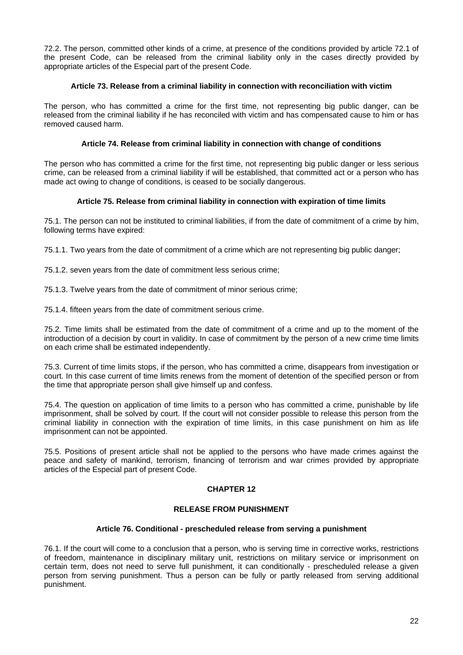72.2. The person, committed other kinds of a crime, at presence of the conditions provided by article 72.1 of the present Code, can be released from the criminal liability only in the cases directly provided by appropriate articles of the Especial part of the present Code.

# **Article 73. Release from a criminal liability in connection with reconciliation with victim**

The person, who has committed a crime for the first time, not representing big public danger, can be released from the criminal liability if he has reconciled with victim and has compensated cause to him or has removed caused harm.

## **Article 74. Release from criminal liability in connection with change of conditions**

The person who has committed a crime for the first time, not representing big public danger or less serious crime, can be released from a criminal liability if will be established, that committed act or a person who has made act owing to change of conditions, is ceased to be socially dangerous.

## **Article 75. Release from criminal liability in connection with expiration of time limits**

75.1. The person can not be instituted to criminal liabilities, if from the date of commitment of a crime by him, following terms have expired:

75.1.1. Two years from the date of commitment of a crime which are not representing big public danger;

75.1.2. seven years from the date of commitment less serious crime;

75.1.3. Twelve years from the date of commitment of minor serious crime;

75.1.4. fifteen years from the date of commitment serious crime.

75.2. Time limits shall be estimated from the date of commitment of a crime and up to the moment of the introduction of a decision by court in validity. In case of commitment by the person of a new crime time limits on each crime shall be estimated independently.

75.3. Current of time limits stops, if the person, who has committed a crime, disappears from investigation or court. In this case current of time limits renews from the moment of detention of the specified person or from the time that appropriate person shall give himself up and confess.

75.4. The question on application of time limits to a person who has committed a crime, punishable by life imprisonment, shall be solved by court. If the court will not consider possible to release this person from the criminal liability in connection with the expiration of time limits, in this case punishment on him as life imprisonment can not be appointed.

75.5. Positions of present article shall not be applied to the persons who have made crimes against the peace and safety of mankind, terrorism, financing of terrorism and war crimes provided by appropriate articles of the Especial part of present Code.

### **CHAPTER 12**

## **RELEASE FROM PUNISHMENT**

### **Article 76. Conditional - prescheduled release from serving a punishment**

76.1. If the court will come to a conclusion that a person, who is serving time in corrective works, restrictions of freedom, maintenance in disciplinary military unit, restrictions on military service or imprisonment on certain term, does not need to serve full punishment, it can conditionally - prescheduled release a given person from serving punishment. Thus a person can be fully or partly released from serving additional punishment.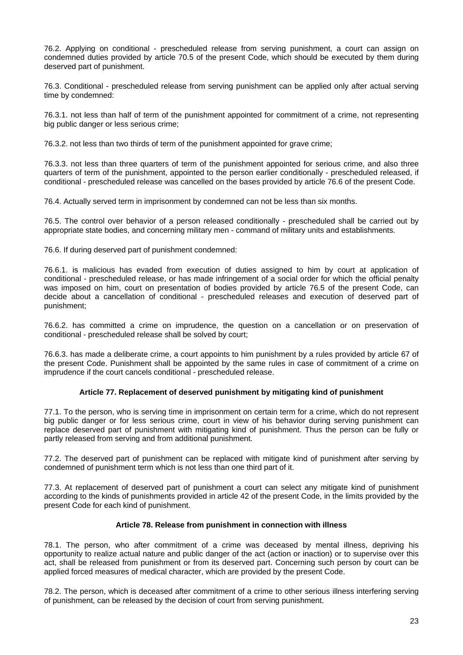76.2. Applying on conditional - prescheduled release from serving punishment, a court can assign on condemned duties provided by article 70.5 of the present Code, which should be executed by them during deserved part of punishment.

76.3. Conditional - prescheduled release from serving punishment can be applied only after actual serving time by condemned:

76.3.1. not less than half of term of the punishment appointed for commitment of a crime, not representing big public danger or less serious crime;

76.3.2. not less than two thirds of term of the punishment appointed for grave crime;

76.3.3. not less than three quarters of term of the punishment appointed for serious crime, and also three quarters of term of the punishment, appointed to the person earlier conditionally - prescheduled released, if conditional - prescheduled release was cancelled on the bases provided by article 76.6 of the present Code.

76.4. Actually served term in imprisonment by condemned can not be less than six months.

76.5. The control over behavior of a person released conditionally - prescheduled shall be carried out by appropriate state bodies, and concerning military men - command of military units and establishments.

76.6. If during deserved part of punishment condemned:

76.6.1. is malicious has evaded from execution of duties assigned to him by court at application of conditional - prescheduled release, or has made infringement of a social order for which the official penalty was imposed on him, court on presentation of bodies provided by article 76.5 of the present Code, can decide about a cancellation of conditional - prescheduled releases and execution of deserved part of punishment;

76.6.2. has committed a crime on imprudence, the question on a cancellation or on preservation of conditional - prescheduled release shall be solved by court;

76.6.3. has made a deliberate crime, a court appoints to him punishment by a rules provided by article 67 of the present Code. Punishment shall be appointed by the same rules in case of commitment of a crime on imprudence if the court cancels conditional - prescheduled release.

# **Article 77. Replacement of deserved punishment by mitigating kind of punishment**

77.1. To the person, who is serving time in imprisonment on certain term for a crime, which do not represent big public danger or for less serious crime, court in view of his behavior during serving punishment can replace deserved part of punishment with mitigating kind of punishment. Thus the person can be fully or partly released from serving and from additional punishment.

77.2. The deserved part of punishment can be replaced with mitigate kind of punishment after serving by condemned of punishment term which is not less than one third part of it.

77.3. At replacement of deserved part of punishment a court can select any mitigate kind of punishment according to the kinds of punishments provided in article 42 of the present Code, in the limits provided by the present Code for each kind of punishment.

# **Article 78. Release from punishment in connection with illness**

78.1. The person, who after commitment of a crime was deceased by mental illness, depriving his opportunity to realize actual nature and public danger of the act (action or inaction) or to supervise over this act, shall be released from punishment or from its deserved part. Concerning such person by court can be applied forced measures of medical character, which are provided by the present Code.

78.2. The person, which is deceased after commitment of a crime to other serious illness interfering serving of punishment, can be released by the decision of court from serving punishment.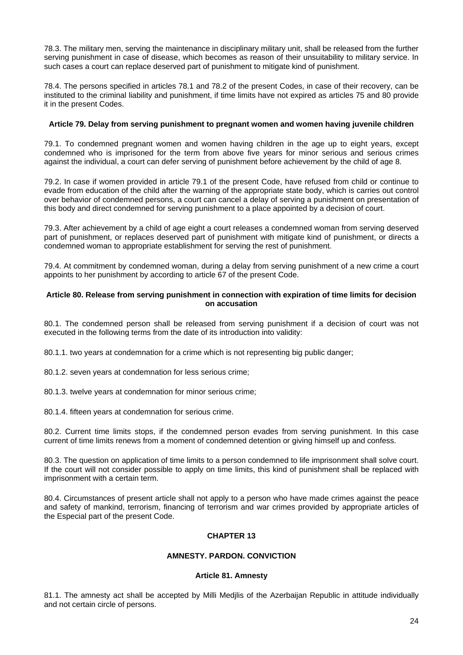78.3. The military men, serving the maintenance in disciplinary military unit, shall be released from the further serving punishment in case of disease, which becomes as reason of their unsuitability to military service. In such cases a court can replace deserved part of punishment to mitigate kind of punishment.

78.4. The persons specified in articles 78.1 and 78.2 of the present Codes, in case of their recovery, can be instituted to the criminal liability and punishment, if time limits have not expired as articles 75 and 80 provide it in the present Codes.

# **Article 79. Delay from serving punishment to pregnant women and women having juvenile children**

79.1. To condemned pregnant women and women having children in the age up to eight years, except condemned who is imprisoned for the term from above five years for minor serious and serious crimes against the individual, a court can defer serving of punishment before achievement by the child of age 8.

79.2. In case if women provided in article 79.1 of the present Code, have refused from child or continue to evade from education of the child after the warning of the appropriate state body, which is carries out control over behavior of condemned persons, a court can cancel a delay of serving a punishment on presentation of this body and direct condemned for serving punishment to a place appointed by a decision of court.

79.3. After achievement by a child of age eight a court releases a condemned woman from serving deserved part of punishment, or replaces deserved part of punishment with mitigate kind of punishment, or directs a condemned woman to appropriate establishment for serving the rest of punishment.

79.4. At commitment by condemned woman, during a delay from serving punishment of a new crime a court appoints to her punishment by according to article 67 of the present Code.

## **Article 80. Release from serving punishment in connection with expiration of time limits for decision on accusation**

80.1. The condemned person shall be released from serving punishment if a decision of court was not executed in the following terms from the date of its introduction into validity:

80.1.1. two years at condemnation for a crime which is not representing big public danger;

80.1.2. seven years at condemnation for less serious crime;

80.1.3. twelve years at condemnation for minor serious crime;

80.1.4. fifteen years at condemnation for serious crime.

80.2. Current time limits stops, if the condemned person evades from serving punishment. In this case current of time limits renews from a moment of condemned detention or giving himself up and confess.

80.3. The question on application of time limits to a person condemned to life imprisonment shall solve court. If the court will not consider possible to apply on time limits, this kind of punishment shall be replaced with imprisonment with a certain term.

80.4. Circumstances of present article shall not apply to a person who have made crimes against the peace and safety of mankind, terrorism, financing of terrorism and war crimes provided by appropriate articles of the Especial part of the present Code.

# **CHAPTER 13**

# **AMNESTY. PARDON. CONVICTION**

# **Article 81. Amnesty**

81.1. The amnesty act shall be accepted by Milli Medjlis of the Azerbaijan Republic in attitude individually and not certain circle of persons.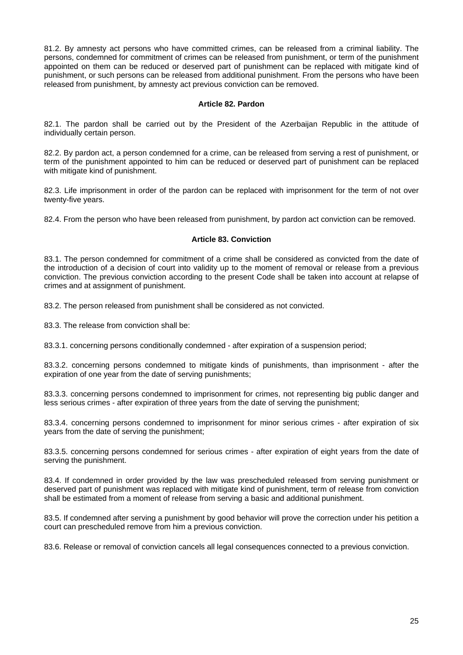81.2. By amnesty act persons who have committed crimes, can be released from a criminal liability. The persons, condemned for commitment of crimes can be released from punishment, or term of the punishment appointed on them can be reduced or deserved part of punishment can be replaced with mitigate kind of punishment, or such persons can be released from additional punishment. From the persons who have been released from punishment, by amnesty act previous conviction can be removed.

## **Article 82. Pardon**

82.1. The pardon shall be carried out by the President of the Azerbaijan Republic in the attitude of individually certain person.

82.2. By pardon act, a person condemned for a crime, can be released from serving a rest of punishment, or term of the punishment appointed to him can be reduced or deserved part of punishment can be replaced with mitigate kind of punishment.

82.3. Life imprisonment in order of the pardon can be replaced with imprisonment for the term of not over twenty-five years.

82.4. From the person who have been released from punishment, by pardon act conviction can be removed.

# **Article 83. Conviction**

83.1. The person condemned for commitment of a crime shall be considered as convicted from the date of the introduction of a decision of court into validity up to the moment of removal or release from a previous conviction. The previous conviction according to the present Code shall be taken into account at relapse of crimes and at assignment of punishment.

83.2. The person released from punishment shall be considered as not convicted.

83.3. The release from conviction shall be:

83.3.1. concerning persons conditionally condemned - after expiration of a suspension period;

83.3.2. concerning persons condemned to mitigate kinds of punishments, than imprisonment - after the expiration of one year from the date of serving punishments;

83.3.3. concerning persons condemned to imprisonment for crimes, not representing big public danger and less serious crimes - after expiration of three years from the date of serving the punishment;

83.3.4. concerning persons condemned to imprisonment for minor serious crimes - after expiration of six years from the date of serving the punishment;

83.3.5. concerning persons condemned for serious crimes - after expiration of eight years from the date of serving the punishment.

83.4. If condemned in order provided by the law was prescheduled released from serving punishment or deserved part of punishment was replaced with mitigate kind of punishment, term of release from conviction shall be estimated from a moment of release from serving a basic and additional punishment.

83.5. If condemned after serving a punishment by good behavior will prove the correction under his petition a court can prescheduled remove from him a previous conviction.

83.6. Release or removal of conviction cancels all legal consequences connected to a previous conviction.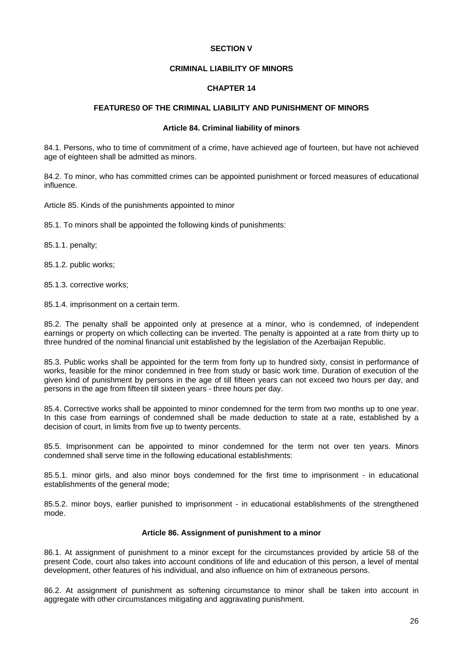## **SECTION V**

## **CRIMINAL LIABILITY OF MINORS**

## **CHAPTER 14**

# **FEATURES0 OF THE CRIMINAL LIABILITY AND PUNISHMENT OF MINORS**

#### **Article 84. Criminal liability of minors**

84.1. Persons, who to time of commitment of a crime, have achieved age of fourteen, but have not achieved age of eighteen shall be admitted as minors.

84.2. To minor, who has committed crimes can be appointed punishment or forced measures of educational influence.

Article 85. Kinds of the punishments appointed to minor

85.1. To minors shall be appointed the following kinds of punishments:

85.1.1. penalty;

85.1.2. public works;

85.1.3. corrective works;

85.1.4. imprisonment on a certain term.

85.2. The penalty shall be appointed only at presence at a minor, who is condemned, of independent earnings or property on which collecting can be inverted. The penalty is appointed at a rate from thirty up to three hundred of the nominal financial unit established by the legislation of the Azerbaijan Republic.

85.3. Public works shall be appointed for the term from forty up to hundred sixty, consist in performance of works, feasible for the minor condemned in free from study or basic work time. Duration of execution of the given kind of punishment by persons in the age of till fifteen years can not exceed two hours per day, and persons in the age from fifteen till sixteen years - three hours per day.

85.4. Corrective works shall be appointed to minor condemned for the term from two months up to one year. In this case from earnings of condemned shall be made deduction to state at a rate, established by a decision of court, in limits from five up to twenty percents.

85.5. Imprisonment can be appointed to minor condemned for the term not over ten years. Minors condemned shall serve time in the following educational establishments:

85.5.1. minor girls, and also minor boys condemned for the first time to imprisonment - in educational establishments of the general mode;

85.5.2. minor boys, earlier punished to imprisonment - in educational establishments of the strengthened mode.

### **Article 86. Assignment of punishment to a minor**

86.1. At assignment of punishment to a minor except for the circumstances provided by article 58 of the present Code, court also takes into account conditions of life and education of this person, a level of mental development, other features of his individual, and also influence on him of extraneous persons.

86.2. At assignment of punishment as softening circumstance to minor shall be taken into account in aggregate with other circumstances mitigating and aggravating punishment.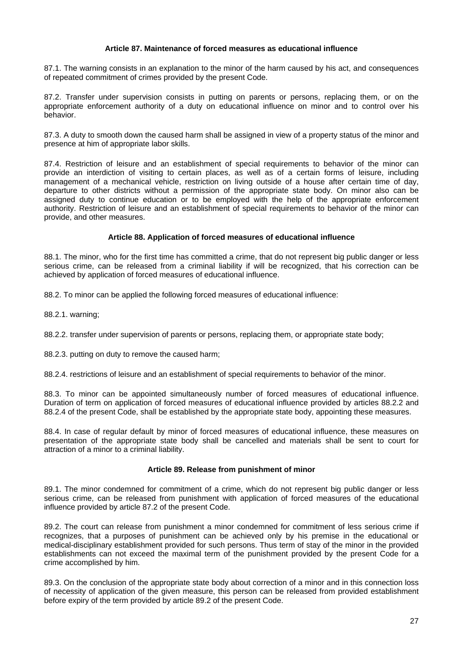## **Article 87. Maintenance of forced measures as educational influence**

87.1. The warning consists in an explanation to the minor of the harm caused by his act, and consequences of repeated commitment of crimes provided by the present Code.

87.2. Transfer under supervision consists in putting on parents or persons, replacing them, or on the appropriate enforcement authority of a duty on educational influence on minor and to control over his behavior.

87.3. A duty to smooth down the caused harm shall be assigned in view of a property status of the minor and presence at him of appropriate labor skills.

87.4. Restriction of leisure and an establishment of special requirements to behavior of the minor can provide an interdiction of visiting to certain places, as well as of a certain forms of leisure, including management of a mechanical vehicle, restriction on living outside of a house after certain time of day, departure to other districts without a permission of the appropriate state body. On minor also can be assigned duty to continue education or to be employed with the help of the appropriate enforcement authority. Restriction of leisure and an establishment of special requirements to behavior of the minor can provide, and other measures.

## **Article 88. Application of forced measures of educational influence**

88.1. The minor, who for the first time has committed a crime, that do not represent big public danger or less serious crime, can be released from a criminal liability if will be recognized, that his correction can be achieved by application of forced measures of educational influence.

88.2. To minor can be applied the following forced measures of educational influence:

88.2.1. warning;

88.2.2. transfer under supervision of parents or persons, replacing them, or appropriate state body;

88.2.3. putting on duty to remove the caused harm;

88.2.4. restrictions of leisure and an establishment of special requirements to behavior of the minor.

88.3. To minor can be appointed simultaneously number of forced measures of educational influence. Duration of term on application of forced measures of educational influence provided by articles 88.2.2 and 88.2.4 of the present Code, shall be established by the appropriate state body, appointing these measures.

88.4. In case of regular default by minor of forced measures of educational influence, these measures on presentation of the appropriate state body shall be cancelled and materials shall be sent to court for attraction of a minor to a criminal liability.

### **Article 89. Release from punishment of minor**

89.1. The minor condemned for commitment of a crime, which do not represent big public danger or less serious crime, can be released from punishment with application of forced measures of the educational influence provided by article 87.2 of the present Code.

89.2. The court can release from punishment a minor condemned for commitment of less serious crime if recognizes, that a purposes of punishment can be achieved only by his premise in the educational or medical-disciplinary establishment provided for such persons. Thus term of stay of the minor in the provided establishments can not exceed the maximal term of the punishment provided by the present Code for a crime accomplished by him.

89.3. On the conclusion of the appropriate state body about correction of a minor and in this connection loss of necessity of application of the given measure, this person can be released from provided establishment before expiry of the term provided by article 89.2 of the present Code.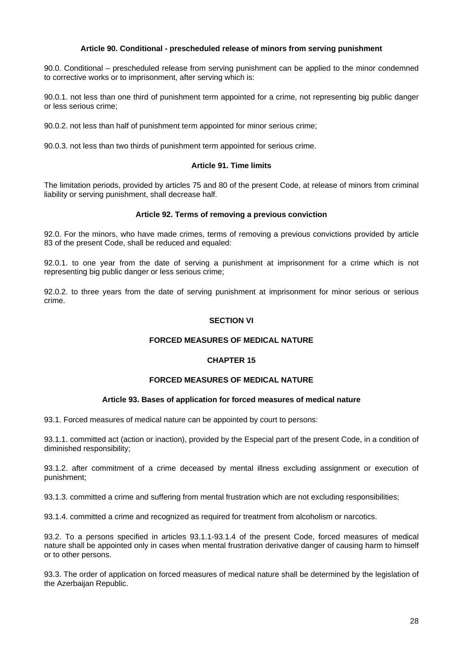## **Article 90. Conditional - prescheduled release of minors from serving punishment**

90.0. Conditional – prescheduled release from serving punishment can be applied to the minor condemned to corrective works or to imprisonment, after serving which is:

90.0.1. not less than one third of punishment term appointed for a crime, not representing big public danger or less serious crime;

90.0.2. not less than half of punishment term appointed for minor serious crime;

90.0.3. not less than two thirds of punishment term appointed for serious crime.

## **Article 91. Time limits**

The limitation periods, provided by articles 75 and 80 of the present Code, at release of minors from criminal liability or serving punishment, shall decrease half.

## **Article 92. Terms of removing a previous conviction**

92.0. For the minors, who have made crimes, terms of removing a previous convictions provided by article 83 of the present Code, shall be reduced and equaled:

92.0.1. to one year from the date of serving a punishment at imprisonment for a crime which is not representing big public danger or less serious crime;

92.0.2. to three years from the date of serving punishment at imprisonment for minor serious or serious crime.

# **SECTION VI**

# **FORCED MEASURES OF MEDICAL NATURE**

# **CHAPTER 15**

### **FORCED MEASURES OF MEDICAL NATURE**

### **Article 93. Bases of application for forced measures of medical nature**

93.1. Forced measures of medical nature can be appointed by court to persons:

93.1.1. committed act (action or inaction), provided by the Especial part of the present Code, in a condition of diminished responsibility;

93.1.2. after commitment of a crime deceased by mental illness excluding assignment or execution of punishment;

93.1.3. committed a crime and suffering from mental frustration which are not excluding responsibilities;

93.1.4. committed a crime and recognized as required for treatment from alcoholism or narcotics.

93.2. To a persons specified in articles 93.1.1-93.1.4 of the present Code, forced measures of medical nature shall be appointed only in cases when mental frustration derivative danger of causing harm to himself or to other persons.

93.3. The order of application on forced measures of medical nature shall be determined by the legislation of the Azerbaijan Republic.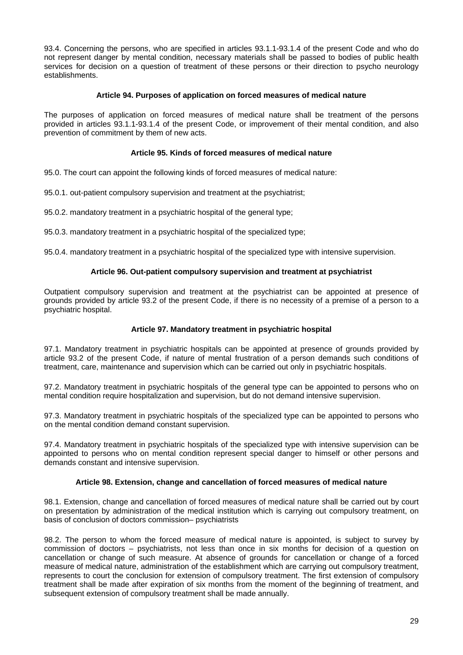93.4. Concerning the persons, who are specified in articles 93.1.1-93.1.4 of the present Code and who do not represent danger by mental condition, necessary materials shall be passed to bodies of public health services for decision on a question of treatment of these persons or their direction to psycho neurology establishments.

# **Article 94. Purposes of application on forced measures of medical nature**

The purposes of application on forced measures of medical nature shall be treatment of the persons provided in articles 93.1.1-93.1.4 of the present Code, or improvement of their mental condition, and also prevention of commitment by them of new acts.

# **Article 95. Kinds of forced measures of medical nature**

95.0. The court can appoint the following kinds of forced measures of medical nature:

95.0.1. out-patient compulsory supervision and treatment at the psychiatrist;

95.0.2. mandatory treatment in a psychiatric hospital of the general type;

95.0.3. mandatory treatment in a psychiatric hospital of the specialized type;

95.0.4. mandatory treatment in a psychiatric hospital of the specialized type with intensive supervision.

## **Article 96. Out-patient compulsory supervision and treatment at psychiatrist**

Outpatient compulsory supervision and treatment at the psychiatrist can be appointed at presence of grounds provided by article 93.2 of the present Code, if there is no necessity of a premise of a person to a psychiatric hospital.

## **Article 97. Mandatory treatment in psychiatric hospital**

97.1. Mandatory treatment in psychiatric hospitals can be appointed at presence of grounds provided by article 93.2 of the present Code, if nature of mental frustration of a person demands such conditions of treatment, care, maintenance and supervision which can be carried out only in psychiatric hospitals.

97.2. Mandatory treatment in psychiatric hospitals of the general type can be appointed to persons who on mental condition require hospitalization and supervision, but do not demand intensive supervision.

97.3. Mandatory treatment in psychiatric hospitals of the specialized type can be appointed to persons who on the mental condition demand constant supervision.

97.4. Mandatory treatment in psychiatric hospitals of the specialized type with intensive supervision can be appointed to persons who on mental condition represent special danger to himself or other persons and demands constant and intensive supervision.

### **Article 98. Extension, change and cancellation of forced measures of medical nature**

98.1. Extension, change and cancellation of forced measures of medical nature shall be carried out by court on presentation by administration of the medical institution which is carrying out compulsory treatment, on basis of conclusion of doctors commission– psychiatrists

98.2. The person to whom the forced measure of medical nature is appointed, is subject to survey by commission of doctors – psychiatrists, not less than once in six months for decision of a question on cancellation or change of such measure. At absence of grounds for cancellation or change of a forced measure of medical nature, administration of the establishment which are carrying out compulsory treatment, represents to court the conclusion for extension of compulsory treatment. The first extension of compulsory treatment shall be made after expiration of six months from the moment of the beginning of treatment, and subsequent extension of compulsory treatment shall be made annually.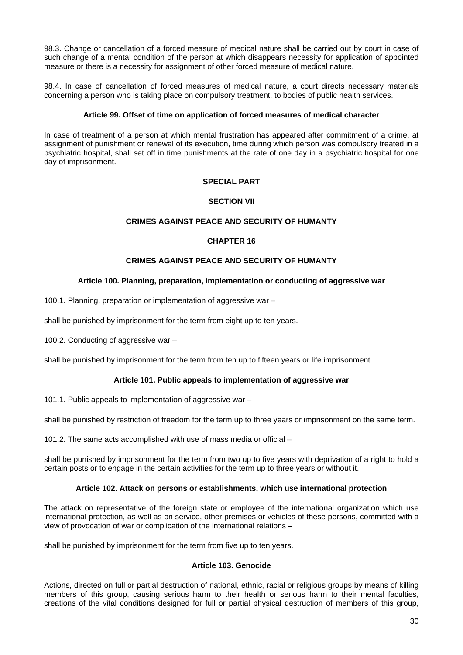98.3. Change or cancellation of a forced measure of medical nature shall be carried out by court in case of such change of a mental condition of the person at which disappears necessity for application of appointed measure or there is a necessity for assignment of other forced measure of medical nature.

98.4. In case of cancellation of forced measures of medical nature, a court directs necessary materials concerning a person who is taking place on compulsory treatment, to bodies of public health services.

# **Article 99. Offset of time on application of forced measures of medical character**

In case of treatment of a person at which mental frustration has appeared after commitment of a crime, at assignment of punishment or renewal of its execution, time during which person was compulsory treated in a psychiatric hospital, shall set off in time punishments at the rate of one day in a psychiatric hospital for one day of imprisonment.

## **SPECIAL PART**

## **SECTION VII**

## **CRIMES AGAINST PEACE AND SECURITY OF HUMANTY**

## **CHAPTER 16**

## **CRIMES AGAINST PEACE AND SECURITY OF HUMANTY**

## **Article 100. Planning, preparation, implementation or conducting of aggressive war**

100.1. Planning, preparation or implementation of aggressive war –

shall be punished by imprisonment for the term from eight up to ten years.

100.2. Conducting of aggressive war –

shall be punished by imprisonment for the term from ten up to fifteen years or life imprisonment.

# **Article 101. Public appeals to implementation of aggressive war**

101.1. Public appeals to implementation of aggressive war –

shall be punished by restriction of freedom for the term up to three years or imprisonment on the same term.

101.2. The same acts accomplished with use of mass media or official –

shall be punished by imprisonment for the term from two up to five years with deprivation of a right to hold a certain posts or to engage in the certain activities for the term up to three years or without it.

### **Article 102. Attack on persons or establishments, which use international protection**

The attack on representative of the foreign state or employee of the international organization which use international protection, as well as on service, other premises or vehicles of these persons, committed with a view of provocation of war or complication of the international relations –

shall be punished by imprisonment for the term from five up to ten years.

## **Article 103. Genocide**

Actions, directed on full or partial destruction of national, ethnic, racial or religious groups by means of killing members of this group, causing serious harm to their health or serious harm to their mental faculties, creations of the vital conditions designed for full or partial physical destruction of members of this group,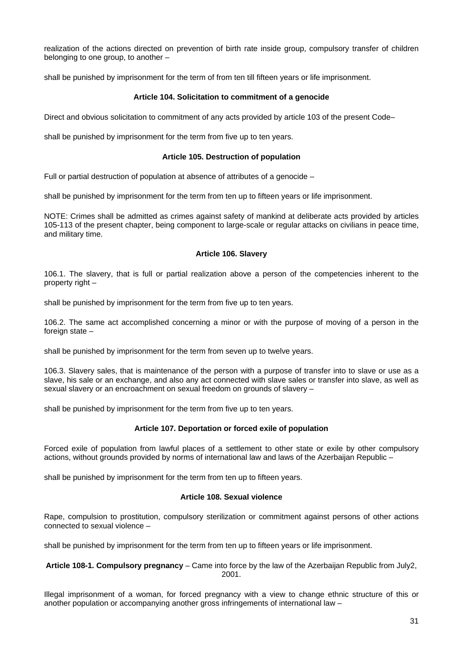realization of the actions directed on prevention of birth rate inside group, compulsory transfer of children belonging to one group, to another –

shall be punished by imprisonment for the term of from ten till fifteen years or life imprisonment.

### **Article 104. Solicitation to commitment of a genocide**

Direct and obvious solicitation to commitment of any acts provided by article 103 of the present Code–

shall be punished by imprisonment for the term from five up to ten years.

### **Article 105. Destruction of population**

Full or partial destruction of population at absence of attributes of a genocide –

shall be punished by imprisonment for the term from ten up to fifteen years or life imprisonment.

NOTE: Crimes shall be admitted as crimes against safety of mankind at deliberate acts provided by articles 105-113 of the present chapter, being component to large-scale or regular attacks on civilians in peace time, and military time.

## **Article 106. Slavery**

106.1. The slavery, that is full or partial realization above a person of the competencies inherent to the property right –

shall be punished by imprisonment for the term from five up to ten years.

106.2. The same act accomplished concerning a minor or with the purpose of moving of a person in the foreign state –

shall be punished by imprisonment for the term from seven up to twelve years.

106.3. Slavery sales, that is maintenance of the person with a purpose of transfer into to slave or use as a slave, his sale or an exchange, and also any act connected with slave sales or transfer into slave, as well as sexual slavery or an encroachment on sexual freedom on grounds of slavery –

shall be punished by imprisonment for the term from five up to ten years.

# **Article 107. Deportation or forced exile of population**

Forced exile of population from lawful places of a settlement to other state or exile by other compulsory actions, without grounds provided by norms of international law and laws of the Azerbaijan Republic –

shall be punished by imprisonment for the term from ten up to fifteen years.

## **Article 108. Sexual violence**

Rape, compulsion to prostitution, compulsory sterilization or commitment against persons of other actions connected to sexual violence –

shall be punished by imprisonment for the term from ten up to fifteen years or life imprisonment.

**Article 108-1. Compulsory pregnancy** – Came into force by the law of the Azerbaijan Republic from July2, 2001.

Illegal imprisonment of a woman, for forced pregnancy with a view to change ethnic structure of this or another population or accompanying another gross infringements of international law –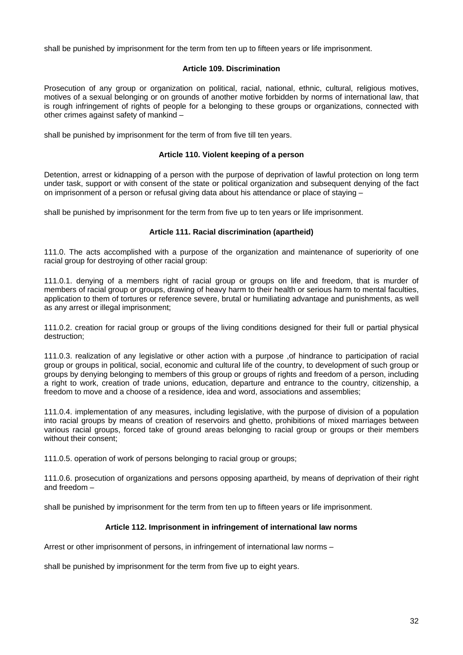shall be punished by imprisonment for the term from ten up to fifteen years or life imprisonment.

## **Article 109. Discrimination**

Prosecution of any group or organization on political, racial, national, ethnic, cultural, religious motives, motives of a sexual belonging or on grounds of another motive forbidden by norms of international law, that is rough infringement of rights of people for a belonging to these groups or organizations, connected with other crimes against safety of mankind –

shall be punished by imprisonment for the term of from five till ten years.

### **Article 110. Violent keeping of a person**

Detention, arrest or kidnapping of a person with the purpose of deprivation of lawful protection on long term under task, support or with consent of the state or political organization and subsequent denying of the fact on imprisonment of a person or refusal giving data about his attendance or place of staying –

shall be punished by imprisonment for the term from five up to ten years or life imprisonment.

# **Article 111. Racial discrimination (apartheid)**

111.0. The acts accomplished with a purpose of the organization and maintenance of superiority of one racial group for destroying of other racial group:

111.0.1. denying of a members right of racial group or groups on life and freedom, that is murder of members of racial group or groups, drawing of heavy harm to their health or serious harm to mental faculties, application to them of tortures or reference severe, brutal or humiliating advantage and punishments, as well as any arrest or illegal imprisonment;

111.0.2. creation for racial group or groups of the living conditions designed for their full or partial physical destruction;

111.0.3. realization of any legislative or other action with a purpose ,of hindrance to participation of racial group or groups in political, social, economic and cultural life of the country, to development of such group or groups by denying belonging to members of this group or groups of rights and freedom of a person, including a right to work, creation of trade unions, education, departure and entrance to the country, citizenship, a freedom to move and a choose of a residence, idea and word, associations and assemblies;

111.0.4. implementation of any measures, including legislative, with the purpose of division of a population into racial groups by means of creation of reservoirs and ghetto, prohibitions of mixed marriages between various racial groups, forced take of ground areas belonging to racial group or groups or their members without their consent;

111.0.5. operation of work of persons belonging to racial group or groups;

111.0.6. prosecution of organizations and persons opposing apartheid, by means of deprivation of their right and freedom –

shall be punished by imprisonment for the term from ten up to fifteen years or life imprisonment.

# **Article 112. Imprisonment in infringement of international law norms**

Arrest or other imprisonment of persons, in infringement of international law norms –

shall be punished by imprisonment for the term from five up to eight years.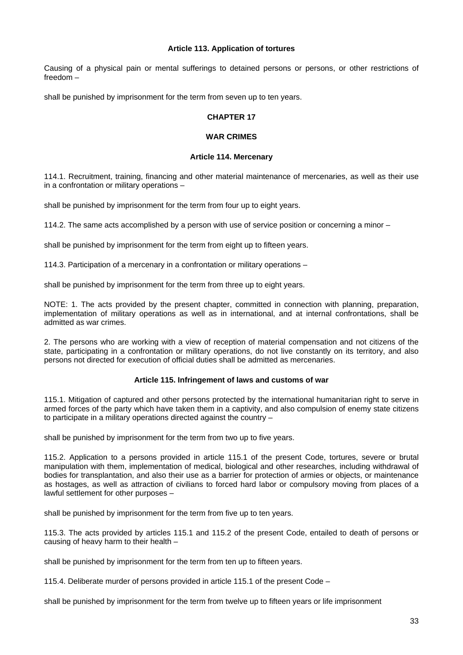## **Article 113. Application of tortures**

Causing of a physical pain or mental sufferings to detained persons or persons, or other restrictions of freedom –

shall be punished by imprisonment for the term from seven up to ten years.

## **CHAPTER 17**

### **WAR CRIMES**

### **Article 114. Mercenary**

114.1. Recruitment, training, financing and other material maintenance of mercenaries, as well as their use in a confrontation or military operations –

shall be punished by imprisonment for the term from four up to eight years.

114.2. The same acts accomplished by a person with use of service position or concerning a minor –

shall be punished by imprisonment for the term from eight up to fifteen years.

114.3. Participation of a mercenary in a confrontation or military operations –

shall be punished by imprisonment for the term from three up to eight years.

NOTE: 1. The acts provided by the present chapter, committed in connection with planning, preparation, implementation of military operations as well as in international, and at internal confrontations, shall be admitted as war crimes.

2. The persons who are working with a view of reception of material compensation and not citizens of the state, participating in a confrontation or military operations, do not live constantly on its territory, and also persons not directed for execution of official duties shall be admitted as mercenaries.

# **Article 115. Infringement of laws and customs of war**

115.1. Mitigation of captured and other persons protected by the international humanitarian right to serve in armed forces of the party which have taken them in a captivity, and also compulsion of enemy state citizens to participate in a military operations directed against the country –

shall be punished by imprisonment for the term from two up to five years.

115.2. Application to a persons provided in article 115.1 of the present Code, tortures, severe or brutal manipulation with them, implementation of medical, biological and other researches, including withdrawal of bodies for transplantation, and also their use as a barrier for protection of armies or objects, or maintenance as hostages, as well as attraction of civilians to forced hard labor or compulsory moving from places of a lawful settlement for other purposes –

shall be punished by imprisonment for the term from five up to ten years.

115.3. The acts provided by articles 115.1 and 115.2 of the present Code, entailed to death of persons or causing of heavy harm to their health –

shall be punished by imprisonment for the term from ten up to fifteen years.

115.4. Deliberate murder of persons provided in article 115.1 of the present Code –

shall be punished by imprisonment for the term from twelve up to fifteen years or life imprisonment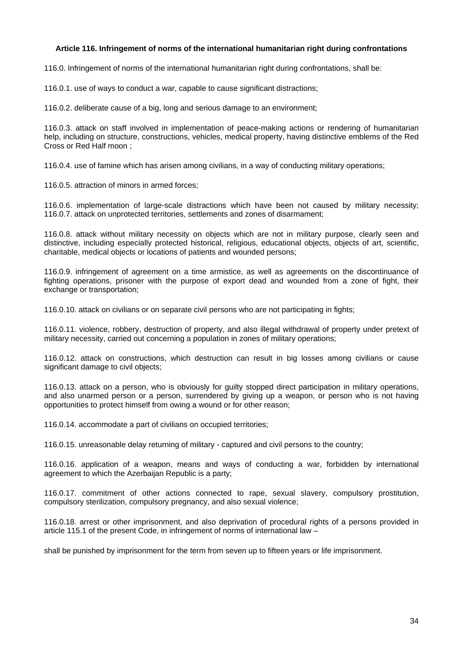# **Article 116. Infringement of norms of the international humanitarian right during confrontations**

116.0. Infringement of norms of the international humanitarian right during confrontations, shall be:

116.0.1. use of ways to conduct a war, capable to cause significant distractions;

116.0.2. deliberate cause of a big, long and serious damage to an environment;

116.0.3. attack on staff involved in implementation of peace-making actions or rendering of humanitarian help, including on structure, constructions, vehicles, medical property, having distinctive emblems of the Red Cross or Red Half moon ;

116.0.4. use of famine which has arisen among civilians, in a way of conducting military operations;

116.0.5. attraction of minors in armed forces;

116.0.6. implementation of large-scale distractions which have been not caused by military necessity; 116.0.7. attack on unprotected territories, settlements and zones of disarmament;

116.0.8. attack without military necessity on objects which are not in military purpose, clearly seen and distinctive, including especially protected historical, religious, educational objects, objects of art, scientific, charitable, medical objects or locations of patients and wounded persons;

116.0.9. infringement of agreement on a time armistice, as well as agreements on the discontinuance of fighting operations, prisoner with the purpose of export dead and wounded from a zone of fight, their exchange or transportation;

116.0.10. attack on civilians or on separate civil persons who are not participating in fights;

116.0.11. violence, robbery, destruction of property, and also illegal withdrawal of property under pretext of military necessity, carried out concerning a population in zones of military operations;

116.0.12. attack on constructions, which destruction can result in big losses among civilians or cause significant damage to civil objects;

116.0.13. attack on a person, who is obviously for guilty stopped direct participation in military operations, and also unarmed person or a person, surrendered by giving up a weapon, or person who is not having opportunities to protect himself from owing a wound or for other reason;

116.0.14. accommodate a part of civilians on occupied territories;

116.0.15. unreasonable delay returning of military - captured and civil persons to the country;

116.0.16. application of a weapon, means and ways of conducting a war, forbidden by international agreement to which the Azerbaijan Republic is a party;

116.0.17. commitment of other actions connected to rape, sexual slavery, compulsory prostitution, compulsory sterilization, compulsory pregnancy, and also sexual violence;

116.0.18. arrest or other imprisonment, and also deprivation of procedural rights of a persons provided in article 115.1 of the present Code, in infringement of norms of international law –

shall be punished by imprisonment for the term from seven up to fifteen years or life imprisonment.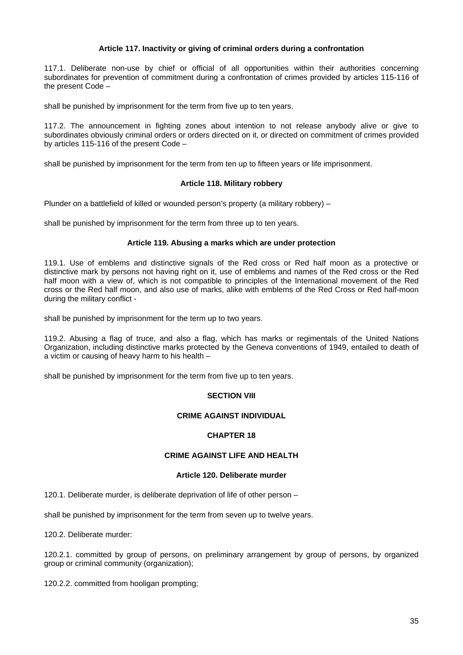# **Article 117. Inactivity or giving of criminal orders during a confrontation**

117.1. Deliberate non-use by chief or official of all opportunities within their authorities concerning subordinates for prevention of commitment during a confrontation of crimes provided by articles 115-116 of the present Code –

shall be punished by imprisonment for the term from five up to ten years.

117.2. The announcement in fighting zones about intention to not release anybody alive or give to subordinates obviously criminal orders or orders directed on it, or directed on commitment of crimes provided by articles 115-116 of the present Code –

shall be punished by imprisonment for the term from ten up to fifteen years or life imprisonment.

# **Article 118. Military robbery**

Plunder on a battlefield of killed or wounded person's property (a military robbery) –

shall be punished by imprisonment for the term from three up to ten years.

## **Article 119. Abusing a marks which are under protection**

119.1. Use of emblems and distinctive signals of the Red cross or Red half moon as a protective or distinctive mark by persons not having right on it, use of emblems and names of the Red cross or the Red half moon with a view of, which is not compatible to principles of the International movement of the Red cross or the Red half moon, and also use of marks, alike with emblems of the Red Cross or Red half-moon during the military conflict -

shall be punished by imprisonment for the term up to two years.

119.2. Abusing a flag of truce, and also a flag, which has marks or regimentals of the United Nations Organization, including distinctive marks protected by the Geneva conventions of 1949, entailed to death of a victim or causing of heavy harm to his health –

shall be punished by imprisonment for the term from five up to ten years.

# **SECTION VIII**

## **CRIME AGAINST INDIVIDUAL**

# **CHAPTER 18**

# **CRIME AGAINST LIFE AND HEALTH**

### **Article 120. Deliberate murder**

120.1. Deliberate murder, is deliberate deprivation of life of other person –

shall be punished by imprisonment for the term from seven up to twelve years.

120.2. Deliberate murder:

120.2.1. committed by group of persons, on preliminary arrangement by group of persons, by organized group or criminal community (organization);

120.2.2. committed from hooligan prompting;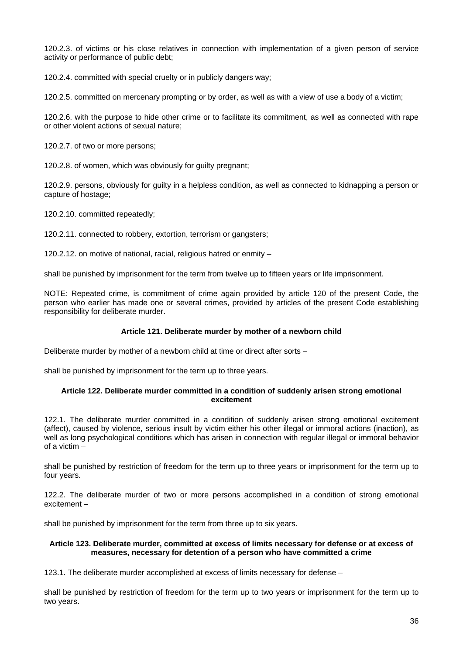120.2.3. of victims or his close relatives in connection with implementation of a given person of service activity or performance of public debt;

120.2.4. committed with special cruelty or in publicly dangers way;

120.2.5. committed on mercenary prompting or by order, as well as with a view of use a body of a victim;

120.2.6. with the purpose to hide other crime or to facilitate its commitment, as well as connected with rape or other violent actions of sexual nature;

120.2.7. of two or more persons;

120.2.8. of women, which was obviously for guilty pregnant;

120.2.9. persons, obviously for guilty in a helpless condition, as well as connected to kidnapping a person or capture of hostage;

120.2.10. committed repeatedly;

120.2.11. connected to robbery, extortion, terrorism or gangsters;

120.2.12. on motive of national, racial, religious hatred or enmity –

shall be punished by imprisonment for the term from twelve up to fifteen years or life imprisonment.

NOTE: Repeated crime, is commitment of crime again provided by article 120 of the present Code, the person who earlier has made one or several crimes, provided by articles of the present Code establishing responsibility for deliberate murder.

## **Article 121. Deliberate murder by mother of a newborn child**

Deliberate murder by mother of a newborn child at time or direct after sorts –

shall be punished by imprisonment for the term up to three years.

### **Article 122. Deliberate murder committed in a condition of suddenly arisen strong emotional excitement**

122.1. The deliberate murder committed in a condition of suddenly arisen strong emotional excitement (affect), caused by violence, serious insult by victim either his other illegal or immoral actions (inaction), as well as long psychological conditions which has arisen in connection with regular illegal or immoral behavior of a victim –

shall be punished by restriction of freedom for the term up to three years or imprisonment for the term up to four years.

122.2. The deliberate murder of two or more persons accomplished in a condition of strong emotional excitement –

shall be punished by imprisonment for the term from three up to six years.

## **Article 123. Deliberate murder, committed at excess of limits necessary for defense or at excess of measures, necessary for detention of a person who have committed a crime**

123.1. The deliberate murder accomplished at excess of limits necessary for defense –

shall be punished by restriction of freedom for the term up to two years or imprisonment for the term up to two years.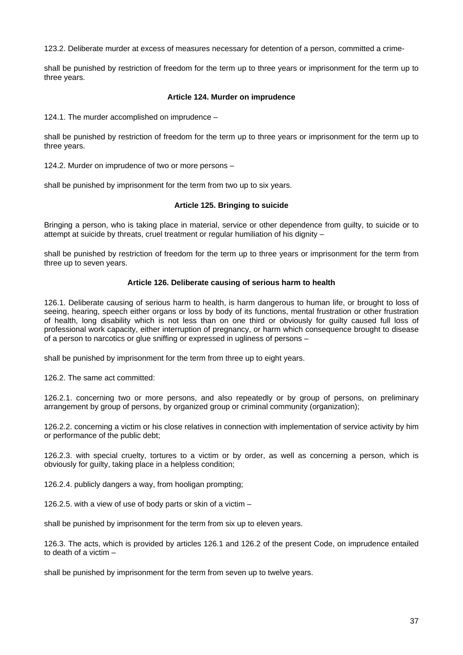123.2. Deliberate murder at excess of measures necessary for detention of a person, committed a crime-

shall be punished by restriction of freedom for the term up to three years or imprisonment for the term up to three years.

## **Article 124. Murder on imprudence**

124.1. The murder accomplished on imprudence –

shall be punished by restriction of freedom for the term up to three years or imprisonment for the term up to three years.

124.2. Murder on imprudence of two or more persons –

shall be punished by imprisonment for the term from two up to six years.

## **Article 125. Bringing to suicide**

Bringing a person, who is taking place in material, service or other dependence from guilty, to suicide or to attempt at suicide by threats, cruel treatment or regular humiliation of his dignity –

shall be punished by restriction of freedom for the term up to three years or imprisonment for the term from three up to seven years.

## **Article 126. Deliberate causing of serious harm to health**

126.1. Deliberate causing of serious harm to health, is harm dangerous to human life, or brought to loss of seeing, hearing, speech either organs or loss by body of its functions, mental frustration or other frustration of health, long disability which is not less than on one third or obviously for guilty caused full loss of professional work capacity, either interruption of pregnancy, or harm which consequence brought to disease of a person to narcotics or glue sniffing or expressed in ugliness of persons –

shall be punished by imprisonment for the term from three up to eight years.

126.2. The same act committed:

126.2.1. concerning two or more persons, and also repeatedly or by group of persons, on preliminary arrangement by group of persons, by organized group or criminal community (organization);

126.2.2. concerning a victim or his close relatives in connection with implementation of service activity by him or performance of the public debt;

126.2.3. with special cruelty, tortures to a victim or by order, as well as concerning a person, which is obviously for guilty, taking place in a helpless condition;

126.2.4. publicly dangers a way, from hooligan prompting;

126.2.5. with a view of use of body parts or skin of a victim –

shall be punished by imprisonment for the term from six up to eleven years.

126.3. The acts, which is provided by articles 126.1 and 126.2 of the present Code, on imprudence entailed to death of a victim –

shall be punished by imprisonment for the term from seven up to twelve years.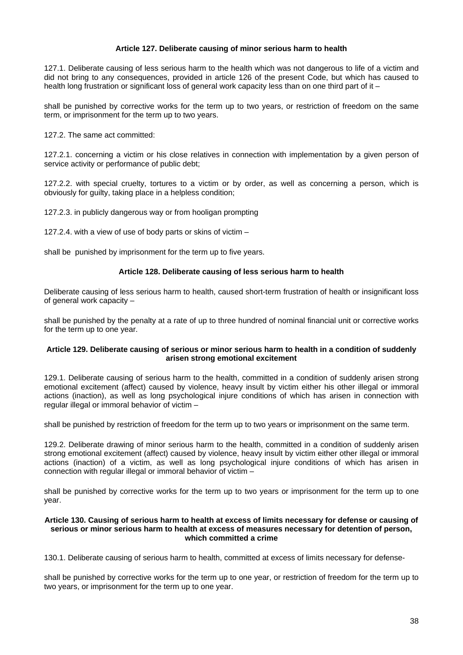## **Article 127. Deliberate causing of minor serious harm to health**

127.1. Deliberate causing of less serious harm to the health which was not dangerous to life of a victim and did not bring to any consequences, provided in article 126 of the present Code, but which has caused to health long frustration or significant loss of general work capacity less than on one third part of it –

shall be punished by corrective works for the term up to two years, or restriction of freedom on the same term, or imprisonment for the term up to two years.

127.2. The same act committed:

127.2.1. concerning a victim or his close relatives in connection with implementation by a given person of service activity or performance of public debt;

127.2.2. with special cruelty, tortures to a victim or by order, as well as concerning a person, which is obviously for guilty, taking place in a helpless condition;

127.2.3. in publicly dangerous way or from hooligan prompting

127.2.4. with a view of use of body parts or skins of victim –

shall be punished by imprisonment for the term up to five years.

## **Article 128. Deliberate causing of less serious harm to health**

Deliberate causing of less serious harm to health, caused short-term frustration of health or insignificant loss of general work capacity –

shall be punished by the penalty at a rate of up to three hundred of nominal financial unit or corrective works for the term up to one year.

## **Article 129. Deliberate causing of serious or minor serious harm to health in a condition of suddenly arisen strong emotional excitement**

129.1. Deliberate causing of serious harm to the health, committed in a condition of suddenly arisen strong emotional excitement (affect) caused by violence, heavy insult by victim either his other illegal or immoral actions (inaction), as well as long psychological injure conditions of which has arisen in connection with regular illegal or immoral behavior of victim –

shall be punished by restriction of freedom for the term up to two years or imprisonment on the same term.

129.2. Deliberate drawing of minor serious harm to the health, committed in a condition of suddenly arisen strong emotional excitement (affect) caused by violence, heavy insult by victim either other illegal or immoral actions (inaction) of a victim, as well as long psychological injure conditions of which has arisen in connection with regular illegal or immoral behavior of victim –

shall be punished by corrective works for the term up to two years or imprisonment for the term up to one year.

#### **Article 130. Causing of serious harm to health at excess of limits necessary for defense or causing of serious or minor serious harm to health at excess of measures necessary for detention of person, which committed a crime**

130.1. Deliberate causing of serious harm to health, committed at excess of limits necessary for defense-

shall be punished by corrective works for the term up to one year, or restriction of freedom for the term up to two years, or imprisonment for the term up to one year.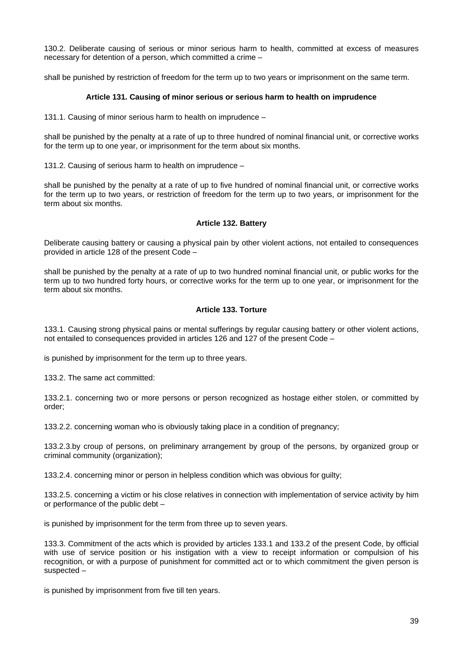130.2. Deliberate causing of serious or minor serious harm to health, committed at excess of measures necessary for detention of a person, which committed a crime –

shall be punished by restriction of freedom for the term up to two years or imprisonment on the same term.

### **Article 131. Causing of minor serious or serious harm to health on imprudence**

131.1. Causing of minor serious harm to health on imprudence –

shall be punished by the penalty at a rate of up to three hundred of nominal financial unit, or corrective works for the term up to one year, or imprisonment for the term about six months.

131.2. Causing of serious harm to health on imprudence –

shall be punished by the penalty at a rate of up to five hundred of nominal financial unit, or corrective works for the term up to two years, or restriction of freedom for the term up to two years, or imprisonment for the term about six months.

## **Article 132. Battery**

Deliberate causing battery or causing a physical pain by other violent actions, not entailed to consequences provided in article 128 of the present Code –

shall be punished by the penalty at a rate of up to two hundred nominal financial unit, or public works for the term up to two hundred forty hours, or corrective works for the term up to one year, or imprisonment for the term about six months.

## **Article 133. Torture**

133.1. Causing strong physical pains or mental sufferings by regular causing battery or other violent actions, not entailed to consequences provided in articles 126 and 127 of the present Code –

is punished by imprisonment for the term up to three years.

133.2. The same act committed:

133.2.1. concerning two or more persons or person recognized as hostage either stolen, or committed by order;

133.2.2. concerning woman who is obviously taking place in a condition of pregnancy;

133.2.3.by croup of persons, on preliminary arrangement by group of the persons, by organized group or criminal community (organization);

133.2.4. concerning minor or person in helpless condition which was obvious for guilty;

133.2.5. concerning a victim or his close relatives in connection with implementation of service activity by him or performance of the public debt –

is punished by imprisonment for the term from three up to seven years.

133.3. Commitment of the acts which is provided by articles 133.1 and 133.2 of the present Code, by official with use of service position or his instigation with a view to receipt information or compulsion of his recognition, or with a purpose of punishment for committed act or to which commitment the given person is suspected –

is punished by imprisonment from five till ten years.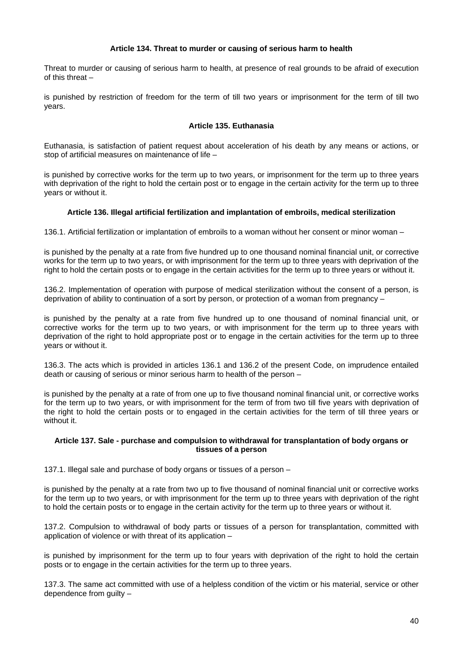## **Article 134. Threat to murder or causing of serious harm to health**

Threat to murder or causing of serious harm to health, at presence of real grounds to be afraid of execution of this threat –

is punished by restriction of freedom for the term of till two years or imprisonment for the term of till two years.

# **Article 135. Euthanasia**

Euthanasia, is satisfaction of patient request about acceleration of his death by any means or actions, or stop of artificial measures on maintenance of life –

is punished by corrective works for the term up to two years, or imprisonment for the term up to three years with deprivation of the right to hold the certain post or to engage in the certain activity for the term up to three years or without it.

## **Article 136. Illegal artificial fertilization and implantation of embroils, medical sterilization**

136.1. Artificial fertilization or implantation of embroils to a woman without her consent or minor woman –

is punished by the penalty at a rate from five hundred up to one thousand nominal financial unit, or corrective works for the term up to two years, or with imprisonment for the term up to three years with deprivation of the right to hold the certain posts or to engage in the certain activities for the term up to three years or without it.

136.2. Implementation of operation with purpose of medical sterilization without the consent of a person, is deprivation of ability to continuation of a sort by person, or protection of a woman from pregnancy –

is punished by the penalty at a rate from five hundred up to one thousand of nominal financial unit, or corrective works for the term up to two years, or with imprisonment for the term up to three years with deprivation of the right to hold appropriate post or to engage in the certain activities for the term up to three years or without it.

136.3. The acts which is provided in articles 136.1 and 136.2 of the present Code, on imprudence entailed death or causing of serious or minor serious harm to health of the person –

is punished by the penalty at a rate of from one up to five thousand nominal financial unit, or corrective works for the term up to two years, or with imprisonment for the term of from two till five years with deprivation of the right to hold the certain posts or to engaged in the certain activities for the term of till three years or without it.

## **Article 137. Sale - purchase and compulsion to withdrawal for transplantation of body organs or tissues of a person**

137.1. Illegal sale and purchase of body organs or tissues of a person –

is punished by the penalty at a rate from two up to five thousand of nominal financial unit or corrective works for the term up to two years, or with imprisonment for the term up to three years with deprivation of the right to hold the certain posts or to engage in the certain activity for the term up to three years or without it.

137.2. Compulsion to withdrawal of body parts or tissues of a person for transplantation, committed with application of violence or with threat of its application –

is punished by imprisonment for the term up to four years with deprivation of the right to hold the certain posts or to engage in the certain activities for the term up to three years.

137.3. The same act committed with use of a helpless condition of the victim or his material, service or other dependence from guilty –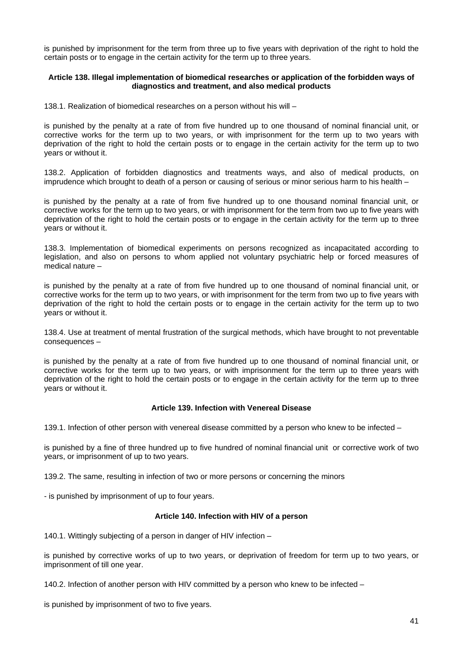is punished by imprisonment for the term from three up to five years with deprivation of the right to hold the certain posts or to engage in the certain activity for the term up to three years.

### **Article 138. Illegal implementation of biomedical researches or application of the forbidden ways of diagnostics and treatment, and also medical products**

138.1. Realization of biomedical researches on a person without his will –

is punished by the penalty at a rate of from five hundred up to one thousand of nominal financial unit, or corrective works for the term up to two years, or with imprisonment for the term up to two years with deprivation of the right to hold the certain posts or to engage in the certain activity for the term up to two years or without it.

138.2. Application of forbidden diagnostics and treatments ways, and also of medical products, on imprudence which brought to death of a person or causing of serious or minor serious harm to his health –

is punished by the penalty at a rate of from five hundred up to one thousand nominal financial unit, or corrective works for the term up to two years, or with imprisonment for the term from two up to five years with deprivation of the right to hold the certain posts or to engage in the certain activity for the term up to three years or without it.

138.3. Implementation of biomedical experiments on persons recognized as incapacitated according to legislation, and also on persons to whom applied not voluntary psychiatric help or forced measures of medical nature –

is punished by the penalty at a rate of from five hundred up to one thousand of nominal financial unit, or corrective works for the term up to two years, or with imprisonment for the term from two up to five years with deprivation of the right to hold the certain posts or to engage in the certain activity for the term up to two years or without it.

138.4. Use at treatment of mental frustration of the surgical methods, which have brought to not preventable consequences –

is punished by the penalty at a rate of from five hundred up to one thousand of nominal financial unit, or corrective works for the term up to two years, or with imprisonment for the term up to three years with deprivation of the right to hold the certain posts or to engage in the certain activity for the term up to three years or without it.

## **Article 139. Infection with Venereal Disease**

139.1. Infection of other person with venereal disease committed by a person who knew to be infected –

is punished by a fine of three hundred up to five hundred of nominal financial unit or corrective work of two years, or imprisonment of up to two years.

139.2. The same, resulting in infection of two or more persons or concerning the minors

- is punished by imprisonment of up to four years.

# **Article 140. Infection with HIV of a person**

140.1. Wittingly subjecting of a person in danger of HIV infection –

is punished by corrective works of up to two years, or deprivation of freedom for term up to two years, or imprisonment of till one year.

140.2. Infection of another person with HIV committed by a person who knew to be infected –

is punished by imprisonment of two to five years.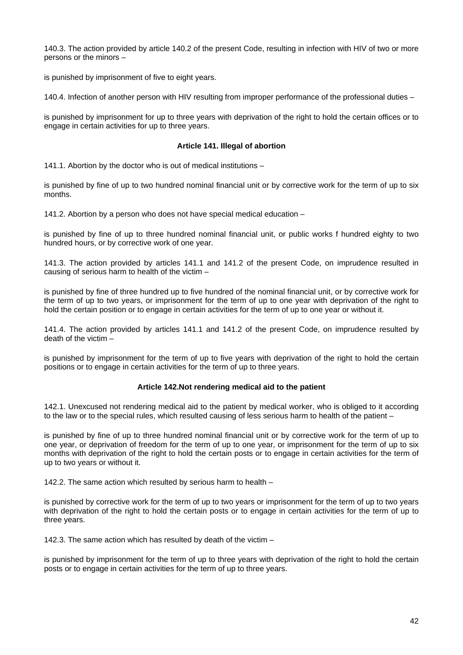140.3. The action provided by article 140.2 of the present Code, resulting in infection with HIV of two or more persons or the minors –

is punished by imprisonment of five to eight years.

140.4. Infection of another person with HIV resulting from improper performance of the professional duties –

is punished by imprisonment for up to three years with deprivation of the right to hold the certain offices or to engage in certain activities for up to three years.

### **Article 141. Illegal of abortion**

141.1. Abortion by the doctor who is out of medical institutions –

is punished by fine of up to two hundred nominal financial unit or by corrective work for the term of up to six months.

141.2. Abortion by a person who does not have special medical education –

is punished by fine of up to three hundred nominal financial unit, or public works f hundred eighty to two hundred hours, or by corrective work of one year.

141.3. The action provided by articles 141.1 and 141.2 of the present Code, on imprudence resulted in causing of serious harm to health of the victim –

is punished by fine of three hundred up to five hundred of the nominal financial unit, or by corrective work for the term of up to two years, or imprisonment for the term of up to one year with deprivation of the right to hold the certain position or to engage in certain activities for the term of up to one year or without it.

141.4. The action provided by articles 141.1 and 141.2 of the present Code, on imprudence resulted by death of the victim –

is punished by imprisonment for the term of up to five years with deprivation of the right to hold the certain positions or to engage in certain activities for the term of up to three years.

## **Article 142.Not rendering medical aid to the patient**

142.1. Unexcused not rendering medical aid to the patient by medical worker, who is obliged to it according to the law or to the special rules, which resulted causing of less serious harm to health of the patient –

is punished by fine of up to three hundred nominal financial unit or by corrective work for the term of up to one year, or deprivation of freedom for the term of up to one year, or imprisonment for the term of up to six months with deprivation of the right to hold the certain posts or to engage in certain activities for the term of up to two years or without it.

142.2. The same action which resulted by serious harm to health –

is punished by corrective work for the term of up to two years or imprisonment for the term of up to two years with deprivation of the right to hold the certain posts or to engage in certain activities for the term of up to three years.

142.3. The same action which has resulted by death of the victim –

is punished by imprisonment for the term of up to three years with deprivation of the right to hold the certain posts or to engage in certain activities for the term of up to three years.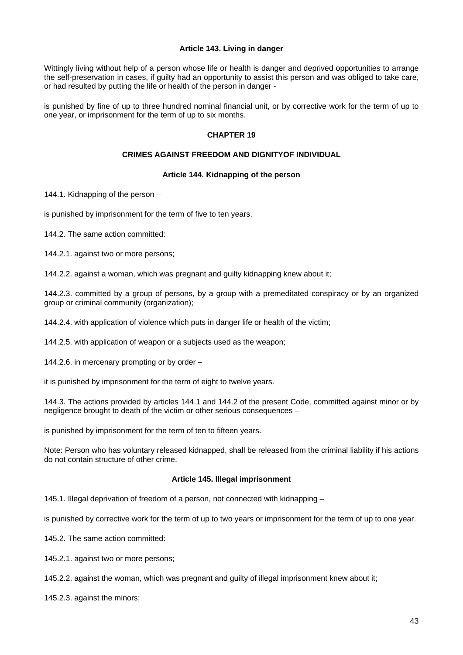## **Article 143. Living in danger**

Wittingly living without help of a person whose life or health is danger and deprived opportunities to arrange the self-preservation in cases, if guilty had an opportunity to assist this person and was obliged to take care, or had resulted by putting the life or health of the person in danger -

is punished by fine of up to three hundred nominal financial unit, or by corrective work for the term of up to one year, or imprisonment for the term of up to six months.

## **CHAPTER 19**

## **CRIMES AGAINST FREEDOM AND DIGNITYOF INDIVIDUAL**

## **Article 144. Kidnapping of the person**

144.1. Kidnapping of the person –

is punished by imprisonment for the term of five to ten years.

144.2. The same action committed:

144.2.1. against two or more persons;

144.2.2. against a woman, which was pregnant and guilty kidnapping knew about it;

144.2.3. committed by a group of persons, by a group with a premeditated conspiracy or by an organized group or criminal community (organization);

144.2.4. with application of violence which puts in danger life or health of the victim;

144.2.5. with application of weapon or a subjects used as the weapon;

144.2.6. in mercenary prompting or by order –

it is punished by imprisonment for the term of eight to twelve years.

144.3. The actions provided by articles 144.1 and 144.2 of the present Code, committed against minor or by negligence brought to death of the victim or other serious consequences –

is punished by imprisonment for the term of ten to fifteen years.

Note: Person who has voluntary released kidnapped, shall be released from the criminal liability if his actions do not contain structure of other crime.

#### **Article 145. Illegal imprisonment**

145.1. Illegal deprivation of freedom of a person, not connected with kidnapping –

is punished by corrective work for the term of up to two years or imprisonment for the term of up to one year.

145.2. The same action committed:

145.2.1. against two or more persons;

145.2.2. against the woman, which was pregnant and guilty of illegal imprisonment knew about it;

145.2.3. against the minors;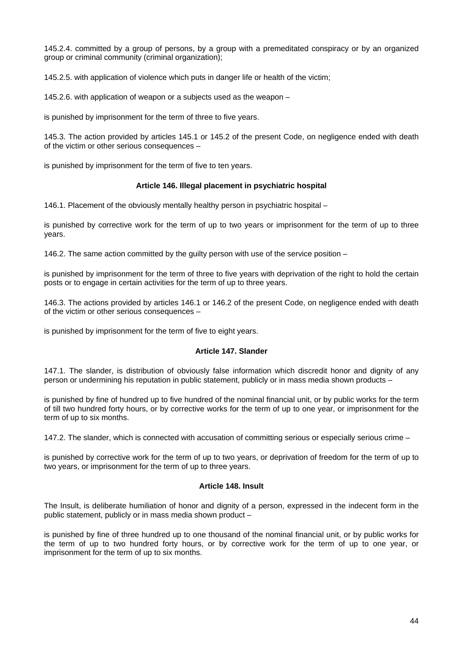145.2.4. committed by a group of persons, by a group with a premeditated conspiracy or by an organized group or criminal community (criminal organization);

145.2.5. with application of violence which puts in danger life or health of the victim;

145.2.6. with application of weapon or a subjects used as the weapon –

is punished by imprisonment for the term of three to five years.

145.3. The action provided by articles 145.1 or 145.2 of the present Code, on negligence ended with death of the victim or other serious consequences –

is punished by imprisonment for the term of five to ten years.

## **Article 146. Illegal placement in psychiatric hospital**

146.1. Placement of the obviously mentally healthy person in psychiatric hospital –

is punished by corrective work for the term of up to two years or imprisonment for the term of up to three years.

146.2. The same action committed by the guilty person with use of the service position –

is punished by imprisonment for the term of three to five years with deprivation of the right to hold the certain posts or to engage in certain activities for the term of up to three years.

146.3. The actions provided by articles 146.1 or 146.2 of the present Code, on negligence ended with death of the victim or other serious consequences –

is punished by imprisonment for the term of five to eight years.

#### **Article 147. Slander**

147.1. The slander, is distribution of obviously false information which discredit honor and dignity of any person or undermining his reputation in public statement, publicly or in mass media shown products –

is punished by fine of hundred up to five hundred of the nominal financial unit, or by public works for the term of till two hundred forty hours, or by corrective works for the term of up to one year, or imprisonment for the term of up to six months.

147.2. The slander, which is connected with accusation of committing serious or especially serious crime –

is punished by corrective work for the term of up to two years, or deprivation of freedom for the term of up to two years, or imprisonment for the term of up to three years.

#### **Article 148. Insult**

The Insult, is deliberate humiliation of honor and dignity of a person, expressed in the indecent form in the public statement, publicly or in mass media shown product –

is punished by fine of three hundred up to one thousand of the nominal financial unit, or by public works for the term of up to two hundred forty hours, or by corrective work for the term of up to one year, or imprisonment for the term of up to six months.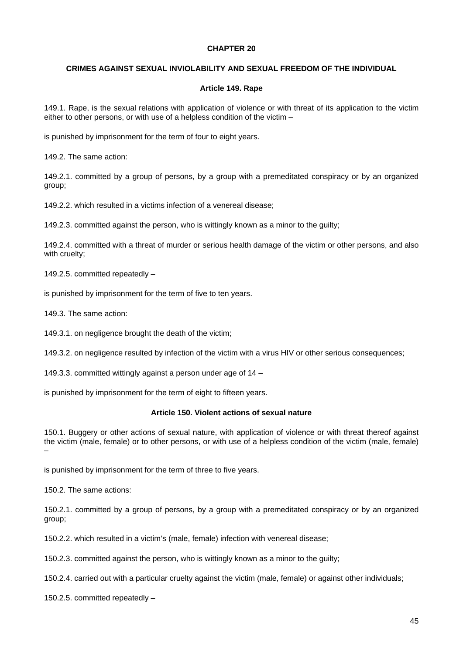### **CHAPTER 20**

## **CRIMES AGAINST SEXUAL INVIOLABILITY AND SEXUAL FREEDOM OF THE INDIVIDUAL**

#### **Article 149. Rape**

149.1. Rape, is the sexual relations with application of violence or with threat of its application to the victim either to other persons, or with use of a helpless condition of the victim –

is punished by imprisonment for the term of four to eight years.

149.2. The same action:

149.2.1. committed by a group of persons, by a group with a premeditated conspiracy or by an organized group;

149.2.2. which resulted in a victims infection of a venereal disease;

149.2.3. committed against the person, who is wittingly known as a minor to the guilty;

149.2.4. committed with a threat of murder or serious health damage of the victim or other persons, and also with cruelty;

149.2.5. committed repeatedly –

is punished by imprisonment for the term of five to ten years.

149.3. The same action:

149.3.1. on negligence brought the death of the victim;

149.3.2. on negligence resulted by infection of the victim with a virus HIV or other serious consequences;

149.3.3. committed wittingly against a person under age of 14 –

is punished by imprisonment for the term of eight to fifteen years.

#### **Article 150. Violent actions of sexual nature**

150.1. Buggery or other actions of sexual nature, with application of violence or with threat thereof against the victim (male, female) or to other persons, or with use of a helpless condition of the victim (male, female) –

is punished by imprisonment for the term of three to five years.

150.2. The same actions:

150.2.1. committed by a group of persons, by a group with a premeditated conspiracy or by an organized group;

150.2.2. which resulted in a victim's (male, female) infection with venereal disease;

150.2.3. committed against the person, who is wittingly known as a minor to the guilty;

150.2.4. carried out with a particular cruelty against the victim (male, female) or against other individuals;

150.2.5. committed repeatedly –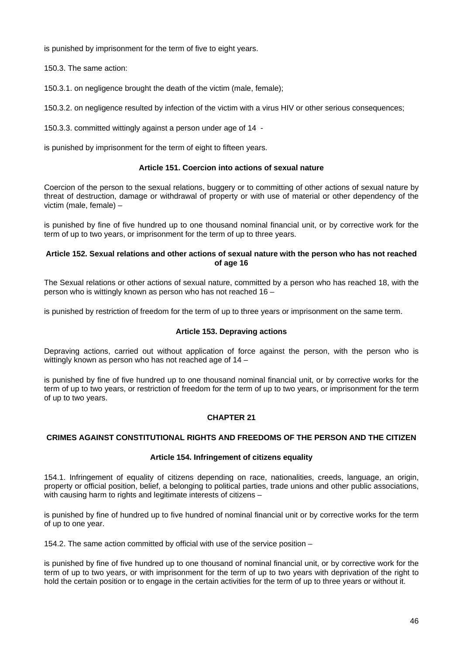is punished by imprisonment for the term of five to eight years.

150.3. The same action:

150.3.1. on negligence brought the death of the victim (male, female);

150.3.2. on negligence resulted by infection of the victim with a virus HIV or other serious consequences;

150.3.3. committed wittingly against a person under age of 14 -

is punished by imprisonment for the term of eight to fifteen years.

## **Article 151. Coercion into actions of sexual nature**

Coercion of the person to the sexual relations, buggery or to committing of other actions of sexual nature by threat of destruction, damage or withdrawal of property or with use of material or other dependency of the victim (male, female) –

is punished by fine of five hundred up to one thousand nominal financial unit, or by corrective work for the term of up to two years, or imprisonment for the term of up to three years.

## **Article 152. Sexual relations and other actions of sexual nature with the person who has not reached of age 16**

The Sexual relations or other actions of sexual nature, committed by a person who has reached 18, with the person who is wittingly known as person who has not reached 16 –

is punished by restriction of freedom for the term of up to three years or imprisonment on the same term.

## **Article 153. Depraving actions**

Depraving actions, carried out without application of force against the person, with the person who is wittingly known as person who has not reached age of 14 –

is punished by fine of five hundred up to one thousand nominal financial unit, or by corrective works for the term of up to two years, or restriction of freedom for the term of up to two years, or imprisonment for the term of up to two years.

## **CHAPTER 21**

## **CRIMES AGAINST CONSTITUTIONAL RIGHTS AND FREEDOMS OF THE PERSON AND THE CITIZEN**

#### **Article 154. Infringement of citizens equality**

154.1. Infringement of equality of citizens depending on race, nationalities, creeds, language, an origin, property or official position, belief, a belonging to political parties, trade unions and other public associations, with causing harm to rights and legitimate interests of citizens –

is punished by fine of hundred up to five hundred of nominal financial unit or by corrective works for the term of up to one year.

154.2. The same action committed by official with use of the service position –

is punished by fine of five hundred up to one thousand of nominal financial unit, or by corrective work for the term of up to two years, or with imprisonment for the term of up to two years with deprivation of the right to hold the certain position or to engage in the certain activities for the term of up to three years or without it.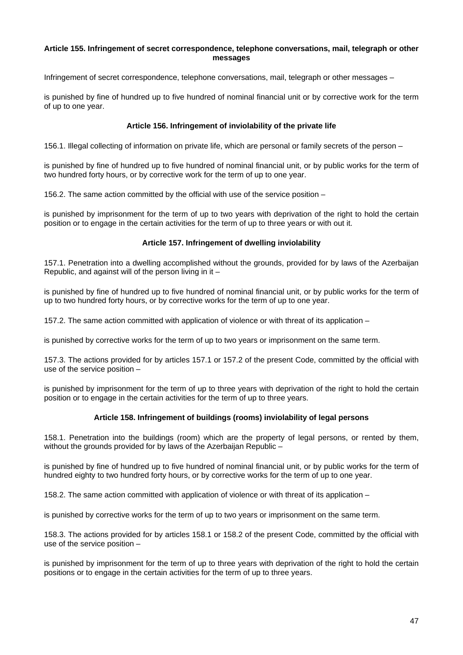### **Article 155. Infringement of secret correspondence, telephone conversations, mail, telegraph or other messages**

Infringement of secret correspondence, telephone conversations, mail, telegraph or other messages –

is punished by fine of hundred up to five hundred of nominal financial unit or by corrective work for the term of up to one year.

# **Article 156. Infringement of inviolability of the private life**

156.1. Illegal collecting of information on private life, which are personal or family secrets of the person –

is punished by fine of hundred up to five hundred of nominal financial unit, or by public works for the term of two hundred forty hours, or by corrective work for the term of up to one year.

156.2. The same action committed by the official with use of the service position –

is punished by imprisonment for the term of up to two years with deprivation of the right to hold the certain position or to engage in the certain activities for the term of up to three years or with out it.

## **Article 157. Infringement of dwelling inviolability**

157.1. Penetration into a dwelling accomplished without the grounds, provided for by laws of the Azerbaijan Republic, and against will of the person living in it –

is punished by fine of hundred up to five hundred of nominal financial unit, or by public works for the term of up to two hundred forty hours, or by corrective works for the term of up to one year.

157.2. The same action committed with application of violence or with threat of its application –

is punished by corrective works for the term of up to two years or imprisonment on the same term.

157.3. The actions provided for by articles 157.1 or 157.2 of the present Code, committed by the official with use of the service position –

is punished by imprisonment for the term of up to three years with deprivation of the right to hold the certain position or to engage in the certain activities for the term of up to three years.

## **Article 158. Infringement of buildings (rooms) inviolability of legal persons**

158.1. Penetration into the buildings (room) which are the property of legal persons, or rented by them, without the grounds provided for by laws of the Azerbaijan Republic -

is punished by fine of hundred up to five hundred of nominal financial unit, or by public works for the term of hundred eighty to two hundred forty hours, or by corrective works for the term of up to one year.

158.2. The same action committed with application of violence or with threat of its application –

is punished by corrective works for the term of up to two years or imprisonment on the same term.

158.3. The actions provided for by articles 158.1 or 158.2 of the present Code, committed by the official with use of the service position –

is punished by imprisonment for the term of up to three years with deprivation of the right to hold the certain positions or to engage in the certain activities for the term of up to three years.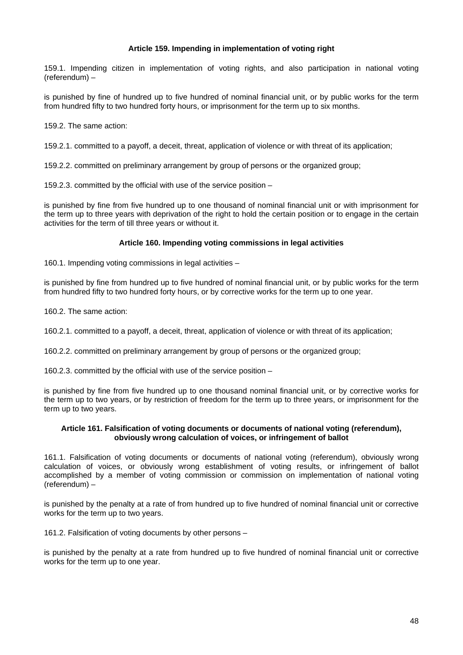# **Article 159. Impending in implementation of voting right**

159.1. Impending citizen in implementation of voting rights, and also participation in national voting (referendum) –

is punished by fine of hundred up to five hundred of nominal financial unit, or by public works for the term from hundred fifty to two hundred forty hours, or imprisonment for the term up to six months.

159.2. The same action:

159.2.1. committed to a payoff, a deceit, threat, application of violence or with threat of its application;

159.2.2. committed on preliminary arrangement by group of persons or the organized group;

159.2.3. committed by the official with use of the service position –

is punished by fine from five hundred up to one thousand of nominal financial unit or with imprisonment for the term up to three years with deprivation of the right to hold the certain position or to engage in the certain activities for the term of till three years or without it.

# **Article 160. Impending voting commissions in legal activities**

160.1. Impending voting commissions in legal activities –

is punished by fine from hundred up to five hundred of nominal financial unit, or by public works for the term from hundred fifty to two hundred forty hours, or by corrective works for the term up to one year.

160.2. The same action:

160.2.1. committed to a payoff, a deceit, threat, application of violence or with threat of its application;

160.2.2. committed on preliminary arrangement by group of persons or the organized group;

160.2.3. committed by the official with use of the service position –

is punished by fine from five hundred up to one thousand nominal financial unit, or by corrective works for the term up to two years, or by restriction of freedom for the term up to three years, or imprisonment for the term up to two years.

## **Article 161. Falsification of voting documents or documents of national voting (referendum), obviously wrong calculation of voices, or infringement of ballot**

161.1. Falsification of voting documents or documents of national voting (referendum), obviously wrong calculation of voices, or obviously wrong establishment of voting results, or infringement of ballot accomplished by a member of voting commission or commission on implementation of national voting (referendum) –

is punished by the penalty at a rate of from hundred up to five hundred of nominal financial unit or corrective works for the term up to two years.

161.2. Falsification of voting documents by other persons –

is punished by the penalty at a rate from hundred up to five hundred of nominal financial unit or corrective works for the term up to one year.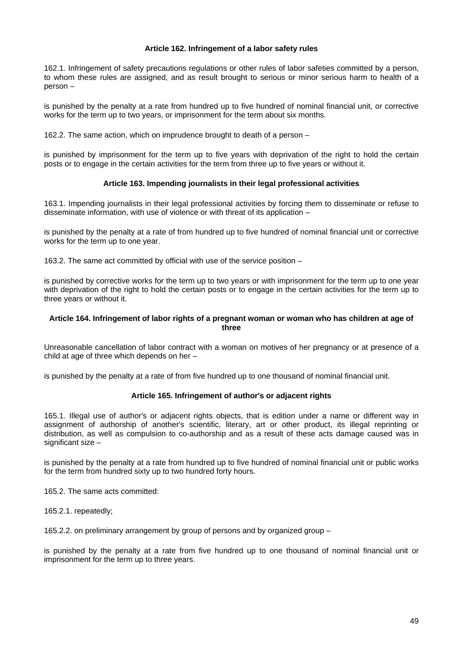## **Article 162. Infringement of a labor safety rules**

162.1. Infringement of safety precautions regulations or other rules of labor safeties committed by a person, to whom these rules are assigned, and as result brought to serious or minor serious harm to health of a person –

is punished by the penalty at a rate from hundred up to five hundred of nominal financial unit, or corrective works for the term up to two years, or imprisonment for the term about six months.

162.2. The same action, which on imprudence brought to death of a person –

is punished by imprisonment for the term up to five years with deprivation of the right to hold the certain posts or to engage in the certain activities for the term from three up to five years or without it.

## **Article 163. Impending journalists in their legal professional activities**

163.1. Impending journalists in their legal professional activities by forcing them to disseminate or refuse to disseminate information, with use of violence or with threat of its application –

is punished by the penalty at a rate of from hundred up to five hundred of nominal financial unit or corrective works for the term up to one year.

163.2. The same act committed by official with use of the service position –

is punished by corrective works for the term up to two years or with imprisonment for the term up to one year with deprivation of the right to hold the certain posts or to engage in the certain activities for the term up to three years or without it.

## **Article 164. Infringement of labor rights of a pregnant woman or woman who has children at age of three**

Unreasonable cancellation of labor contract with a woman on motives of her pregnancy or at presence of a child at age of three which depends on her –

is punished by the penalty at a rate of from five hundred up to one thousand of nominal financial unit.

## **Article 165. Infringement of author's or adjacent rights**

165.1. Illegal use of author's or adjacent rights objects, that is edition under a name or different way in assignment of authorship of another's scientific, literary, art or other product, its illegal reprinting or distribution, as well as compulsion to co-authorship and as a result of these acts damage caused was in significant size  $-$ 

is punished by the penalty at a rate from hundred up to five hundred of nominal financial unit or public works for the term from hundred sixty up to two hundred forty hours.

165.2. The same acts committed:

165.2.1. repeatedly;

165.2.2. on preliminary arrangement by group of persons and by organized group –

is punished by the penalty at a rate from five hundred up to one thousand of nominal financial unit or imprisonment for the term up to three years.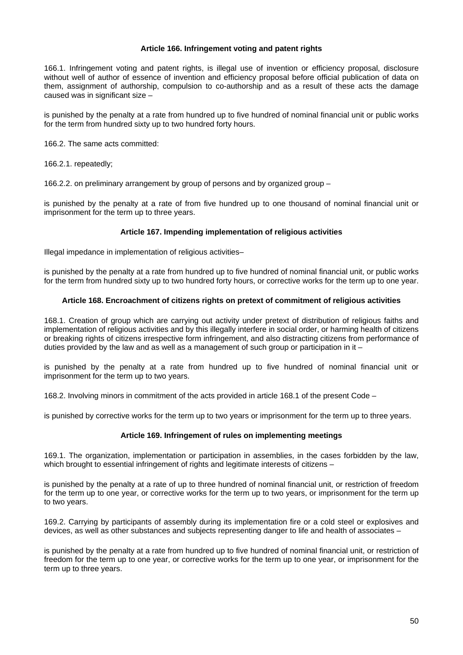## **Article 166. Infringement voting and patent rights**

166.1. Infringement voting and patent rights, is illegal use of invention or efficiency proposal, disclosure without well of author of essence of invention and efficiency proposal before official publication of data on them, assignment of authorship, compulsion to co-authorship and as a result of these acts the damage caused was in significant size –

is punished by the penalty at a rate from hundred up to five hundred of nominal financial unit or public works for the term from hundred sixty up to two hundred forty hours.

166.2. The same acts committed:

166.2.1. repeatedly;

166.2.2. on preliminary arrangement by group of persons and by organized group –

is punished by the penalty at a rate of from five hundred up to one thousand of nominal financial unit or imprisonment for the term up to three years.

## **Article 167. Impending implementation of religious activities**

Illegal impedance in implementation of religious activities–

is punished by the penalty at a rate from hundred up to five hundred of nominal financial unit, or public works for the term from hundred sixty up to two hundred forty hours, or corrective works for the term up to one year.

## **Article 168. Encroachment of citizens rights on pretext of commitment of religious activities**

168.1. Creation of group which are carrying out activity under pretext of distribution of religious faiths and implementation of religious activities and by this illegally interfere in social order, or harming health of citizens or breaking rights of citizens irrespective form infringement, and also distracting citizens from performance of duties provided by the law and as well as a management of such group or participation in it  $-$ 

is punished by the penalty at a rate from hundred up to five hundred of nominal financial unit or imprisonment for the term up to two years.

168.2. Involving minors in commitment of the acts provided in article 168.1 of the present Code –

is punished by corrective works for the term up to two years or imprisonment for the term up to three years.

## **Article 169. Infringement of rules on implementing meetings**

169.1. The organization, implementation or participation in assemblies, in the cases forbidden by the law, which brought to essential infringement of rights and legitimate interests of citizens –

is punished by the penalty at a rate of up to three hundred of nominal financial unit, or restriction of freedom for the term up to one year, or corrective works for the term up to two years, or imprisonment for the term up to two years.

169.2. Carrying by participants of assembly during its implementation fire or a cold steel or explosives and devices, as well as other substances and subjects representing danger to life and health of associates –

is punished by the penalty at a rate from hundred up to five hundred of nominal financial unit, or restriction of freedom for the term up to one year, or corrective works for the term up to one year, or imprisonment for the term up to three years.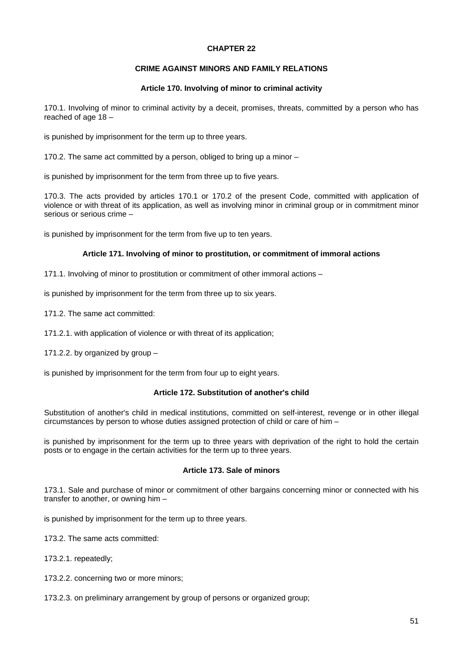## **CHAPTER 22**

## **CRIME AGAINST MINORS AND FAMILY RELATIONS**

### **Article 170. Involving of minor to criminal activity**

170.1. Involving of minor to criminal activity by a deceit, promises, threats, committed by a person who has reached of age 18 –

is punished by imprisonment for the term up to three years.

170.2. The same act committed by a person, obliged to bring up a minor –

is punished by imprisonment for the term from three up to five years.

170.3. The acts provided by articles 170.1 or 170.2 of the present Code, committed with application of violence or with threat of its application, as well as involving minor in criminal group or in commitment minor serious or serious crime –

is punished by imprisonment for the term from five up to ten years.

## **Article 171. Involving of minor to prostitution, or commitment of immoral actions**

171.1. Involving of minor to prostitution or commitment of other immoral actions –

is punished by imprisonment for the term from three up to six years.

171.2. The same act committed:

171.2.1. with application of violence or with threat of its application;

171.2.2. by organized by group –

is punished by imprisonment for the term from four up to eight years.

## **Article 172. Substitution of another's child**

Substitution of another's child in medical institutions, committed on self-interest, revenge or in other illegal circumstances by person to whose duties assigned protection of child or care of him –

is punished by imprisonment for the term up to three years with deprivation of the right to hold the certain posts or to engage in the certain activities for the term up to three years.

## **Article 173. Sale of minors**

173.1. Sale and purchase of minor or commitment of other bargains concerning minor or connected with his transfer to another, or owning him –

is punished by imprisonment for the term up to three years.

173.2. The same acts committed:

173.2.1. repeatedly;

173.2.2. concerning two or more minors;

173.2.3. on preliminary arrangement by group of persons or organized group;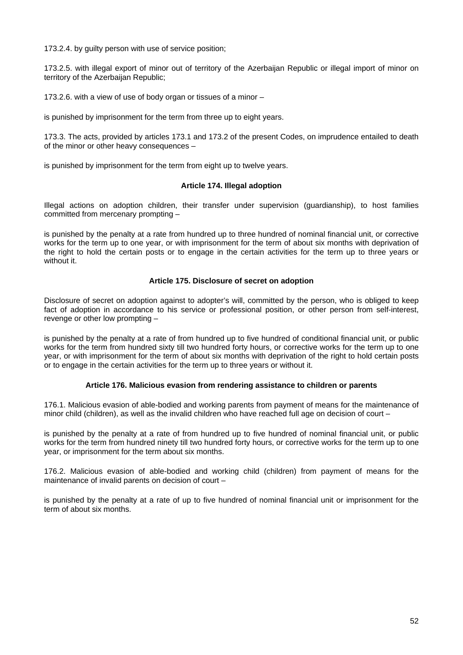173.2.4. by guilty person with use of service position;

173.2.5. with illegal export of minor out of territory of the Azerbaijan Republic or illegal import of minor on territory of the Azerbaijan Republic;

173.2.6. with a view of use of body organ or tissues of a minor –

is punished by imprisonment for the term from three up to eight years.

173.3. The acts, provided by articles 173.1 and 173.2 of the present Codes, on imprudence entailed to death of the minor or other heavy consequences –

is punished by imprisonment for the term from eight up to twelve years.

## **Article 174. Illegal adoption**

Illegal actions on adoption children, their transfer under supervision (guardianship), to host families committed from mercenary prompting –

is punished by the penalty at a rate from hundred up to three hundred of nominal financial unit, or corrective works for the term up to one year, or with imprisonment for the term of about six months with deprivation of the right to hold the certain posts or to engage in the certain activities for the term up to three years or without it.

## **Article 175. Disclosure of secret on adoption**

Disclosure of secret on adoption against to adopter's will, committed by the person, who is obliged to keep fact of adoption in accordance to his service or professional position, or other person from self-interest, revenge or other low prompting –

is punished by the penalty at a rate of from hundred up to five hundred of conditional financial unit, or public works for the term from hundred sixty till two hundred forty hours, or corrective works for the term up to one year, or with imprisonment for the term of about six months with deprivation of the right to hold certain posts or to engage in the certain activities for the term up to three years or without it.

## **Article 176. Malicious evasion from rendering assistance to children or parents**

176.1. Malicious evasion of able-bodied and working parents from payment of means for the maintenance of minor child (children), as well as the invalid children who have reached full age on decision of court –

is punished by the penalty at a rate of from hundred up to five hundred of nominal financial unit, or public works for the term from hundred ninety till two hundred forty hours, or corrective works for the term up to one year, or imprisonment for the term about six months.

176.2. Malicious evasion of able-bodied and working child (children) from payment of means for the maintenance of invalid parents on decision of court –

is punished by the penalty at a rate of up to five hundred of nominal financial unit or imprisonment for the term of about six months.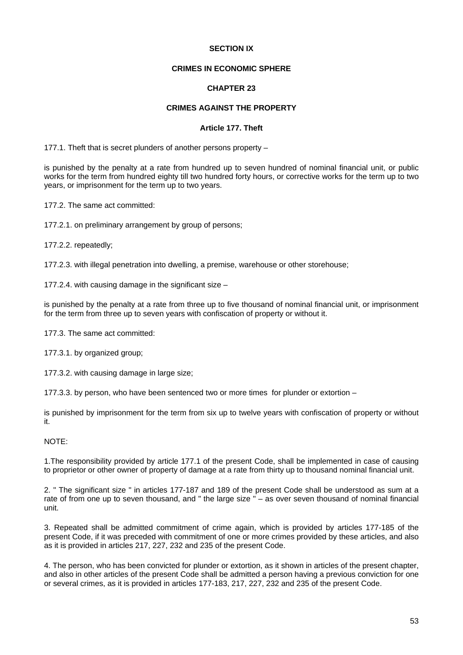## **SECTION IX**

## **CRIMES IN ECONOMIC SPHERE**

## **CHAPTER 23**

# **CRIMES AGAINST THE PROPERTY**

#### **Article 177. Theft**

177.1. Theft that is secret plunders of another persons property –

is punished by the penalty at a rate from hundred up to seven hundred of nominal financial unit, or public works for the term from hundred eighty till two hundred forty hours, or corrective works for the term up to two years, or imprisonment for the term up to two years.

177.2. The same act committed:

177.2.1. on preliminary arrangement by group of persons;

177.2.2. repeatedly;

177.2.3. with illegal penetration into dwelling, a premise, warehouse or other storehouse;

177.2.4. with causing damage in the significant size –

is punished by the penalty at a rate from three up to five thousand of nominal financial unit, or imprisonment for the term from three up to seven years with confiscation of property or without it.

177.3. The same act committed:

177.3.1. by organized group;

177.3.2. with causing damage in large size;

177.3.3. by person, who have been sentenced two or more times for plunder or extortion –

is punished by imprisonment for the term from six up to twelve years with confiscation of property or without it.

NOTE:

1.The responsibility provided by article 177.1 of the present Code, shall be implemented in case of causing to proprietor or other owner of property of damage at a rate from thirty up to thousand nominal financial unit.

2. " The significant size " in articles 177-187 and 189 of the present Code shall be understood as sum at a rate of from one up to seven thousand, and " the large size " – as over seven thousand of nominal financial unit.

3. Repeated shall be admitted commitment of crime again, which is provided by articles 177-185 of the present Code, if it was preceded with commitment of one or more crimes provided by these articles, and also as it is provided in articles 217, 227, 232 and 235 of the present Code.

4. The person, who has been convicted for plunder or extortion, as it shown in articles of the present chapter, and also in other articles of the present Code shall be admitted a person having a previous conviction for one or several crimes, as it is provided in articles 177-183, 217, 227, 232 and 235 of the present Code.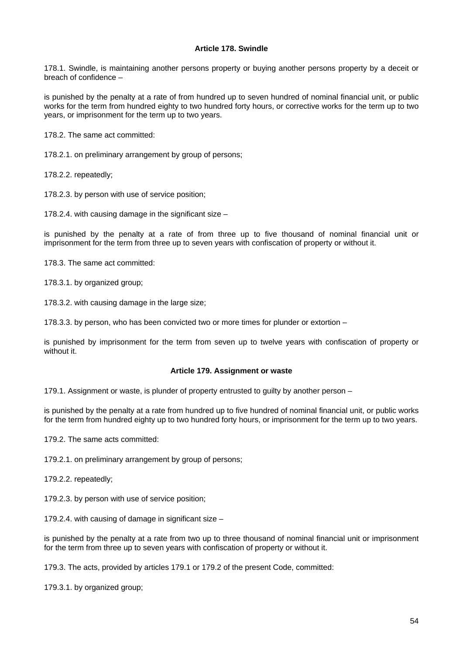## **Article 178. Swindle**

178.1. Swindle, is maintaining another persons property or buying another persons property by a deceit or breach of confidence –

is punished by the penalty at a rate of from hundred up to seven hundred of nominal financial unit, or public works for the term from hundred eighty to two hundred forty hours, or corrective works for the term up to two years, or imprisonment for the term up to two years.

178.2. The same act committed:

178.2.1. on preliminary arrangement by group of persons;

178.2.2. repeatedly;

178.2.3. by person with use of service position;

178.2.4. with causing damage in the significant size –

is punished by the penalty at a rate of from three up to five thousand of nominal financial unit or imprisonment for the term from three up to seven years with confiscation of property or without it.

178.3. The same act committed:

178.3.1. by organized group;

178.3.2. with causing damage in the large size;

178.3.3. by person, who has been convicted two or more times for plunder or extortion –

is punished by imprisonment for the term from seven up to twelve years with confiscation of property or without it.

#### **Article 179. Assignment or waste**

179.1. Assignment or waste, is plunder of property entrusted to guilty by another person –

is punished by the penalty at a rate from hundred up to five hundred of nominal financial unit, or public works for the term from hundred eighty up to two hundred forty hours, or imprisonment for the term up to two years.

179.2. The same acts committed:

179.2.1. on preliminary arrangement by group of persons;

179.2.2. repeatedly;

179.2.3. by person with use of service position;

179.2.4. with causing of damage in significant size –

is punished by the penalty at a rate from two up to three thousand of nominal financial unit or imprisonment for the term from three up to seven years with confiscation of property or without it.

179.3. The acts, provided by articles 179.1 or 179.2 of the present Code, committed:

179.3.1. by organized group;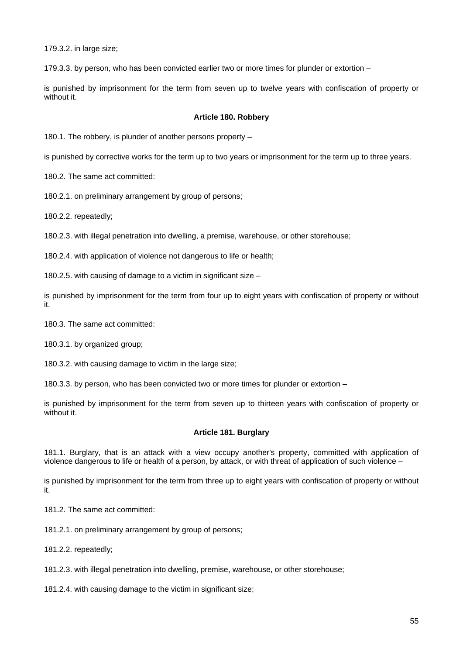179.3.2. in large size;

179.3.3. by person, who has been convicted earlier two or more times for plunder or extortion –

is punished by imprisonment for the term from seven up to twelve years with confiscation of property or without it.

#### **Article 180. Robbery**

180.1. The robbery, is plunder of another persons property –

is punished by corrective works for the term up to two years or imprisonment for the term up to three years.

180.2. The same act committed:

180.2.1. on preliminary arrangement by group of persons;

180.2.2. repeatedly;

180.2.3. with illegal penetration into dwelling, a premise, warehouse, or other storehouse;

180.2.4. with application of violence not dangerous to life or health;

180.2.5. with causing of damage to a victim in significant size –

is punished by imprisonment for the term from four up to eight years with confiscation of property or without it.

180.3. The same act committed:

180.3.1. by organized group;

180.3.2. with causing damage to victim in the large size;

180.3.3. by person, who has been convicted two or more times for plunder or extortion –

is punished by imprisonment for the term from seven up to thirteen years with confiscation of property or without it.

#### **Article 181. Burglary**

181.1. Burglary, that is an attack with a view occupy another's property, committed with application of violence dangerous to life or health of a person, by attack, or with threat of application of such violence –

is punished by imprisonment for the term from three up to eight years with confiscation of property or without it.

181.2. The same act committed:

181.2.1. on preliminary arrangement by group of persons;

181.2.2. repeatedly;

181.2.3. with illegal penetration into dwelling, premise, warehouse, or other storehouse;

181.2.4. with causing damage to the victim in significant size;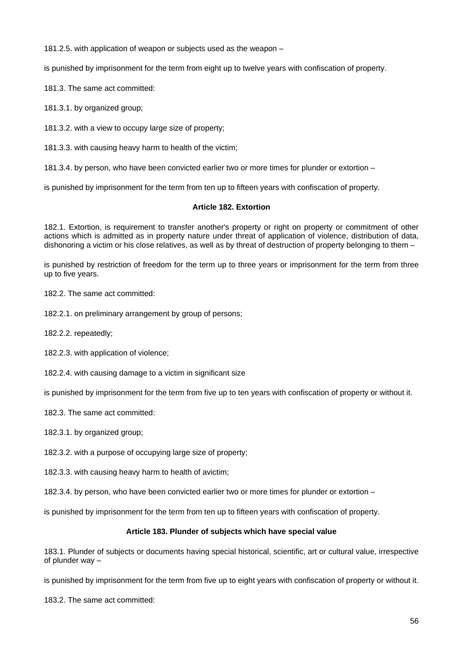181.2.5. with application of weapon or subjects used as the weapon –

is punished by imprisonment for the term from eight up to twelve years with confiscation of property.

181.3. The same act committed:

181.3.1. by organized group;

181.3.2. with a view to occupy large size of property;

181.3.3. with causing heavy harm to health of the victim;

181.3.4. by person, who have been convicted earlier two or more times for plunder or extortion –

is punished by imprisonment for the term from ten up to fifteen years with confiscation of property.

## **Article 182. Extortion**

182.1. Extortion, is requirement to transfer another's property or right on property or commitment of other actions which is admitted as in property nature under threat of application of violence, distribution of data, dishonoring a victim or his close relatives, as well as by threat of destruction of property belonging to them –

is punished by restriction of freedom for the term up to three years or imprisonment for the term from three up to five years.

182.2. The same act committed:

182.2.1. on preliminary arrangement by group of persons;

182.2.2. repeatedly;

182.2.3. with application of violence;

182.2.4. with causing damage to a victim in significant size

is punished by imprisonment for the term from five up to ten years with confiscation of property or without it.

182.3. The same act committed:

182.3.1. by organized group;

182.3.2. with a purpose of occupying large size of property;

182.3.3. with causing heavy harm to health of avictim;

182.3.4. by person, who have been convicted earlier two or more times for plunder or extortion –

is punished by imprisonment for the term from ten up to fifteen years with confiscation of property.

## **Article 183. Plunder of subjects which have special value**

183.1. Plunder of subjects or documents having special historical, scientific, art or cultural value, irrespective of plunder way –

is punished by imprisonment for the term from five up to eight years with confiscation of property or without it.

183.2. The same act committed: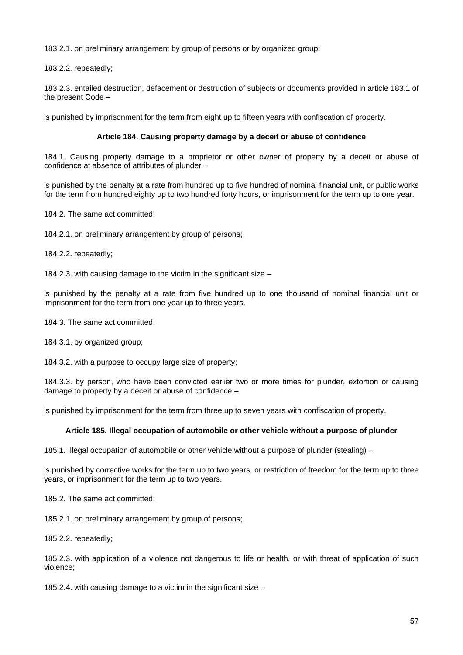183.2.1. on preliminary arrangement by group of persons or by organized group;

183.2.2. repeatedly;

183.2.3. entailed destruction, defacement or destruction of subjects or documents provided in article 183.1 of the present Code –

is punished by imprisonment for the term from eight up to fifteen years with confiscation of property.

## **Article 184. Causing property damage by a deceit or abuse of confidence**

184.1. Causing property damage to a proprietor or other owner of property by a deceit or abuse of confidence at absence of attributes of plunder –

is punished by the penalty at a rate from hundred up to five hundred of nominal financial unit, or public works for the term from hundred eighty up to two hundred forty hours, or imprisonment for the term up to one year.

184.2. The same act committed:

184.2.1. on preliminary arrangement by group of persons;

184.2.2. repeatedly;

184.2.3. with causing damage to the victim in the significant size –

is punished by the penalty at a rate from five hundred up to one thousand of nominal financial unit or imprisonment for the term from one year up to three years.

184.3. The same act committed:

184.3.1. by organized group;

184.3.2. with a purpose to occupy large size of property;

184.3.3. by person, who have been convicted earlier two or more times for plunder, extortion or causing damage to property by a deceit or abuse of confidence –

is punished by imprisonment for the term from three up to seven years with confiscation of property.

### **Article 185. Illegal occupation of automobile or other vehicle without a purpose of plunder**

185.1. Illegal occupation of automobile or other vehicle without a purpose of plunder (stealing) –

is punished by corrective works for the term up to two years, or restriction of freedom for the term up to three years, or imprisonment for the term up to two years.

185.2. The same act committed:

185.2.1. on preliminary arrangement by group of persons;

185.2.2. repeatedly;

185.2.3. with application of a violence not dangerous to life or health, or with threat of application of such violence;

185.2.4. with causing damage to a victim in the significant size  $-$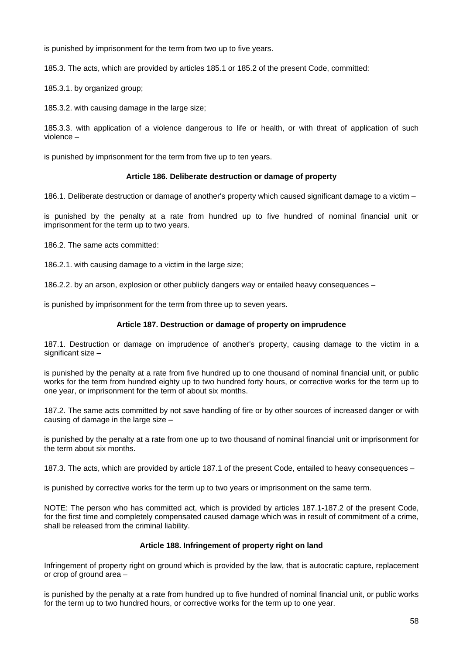is punished by imprisonment for the term from two up to five years.

185.3. The acts, which are provided by articles 185.1 or 185.2 of the present Code, committed:

185.3.1. by organized group;

185.3.2. with causing damage in the large size;

185.3.3. with application of a violence dangerous to life or health, or with threat of application of such violence –

is punished by imprisonment for the term from five up to ten years.

## **Article 186. Deliberate destruction or damage of property**

186.1. Deliberate destruction or damage of another's property which caused significant damage to a victim –

is punished by the penalty at a rate from hundred up to five hundred of nominal financial unit or imprisonment for the term up to two years.

186.2. The same acts committed:

186.2.1. with causing damage to a victim in the large size;

186.2.2. by an arson, explosion or other publicly dangers way or entailed heavy consequences –

is punished by imprisonment for the term from three up to seven years.

## **Article 187. Destruction or damage of property on imprudence**

187.1. Destruction or damage on imprudence of another's property, causing damage to the victim in a significant size –

is punished by the penalty at a rate from five hundred up to one thousand of nominal financial unit, or public works for the term from hundred eighty up to two hundred forty hours, or corrective works for the term up to one year, or imprisonment for the term of about six months.

187.2. The same acts committed by not save handling of fire or by other sources of increased danger or with causing of damage in the large size –

is punished by the penalty at a rate from one up to two thousand of nominal financial unit or imprisonment for the term about six months.

187.3. The acts, which are provided by article 187.1 of the present Code, entailed to heavy consequences –

is punished by corrective works for the term up to two years or imprisonment on the same term.

NOTE: The person who has committed act, which is provided by articles 187.1-187.2 of the present Code, for the first time and completely compensated caused damage which was in result of commitment of a crime, shall be released from the criminal liability.

## **Article 188. Infringement of property right on land**

Infringement of property right on ground which is provided by the law, that is autocratic capture, replacement or crop of ground area –

is punished by the penalty at a rate from hundred up to five hundred of nominal financial unit, or public works for the term up to two hundred hours, or corrective works for the term up to one year.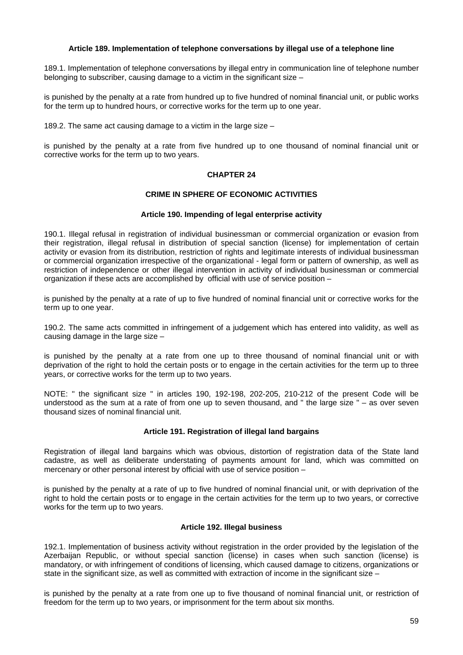## **Article 189. Implementation of telephone conversations by illegal use of a telephone line**

189.1. Implementation of telephone conversations by illegal entry in communication line of telephone number belonging to subscriber, causing damage to a victim in the significant size –

is punished by the penalty at a rate from hundred up to five hundred of nominal financial unit, or public works for the term up to hundred hours, or corrective works for the term up to one year.

189.2. The same act causing damage to a victim in the large size –

is punished by the penalty at a rate from five hundred up to one thousand of nominal financial unit or corrective works for the term up to two years.

## **CHAPTER 24**

## **CRIME IN SPHERE OF ECONOMIC ACTIVITIES**

## **Article 190. Impending of legal enterprise activity**

190.1. Illegal refusal in registration of individual businessman or commercial organization or evasion from their registration, illegal refusal in distribution of special sanction (license) for implementation of certain activity or evasion from its distribution, restriction of rights and legitimate interests of individual businessman or commercial organization irrespective of the organizational - legal form or pattern of ownership, as well as restriction of independence or other illegal intervention in activity of individual businessman or commercial organization if these acts are accomplished by official with use of service position –

is punished by the penalty at a rate of up to five hundred of nominal financial unit or corrective works for the term up to one year.

190.2. The same acts committed in infringement of a judgement which has entered into validity, as well as causing damage in the large size  $-$ 

is punished by the penalty at a rate from one up to three thousand of nominal financial unit or with deprivation of the right to hold the certain posts or to engage in the certain activities for the term up to three years, or corrective works for the term up to two years.

NOTE: " the significant size " in articles 190, 192-198, 202-205, 210-212 of the present Code will be understood as the sum at a rate of from one up to seven thousand, and " the large size " – as over seven thousand sizes of nominal financial unit.

#### **Article 191. Registration of illegal land bargains**

Registration of illegal land bargains which was obvious, distortion of registration data of the State land cadastre, as well as deliberate understating of payments amount for land, which was committed on mercenary or other personal interest by official with use of service position –

is punished by the penalty at a rate of up to five hundred of nominal financial unit, or with deprivation of the right to hold the certain posts or to engage in the certain activities for the term up to two years, or corrective works for the term up to two years.

#### **Article 192. Illegal business**

192.1. Implementation of business activity without registration in the order provided by the legislation of the Azerbaijan Republic, or without special sanction (license) in cases when such sanction (license) is mandatory, or with infringement of conditions of licensing, which caused damage to citizens, organizations or state in the significant size, as well as committed with extraction of income in the significant size –

is punished by the penalty at a rate from one up to five thousand of nominal financial unit, or restriction of freedom for the term up to two years, or imprisonment for the term about six months.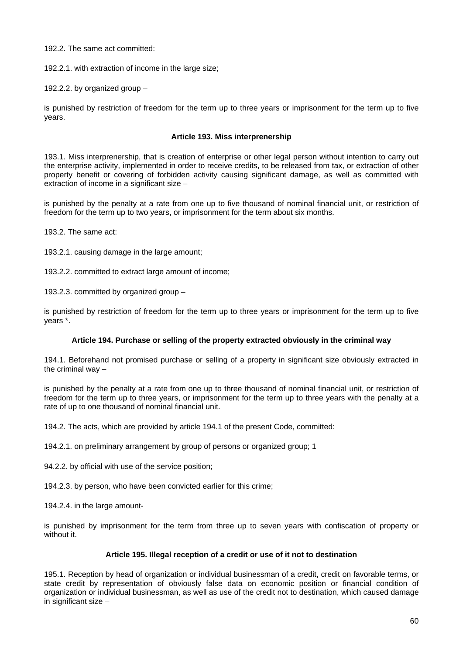## 192.2. The same act committed:

192.2.1. with extraction of income in the large size;

192.2.2. by organized group –

is punished by restriction of freedom for the term up to three years or imprisonment for the term up to five years.

## **Article 193. Miss interprenership**

193.1. Miss interprenership, that is creation of enterprise or other legal person without intention to carry out the enterprise activity, implemented in order to receive credits, to be released from tax, or extraction of other property benefit or covering of forbidden activity causing significant damage, as well as committed with extraction of income in a significant size  $-$ 

is punished by the penalty at a rate from one up to five thousand of nominal financial unit, or restriction of freedom for the term up to two years, or imprisonment for the term about six months.

193.2. The same act:

193.2.1. causing damage in the large amount;

193.2.2. committed to extract large amount of income;

193.2.3. committed by organized group –

is punished by restriction of freedom for the term up to three years or imprisonment for the term up to five years \*.

## **Article 194. Purchase or selling of the property extracted obviously in the criminal way**

194.1. Beforehand not promised purchase or selling of a property in significant size obviously extracted in the criminal way –

is punished by the penalty at a rate from one up to three thousand of nominal financial unit, or restriction of freedom for the term up to three years, or imprisonment for the term up to three years with the penalty at a rate of up to one thousand of nominal financial unit.

194.2. The acts, which are provided by article 194.1 of the present Code, committed:

194.2.1. on preliminary arrangement by group of persons or organized group; 1

94.2.2. by official with use of the service position;

194.2.3. by person, who have been convicted earlier for this crime;

194.2.4. in the large amount-

is punished by imprisonment for the term from three up to seven years with confiscation of property or without it.

## **Article 195. Illegal reception of a credit or use of it not to destination**

195.1. Reception by head of organization or individual businessman of a credit, credit on favorable terms, or state credit by representation of obviously false data on economic position or financial condition of organization or individual businessman, as well as use of the credit not to destination, which caused damage in significant size –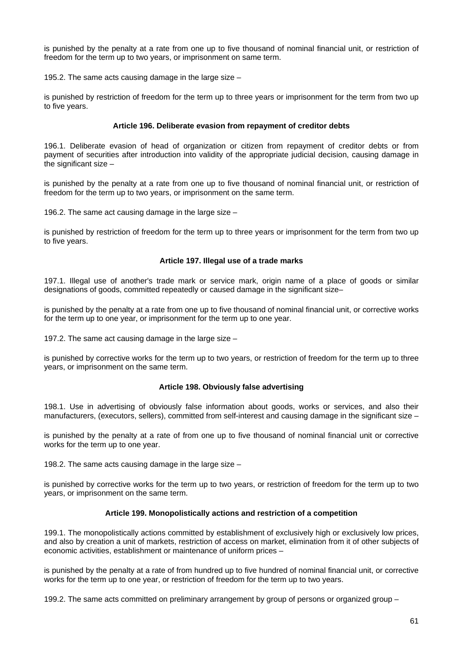is punished by the penalty at a rate from one up to five thousand of nominal financial unit, or restriction of freedom for the term up to two years, or imprisonment on same term.

195.2. The same acts causing damage in the large size –

is punished by restriction of freedom for the term up to three years or imprisonment for the term from two up to five years.

## **Article 196. Deliberate evasion from repayment of creditor debts**

196.1. Deliberate evasion of head of organization or citizen from repayment of creditor debts or from payment of securities after introduction into validity of the appropriate judicial decision, causing damage in the significant size –

is punished by the penalty at a rate from one up to five thousand of nominal financial unit, or restriction of freedom for the term up to two years, or imprisonment on the same term.

196.2. The same act causing damage in the large size –

is punished by restriction of freedom for the term up to three years or imprisonment for the term from two up to five years.

#### **Article 197. Illegal use of a trade marks**

197.1. Illegal use of another's trade mark or service mark, origin name of a place of goods or similar designations of goods, committed repeatedly or caused damage in the significant size–

is punished by the penalty at a rate from one up to five thousand of nominal financial unit, or corrective works for the term up to one year, or imprisonment for the term up to one year.

197.2. The same act causing damage in the large size –

is punished by corrective works for the term up to two years, or restriction of freedom for the term up to three years, or imprisonment on the same term.

## **Article 198. Obviously false advertising**

198.1. Use in advertising of obviously false information about goods, works or services, and also their manufacturers, (executors, sellers), committed from self-interest and causing damage in the significant size  $-$ 

is punished by the penalty at a rate of from one up to five thousand of nominal financial unit or corrective works for the term up to one year.

198.2. The same acts causing damage in the large size –

is punished by corrective works for the term up to two years, or restriction of freedom for the term up to two years, or imprisonment on the same term.

## **Article 199. Monopolistically actions and restriction of a competition**

199.1. The monopolistically actions committed by establishment of exclusively high or exclusively low prices, and also by creation a unit of markets, restriction of access on market, elimination from it of other subjects of economic activities, establishment or maintenance of uniform prices –

is punished by the penalty at a rate of from hundred up to five hundred of nominal financial unit, or corrective works for the term up to one year, or restriction of freedom for the term up to two years.

199.2. The same acts committed on preliminary arrangement by group of persons or organized group –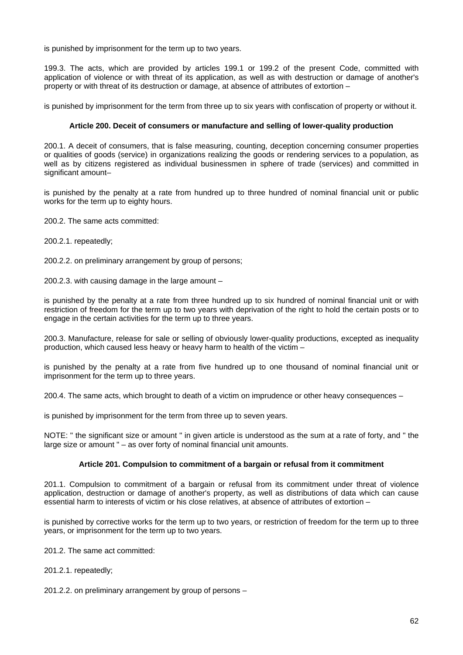is punished by imprisonment for the term up to two years.

199.3. The acts, which are provided by articles 199.1 or 199.2 of the present Code, committed with application of violence or with threat of its application, as well as with destruction or damage of another's property or with threat of its destruction or damage, at absence of attributes of extortion –

is punished by imprisonment for the term from three up to six years with confiscation of property or without it.

## **Article 200. Deceit of consumers or manufacture and selling of lower-quality production**

200.1. A deceit of consumers, that is false measuring, counting, deception concerning consumer properties or qualities of goods (service) in organizations realizing the goods or rendering services to a population, as well as by citizens registered as individual businessmen in sphere of trade (services) and committed in significant amount–

is punished by the penalty at a rate from hundred up to three hundred of nominal financial unit or public works for the term up to eighty hours.

200.2. The same acts committed:

200.2.1. repeatedly;

200.2.2. on preliminary arrangement by group of persons;

200.2.3. with causing damage in the large amount –

is punished by the penalty at a rate from three hundred up to six hundred of nominal financial unit or with restriction of freedom for the term up to two years with deprivation of the right to hold the certain posts or to engage in the certain activities for the term up to three years.

200.3. Manufacture, release for sale or selling of obviously lower-quality productions, excepted as inequality production, which caused less heavy or heavy harm to health of the victim –

is punished by the penalty at a rate from five hundred up to one thousand of nominal financial unit or imprisonment for the term up to three years.

200.4. The same acts, which brought to death of a victim on imprudence or other heavy consequences –

is punished by imprisonment for the term from three up to seven years.

NOTE: " the significant size or amount " in given article is understood as the sum at a rate of forty, and " the large size or amount " – as over forty of nominal financial unit amounts.

#### **Article 201. Compulsion to commitment of a bargain or refusal from it commitment**

201.1. Compulsion to commitment of a bargain or refusal from its commitment under threat of violence application, destruction or damage of another's property, as well as distributions of data which can cause essential harm to interests of victim or his close relatives, at absence of attributes of extortion –

is punished by corrective works for the term up to two years, or restriction of freedom for the term up to three years, or imprisonment for the term up to two years.

201.2. The same act committed:

201.2.1. repeatedly;

201.2.2. on preliminary arrangement by group of persons –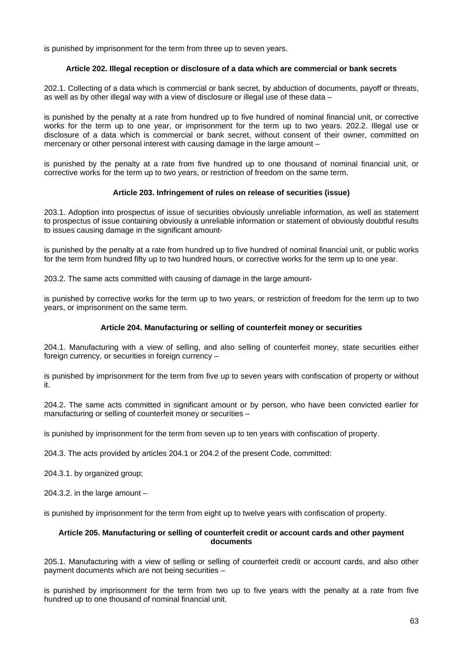is punished by imprisonment for the term from three up to seven years.

## **Article 202. Illegal reception or disclosure of a data which are commercial or bank secrets**

202.1. Collecting of a data which is commercial or bank secret, by abduction of documents, payoff or threats, as well as by other illegal way with a view of disclosure or illegal use of these data –

is punished by the penalty at a rate from hundred up to five hundred of nominal financial unit, or corrective works for the term up to one year, or imprisonment for the term up to two years. 202.2. Illegal use or disclosure of a data which is commercial or bank secret, without consent of their owner, committed on mercenary or other personal interest with causing damage in the large amount –

is punished by the penalty at a rate from five hundred up to one thousand of nominal financial unit, or corrective works for the term up to two years, or restriction of freedom on the same term.

## **Article 203. Infringement of rules on release of securities (issue)**

203.1. Adoption into prospectus of issue of securities obviously unreliable information, as well as statement to prospectus of issue containing obviously a unreliable information or statement of obviously doubtful results to issues causing damage in the significant amount-

is punished by the penalty at a rate from hundred up to five hundred of nominal financial unit, or public works for the term from hundred fifty up to two hundred hours, or corrective works for the term up to one year.

203.2. The same acts committed with causing of damage in the large amount-

is punished by corrective works for the term up to two years, or restriction of freedom for the term up to two years, or imprisonment on the same term.

## **Article 204. Manufacturing or selling of counterfeit money or securities**

204.1. Manufacturing with a view of selling, and also selling of counterfeit money, state securities either foreign currency, or securities in foreign currency -

is punished by imprisonment for the term from five up to seven years with confiscation of property or without it.

204.2. The same acts committed in significant amount or by person, who have been convicted earlier for manufacturing or selling of counterfeit money or securities –

is punished by imprisonment for the term from seven up to ten years with confiscation of property.

204.3. The acts provided by articles 204.1 or 204.2 of the present Code, committed:

204.3.1. by organized group;

204.3.2. in the large amount –

is punished by imprisonment for the term from eight up to twelve years with confiscation of property.

## **Article 205. Manufacturing or selling of counterfeit credit or account cards and other payment documents**

205.1. Manufacturing with a view of selling or selling of counterfeit credit or account cards, and also other payment documents which are not being securities –

is punished by imprisonment for the term from two up to five years with the penalty at a rate from five hundred up to one thousand of nominal financial unit.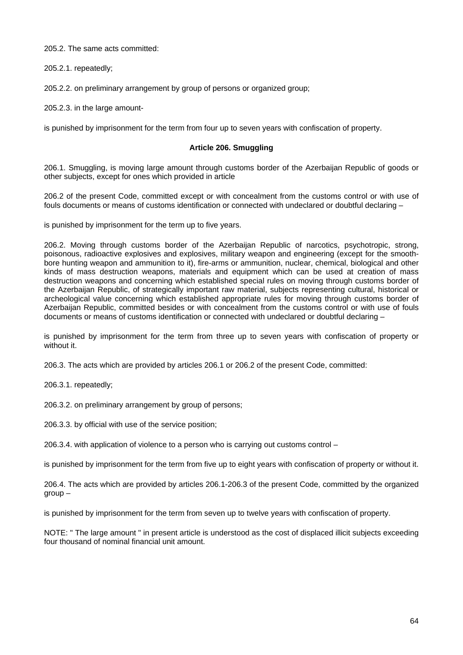205.2. The same acts committed:

205.2.1. repeatedly;

205.2.2. on preliminary arrangement by group of persons or organized group;

205.2.3. in the large amount-

is punished by imprisonment for the term from four up to seven years with confiscation of property.

## **Article 206. Smuggling**

206.1. Smuggling, is moving large amount through customs border of the Azerbaijan Republic of goods or other subjects, except for ones which provided in article

206.2 of the present Code, committed except or with concealment from the customs control or with use of fouls documents or means of customs identification or connected with undeclared or doubtful declaring –

is punished by imprisonment for the term up to five years.

206.2. Moving through customs border of the Azerbaijan Republic of narcotics, psychotropic, strong, poisonous, radioactive explosives and explosives, military weapon and engineering (except for the smoothbore hunting weapon and ammunition to it), fire-arms or ammunition, nuclear, chemical, biological and other kinds of mass destruction weapons, materials and equipment which can be used at creation of mass destruction weapons and concerning which established special rules on moving through customs border of the Azerbaijan Republic, of strategically important raw material, subjects representing cultural, historical or archeological value concerning which established appropriate rules for moving through customs border of Azerbaijan Republic, committed besides or with concealment from the customs control or with use of fouls documents or means of customs identification or connected with undeclared or doubtful declaring –

is punished by imprisonment for the term from three up to seven years with confiscation of property or without it.

206.3. The acts which are provided by articles 206.1 or 206.2 of the present Code, committed:

206.3.1. repeatedly;

206.3.2. on preliminary arrangement by group of persons;

206.3.3. by official with use of the service position;

206.3.4. with application of violence to a person who is carrying out customs control –

is punished by imprisonment for the term from five up to eight years with confiscation of property or without it.

206.4. The acts which are provided by articles 206.1-206.3 of the present Code, committed by the organized group –

is punished by imprisonment for the term from seven up to twelve years with confiscation of property.

NOTE: " The large amount " in present article is understood as the cost of displaced illicit subjects exceeding four thousand of nominal financial unit amount.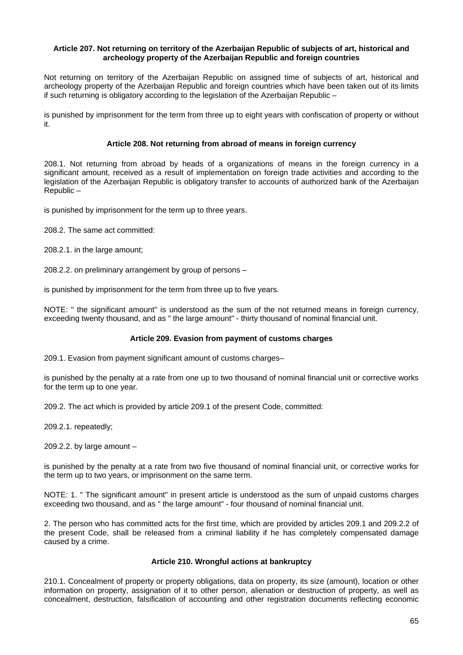### **Article 207. Not returning on territory of the Azerbaijan Republic of subjects of art, historical and archeology property of the Azerbaijan Republic and foreign countries**

Not returning on territory of the Azerbaijan Republic on assigned time of subjects of art, historical and archeology property of the Azerbaijan Republic and foreign countries which have been taken out of its limits if such returning is obligatory according to the legislation of the Azerbaijan Republic –

is punished by imprisonment for the term from three up to eight years with confiscation of property or without it.

## **Article 208. Not returning from abroad of means in foreign currency**

208.1. Not returning from abroad by heads of a organizations of means in the foreign currency in a significant amount, received as a result of implementation on foreign trade activities and according to the legislation of the Azerbaijan Republic is obligatory transfer to accounts of authorized bank of the Azerbaijan Republic –

is punished by imprisonment for the term up to three years.

208.2. The same act committed:

208.2.1. in the large amount;

208.2.2. on preliminary arrangement by group of persons –

is punished by imprisonment for the term from three up to five years.

NOTE: " the significant amount" is understood as the sum of the not returned means in foreign currency, exceeding twenty thousand, and as " the large amount" - thirty thousand of nominal financial unit.

## **Article 209. Evasion from payment of customs charges**

209.1. Evasion from payment significant amount of customs charges–

is punished by the penalty at a rate from one up to two thousand of nominal financial unit or corrective works for the term up to one year.

209.2. The act which is provided by article 209.1 of the present Code, committed:

209.2.1. repeatedly;

209.2.2. by large amount –

is punished by the penalty at a rate from two five thousand of nominal financial unit, or corrective works for the term up to two years, or imprisonment on the same term.

NOTE: 1. " The significant amount" in present article is understood as the sum of unpaid customs charges exceeding two thousand, and as " the large amount" - four thousand of nominal financial unit.

2. The person who has committed acts for the first time, which are provided by articles 209.1 and 209.2.2 of the present Code, shall be released from a criminal liability if he has completely compensated damage caused by a crime.

# **Article 210. Wrongful actions at bankruptcy**

210.1. Concealment of property or property obligations, data on property, its size (amount), location or other information on property, assignation of it to other person, alienation or destruction of property, as well as concealment, destruction, falsification of accounting and other registration documents reflecting economic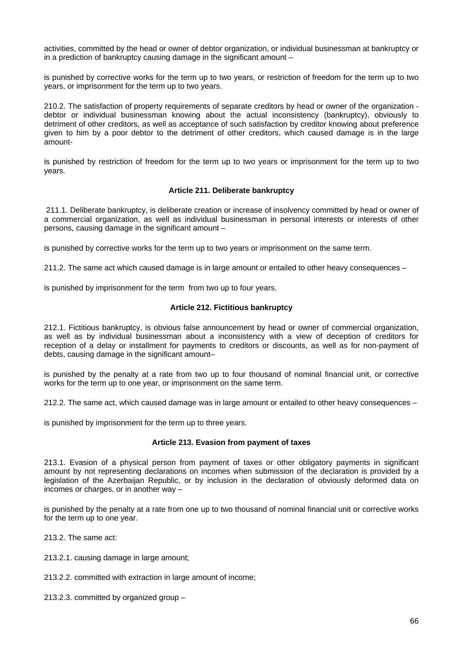activities, committed by the head or owner of debtor organization, or individual businessman at bankruptcy or in a prediction of bankruptcy causing damage in the significant amount –

is punished by corrective works for the term up to two years, or restriction of freedom for the term up to two years, or imprisonment for the term up to two years.

210.2. The satisfaction of property requirements of separate creditors by head or owner of the organization debtor or individual businessman knowing about the actual inconsistency (bankruptcy), obviously to detriment of other creditors, as well as acceptance of such satisfaction by creditor knowing about preference given to him by a poor debtor to the detriment of other creditors, which caused damage is in the large amount-

is punished by restriction of freedom for the term up to two years or imprisonment for the term up to two years.

## **Article 211. Deliberate bankruptcy**

 211.1. Deliberate bankruptcy, is deliberate creation or increase of insolvency committed by head or owner of a commercial organization, as well as individual businessman in personal interests or interests of other persons, causing damage in the significant amount –

is punished by corrective works for the term up to two years or imprisonment on the same term.

211.2. The same act which caused damage is in large amount or entailed to other heavy consequences –

is punished by imprisonment for the term from two up to four years.

## **Article 212. Fictitious bankruptcy**

212.1. Fictitious bankruptcy, is obvious false announcement by head or owner of commercial organization, as well as by individual businessman about a inconsistency with a view of deception of creditors for reception of a delay or installment for payments to creditors or discounts, as well as for non-payment of debts, causing damage in the significant amount–

is punished by the penalty at a rate from two up to four thousand of nominal financial unit, or corrective works for the term up to one year, or imprisonment on the same term.

212.2. The same act, which caused damage was in large amount or entailed to other heavy consequences –

is punished by imprisonment for the term up to three years.

## **Article 213. Evasion from payment of taxes**

213.1. Evasion of a physical person from payment of taxes or other obligatory payments in significant amount by not representing declarations on incomes when submission of the declaration is provided by a legislation of the Azerbaijan Republic, or by inclusion in the declaration of obviously deformed data on incomes or charges, or in another way –

is punished by the penalty at a rate from one up to two thousand of nominal financial unit or corrective works for the term up to one year.

213.2. The same act:

213.2.1. causing damage in large amount;

213.2.2. committed with extraction in large amount of income;

213.2.3. committed by organized group –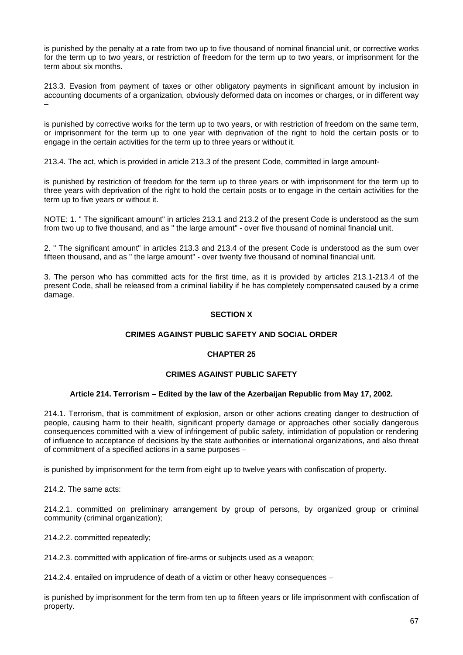is punished by the penalty at a rate from two up to five thousand of nominal financial unit, or corrective works for the term up to two years, or restriction of freedom for the term up to two years, or imprisonment for the term about six months.

213.3. Evasion from payment of taxes or other obligatory payments in significant amount by inclusion in accounting documents of a organization, obviously deformed data on incomes or charges, or in different way –

is punished by corrective works for the term up to two years, or with restriction of freedom on the same term, or imprisonment for the term up to one year with deprivation of the right to hold the certain posts or to engage in the certain activities for the term up to three years or without it.

213.4. The act, which is provided in article 213.3 of the present Code, committed in large amount-

is punished by restriction of freedom for the term up to three years or with imprisonment for the term up to three years with deprivation of the right to hold the certain posts or to engage in the certain activities for the term up to five years or without it.

NOTE: 1. " The significant amount" in articles 213.1 and 213.2 of the present Code is understood as the sum from two up to five thousand, and as " the large amount" - over five thousand of nominal financial unit.

2. " The significant amount" in articles 213.3 and 213.4 of the present Code is understood as the sum over fifteen thousand, and as " the large amount" - over twenty five thousand of nominal financial unit.

3. The person who has committed acts for the first time, as it is provided by articles 213.1-213.4 of the present Code, shall be released from a criminal liability if he has completely compensated caused by a crime damage.

# **SECTION X**

## **CRIMES AGAINST PUBLIC SAFETY AND SOCIAL ORDER**

## **CHAPTER 25**

## **CRIMES AGAINST PUBLIC SAFETY**

## **Article 214. Terrorism – Edited by the law of the Azerbaijan Republic from May 17, 2002.**

214.1. Terrorism, that is commitment of explosion, arson or other actions creating danger to destruction of people, causing harm to their health, significant property damage or approaches other socially dangerous consequences committed with a view of infringement of public safety, intimidation of population or rendering of influence to acceptance of decisions by the state authorities or international organizations, and also threat of commitment of a specified actions in a same purposes –

is punished by imprisonment for the term from eight up to twelve years with confiscation of property.

214.2. The same acts:

214.2.1. committed on preliminary arrangement by group of persons, by organized group or criminal community (criminal organization);

214.2.2. committed repeatedly;

214.2.3. committed with application of fire-arms or subjects used as a weapon;

214.2.4. entailed on imprudence of death of a victim or other heavy consequences –

is punished by imprisonment for the term from ten up to fifteen years or life imprisonment with confiscation of property.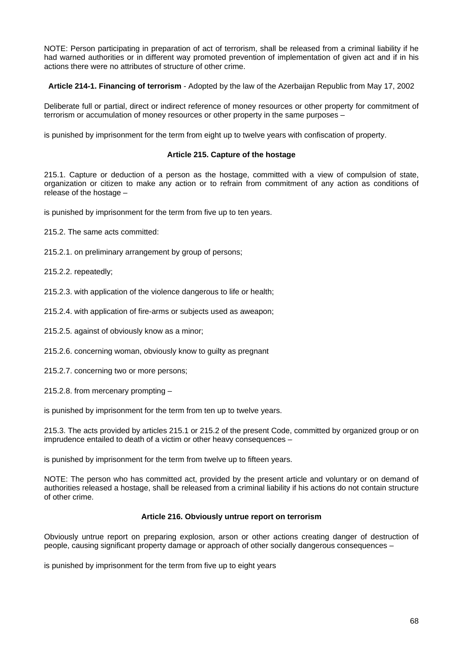NOTE: Person participating in preparation of act of terrorism, shall be released from a criminal liability if he had warned authorities or in different way promoted prevention of implementation of given act and if in his actions there were no attributes of structure of other crime.

**Article 214-1. Financing of terrorism** - Adopted by the law of the Azerbaijan Republic from May 17, 2002

Deliberate full or partial, direct or indirect reference of money resources or other property for commitment of terrorism or accumulation of money resources or other property in the same purposes –

is punished by imprisonment for the term from eight up to twelve years with confiscation of property.

## **Article 215. Capture of the hostage**

215.1. Capture or deduction of a person as the hostage, committed with a view of compulsion of state, organization or citizen to make any action or to refrain from commitment of any action as conditions of release of the hostage –

is punished by imprisonment for the term from five up to ten years.

215.2. The same acts committed:

215.2.1. on preliminary arrangement by group of persons;

215.2.2. repeatedly;

215.2.3. with application of the violence dangerous to life or health;

215.2.4. with application of fire-arms or subjects used as aweapon;

215.2.5. against of obviously know as a minor;

215.2.6. concerning woman, obviously know to guilty as pregnant

215.2.7. concerning two or more persons;

215.2.8. from mercenary prompting –

is punished by imprisonment for the term from ten up to twelve years.

215.3. The acts provided by articles 215.1 or 215.2 of the present Code, committed by organized group or on imprudence entailed to death of a victim or other heavy consequences –

is punished by imprisonment for the term from twelve up to fifteen years.

NOTE: The person who has committed act, provided by the present article and voluntary or on demand of authorities released a hostage, shall be released from a criminal liability if his actions do not contain structure of other crime.

## **Article 216. Obviously untrue report on terrorism**

Obviously untrue report on preparing explosion, arson or other actions creating danger of destruction of people, causing significant property damage or approach of other socially dangerous consequences –

is punished by imprisonment for the term from five up to eight years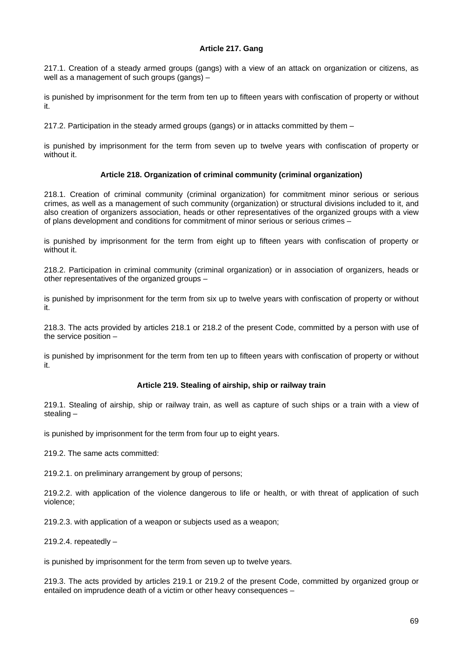## **Article 217. Gang**

217.1. Creation of a steady armed groups (gangs) with a view of an attack on organization or citizens, as well as a management of such groups (gangs) –

is punished by imprisonment for the term from ten up to fifteen years with confiscation of property or without it.

217.2. Participation in the steady armed groups (gangs) or in attacks committed by them –

is punished by imprisonment for the term from seven up to twelve years with confiscation of property or without it.

## **Article 218. Organization of criminal community (criminal organization)**

218.1. Creation of criminal community (criminal organization) for commitment minor serious or serious crimes, as well as a management of such community (organization) or structural divisions included to it, and also creation of organizers association, heads or other representatives of the organized groups with a view of plans development and conditions for commitment of minor serious or serious crimes –

is punished by imprisonment for the term from eight up to fifteen years with confiscation of property or without it.

218.2. Participation in criminal community (criminal organization) or in association of organizers, heads or other representatives of the organized groups –

is punished by imprisonment for the term from six up to twelve years with confiscation of property or without it.

218.3. The acts provided by articles 218.1 or 218.2 of the present Code, committed by a person with use of the service position –

is punished by imprisonment for the term from ten up to fifteen years with confiscation of property or without it.

## **Article 219. Stealing of airship, ship or railway train**

219.1. Stealing of airship, ship or railway train, as well as capture of such ships or a train with a view of stealing –

is punished by imprisonment for the term from four up to eight years.

219.2. The same acts committed:

219.2.1. on preliminary arrangement by group of persons;

219.2.2. with application of the violence dangerous to life or health, or with threat of application of such violence;

219.2.3. with application of a weapon or subjects used as a weapon;

219.2.4. repeatedly  $-$ 

is punished by imprisonment for the term from seven up to twelve years.

219.3. The acts provided by articles 219.1 or 219.2 of the present Code, committed by organized group or entailed on imprudence death of a victim or other heavy consequences –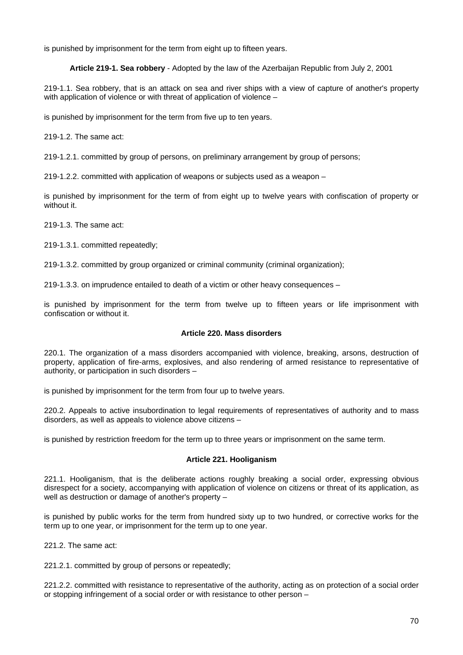is punished by imprisonment for the term from eight up to fifteen years.

**Article 219-1. Sea robbery** - Adopted by the law of the Azerbaijan Republic from July 2, 2001

219-1.1. Sea robbery, that is an attack on sea and river ships with a view of capture of another's property with application of violence or with threat of application of violence –

is punished by imprisonment for the term from five up to ten years.

219-1.2. The same act:

219-1.2.1. committed by group of persons, on preliminary arrangement by group of persons;

219-1.2.2. committed with application of weapons or subjects used as a weapon –

is punished by imprisonment for the term of from eight up to twelve years with confiscation of property or without it.

219-1.3. The same act:

219-1.3.1. committed repeatedly;

219-1.3.2. committed by group organized or criminal community (criminal organization);

219-1.3.3. on imprudence entailed to death of a victim or other heavy consequences –

is punished by imprisonment for the term from twelve up to fifteen years or life imprisonment with confiscation or without it.

## **Article 220. Mass disorders**

220.1. The organization of a mass disorders accompanied with violence, breaking, arsons, destruction of property, application of fire-arms, explosives, and also rendering of armed resistance to representative of authority, or participation in such disorders –

is punished by imprisonment for the term from four up to twelve years.

220.2. Appeals to active insubordination to legal requirements of representatives of authority and to mass disorders, as well as appeals to violence above citizens –

is punished by restriction freedom for the term up to three years or imprisonment on the same term.

## **Article 221. Hooliganism**

221.1. Hooliganism, that is the deliberate actions roughly breaking a social order, expressing obvious disrespect for a society, accompanying with application of violence on citizens or threat of its application, as well as destruction or damage of another's property –

is punished by public works for the term from hundred sixty up to two hundred, or corrective works for the term up to one year, or imprisonment for the term up to one year.

221.2. The same act:

221.2.1. committed by group of persons or repeatedly;

221.2.2. committed with resistance to representative of the authority, acting as on protection of a social order or stopping infringement of a social order or with resistance to other person –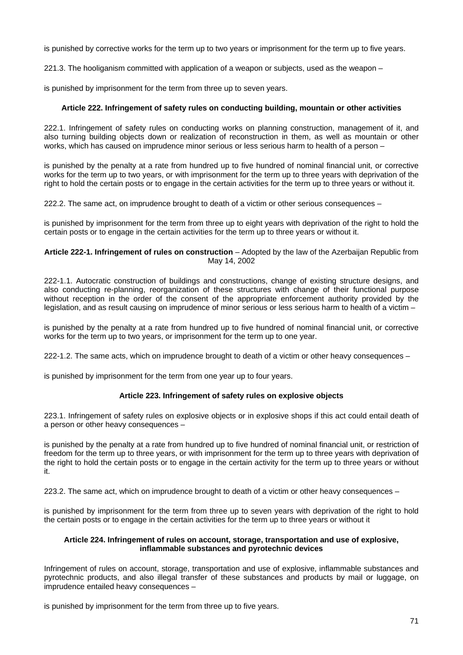is punished by corrective works for the term up to two years or imprisonment for the term up to five years.

221.3. The hooliganism committed with application of a weapon or subjects, used as the weapon –

is punished by imprisonment for the term from three up to seven years.

## **Article 222. Infringement of safety rules on conducting building, mountain or other activities**

222.1. Infringement of safety rules on conducting works on planning construction, management of it, and also turning building objects down or realization of reconstruction in them, as well as mountain or other works, which has caused on imprudence minor serious or less serious harm to health of a person –

is punished by the penalty at a rate from hundred up to five hundred of nominal financial unit, or corrective works for the term up to two years, or with imprisonment for the term up to three years with deprivation of the right to hold the certain posts or to engage in the certain activities for the term up to three years or without it.

222.2. The same act, on imprudence brought to death of a victim or other serious consequences –

is punished by imprisonment for the term from three up to eight years with deprivation of the right to hold the certain posts or to engage in the certain activities for the term up to three years or without it.

### Article 222-1. Infringement of rules on construction - Adopted by the law of the Azerbaijan Republic from May 14, 2002

222-1.1. Autocratic construction of buildings and constructions, change of existing structure designs, and also conducting re-planning, reorganization of these structures with change of their functional purpose without reception in the order of the consent of the appropriate enforcement authority provided by the legislation, and as result causing on imprudence of minor serious or less serious harm to health of a victim –

is punished by the penalty at a rate from hundred up to five hundred of nominal financial unit, or corrective works for the term up to two years, or imprisonment for the term up to one year.

222-1.2. The same acts, which on imprudence brought to death of a victim or other heavy consequences –

is punished by imprisonment for the term from one year up to four years.

## **Article 223. Infringement of safety rules on explosive objects**

223.1. Infringement of safety rules on explosive objects or in explosive shops if this act could entail death of a person or other heavy consequences –

is punished by the penalty at a rate from hundred up to five hundred of nominal financial unit, or restriction of freedom for the term up to three years, or with imprisonment for the term up to three years with deprivation of the right to hold the certain posts or to engage in the certain activity for the term up to three years or without it.

223.2. The same act, which on imprudence brought to death of a victim or other heavy consequences –

is punished by imprisonment for the term from three up to seven years with deprivation of the right to hold the certain posts or to engage in the certain activities for the term up to three years or without it

## **Article 224. Infringement of rules on account, storage, transportation and use of explosive, inflammable substances and pyrotechnic devices**

Infringement of rules on account, storage, transportation and use of explosive, inflammable substances and pyrotechnic products, and also illegal transfer of these substances and products by mail or luggage, on imprudence entailed heavy consequences –

is punished by imprisonment for the term from three up to five years.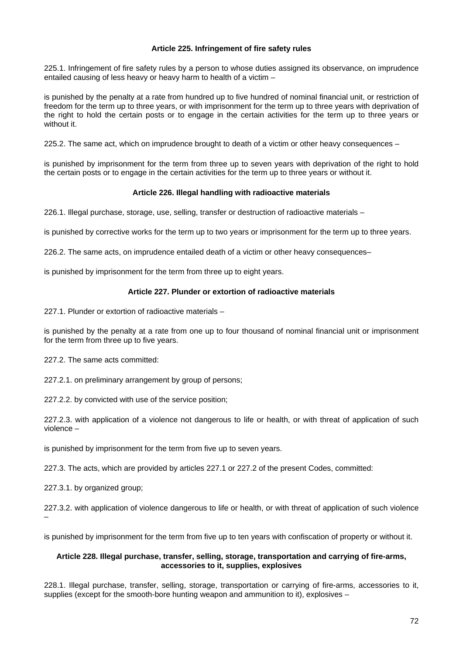## **Article 225. Infringement of fire safety rules**

225.1. Infringement of fire safety rules by a person to whose duties assigned its observance, on imprudence entailed causing of less heavy or heavy harm to health of a victim –

is punished by the penalty at a rate from hundred up to five hundred of nominal financial unit, or restriction of freedom for the term up to three years, or with imprisonment for the term up to three years with deprivation of the right to hold the certain posts or to engage in the certain activities for the term up to three years or without it.

225.2. The same act, which on imprudence brought to death of a victim or other heavy consequences –

is punished by imprisonment for the term from three up to seven years with deprivation of the right to hold the certain posts or to engage in the certain activities for the term up to three years or without it.

## **Article 226. Illegal handling with radioactive materials**

226.1. Illegal purchase, storage, use, selling, transfer or destruction of radioactive materials –

is punished by corrective works for the term up to two years or imprisonment for the term up to three years.

226.2. The same acts, on imprudence entailed death of a victim or other heavy consequences–

is punished by imprisonment for the term from three up to eight years.

## **Article 227. Plunder or extortion of radioactive materials**

227.1. Plunder or extortion of radioactive materials –

is punished by the penalty at a rate from one up to four thousand of nominal financial unit or imprisonment for the term from three up to five years.

227.2. The same acts committed:

227.2.1. on preliminary arrangement by group of persons;

227.2.2. by convicted with use of the service position;

227.2.3. with application of a violence not dangerous to life or health, or with threat of application of such violence –

is punished by imprisonment for the term from five up to seven years.

227.3. The acts, which are provided by articles 227.1 or 227.2 of the present Codes, committed:

227.3.1. by organized group;

–

227.3.2. with application of violence dangerous to life or health, or with threat of application of such violence

is punished by imprisonment for the term from five up to ten years with confiscation of property or without it.

## **Article 228. Illegal purchase, transfer, selling, storage, transportation and carrying of fire-arms, accessories to it, supplies, explosives**

228.1. Illegal purchase, transfer, selling, storage, transportation or carrying of fire-arms, accessories to it, supplies (except for the smooth-bore hunting weapon and ammunition to it), explosives –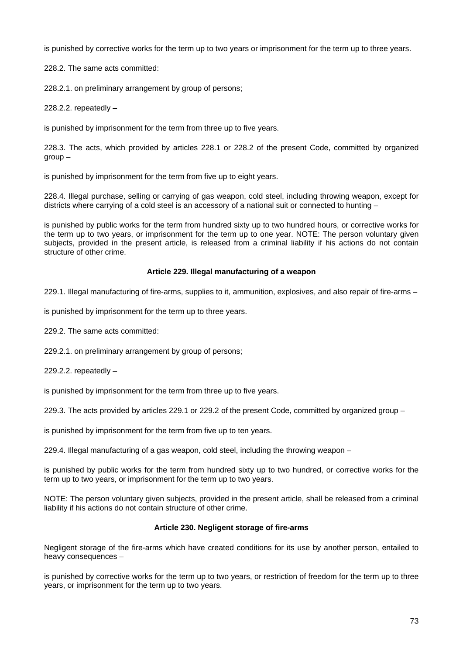is punished by corrective works for the term up to two years or imprisonment for the term up to three years.

228.2. The same acts committed:

228.2.1. on preliminary arrangement by group of persons;

228.2.2. repeatedly  $-$ 

is punished by imprisonment for the term from three up to five years.

228.3. The acts, which provided by articles 228.1 or 228.2 of the present Code, committed by organized  $\alpha$ roup  $-$ 

is punished by imprisonment for the term from five up to eight years.

228.4. Illegal purchase, selling or carrying of gas weapon, cold steel, including throwing weapon, except for districts where carrying of a cold steel is an accessory of a national suit or connected to hunting –

is punished by public works for the term from hundred sixty up to two hundred hours, or corrective works for the term up to two years, or imprisonment for the term up to one year. NOTE: The person voluntary given subjects, provided in the present article, is released from a criminal liability if his actions do not contain structure of other crime.

### **Article 229. Illegal manufacturing of a weapon**

229.1. Illegal manufacturing of fire-arms, supplies to it, ammunition, explosives, and also repair of fire-arms –

is punished by imprisonment for the term up to three years.

229.2. The same acts committed:

229.2.1. on preliminary arrangement by group of persons;

229.2.2. repeatedly  $-$ 

is punished by imprisonment for the term from three up to five years.

229.3. The acts provided by articles 229.1 or 229.2 of the present Code, committed by organized group –

is punished by imprisonment for the term from five up to ten years.

229.4. Illegal manufacturing of a gas weapon, cold steel, including the throwing weapon –

is punished by public works for the term from hundred sixty up to two hundred, or corrective works for the term up to two years, or imprisonment for the term up to two years.

NOTE: The person voluntary given subjects, provided in the present article, shall be released from a criminal liability if his actions do not contain structure of other crime.

# **Article 230. Negligent storage of fire-arms**

Negligent storage of the fire-arms which have created conditions for its use by another person, entailed to heavy consequences –

is punished by corrective works for the term up to two years, or restriction of freedom for the term up to three years, or imprisonment for the term up to two years.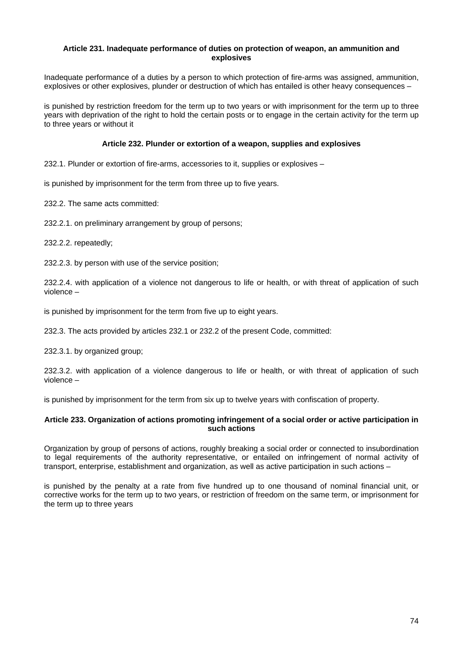### **Article 231. Inadequate performance of duties on protection of weapon, an ammunition and explosives**

Inadequate performance of a duties by a person to which protection of fire-arms was assigned, ammunition, explosives or other explosives, plunder or destruction of which has entailed is other heavy consequences –

is punished by restriction freedom for the term up to two years or with imprisonment for the term up to three years with deprivation of the right to hold the certain posts or to engage in the certain activity for the term up to three years or without it

## **Article 232. Plunder or extortion of a weapon, supplies and explosives**

232.1. Plunder or extortion of fire-arms, accessories to it, supplies or explosives –

is punished by imprisonment for the term from three up to five years.

232.2. The same acts committed:

232.2.1. on preliminary arrangement by group of persons;

232.2.2. repeatedly;

232.2.3. by person with use of the service position;

232.2.4. with application of a violence not dangerous to life or health, or with threat of application of such violence –

is punished by imprisonment for the term from five up to eight years.

232.3. The acts provided by articles 232.1 or 232.2 of the present Code, committed:

232.3.1. by organized group;

232.3.2. with application of a violence dangerous to life or health, or with threat of application of such violence –

is punished by imprisonment for the term from six up to twelve years with confiscation of property.

### **Article 233. Organization of actions promoting infringement of a social order or active participation in such actions**

Organization by group of persons of actions, roughly breaking a social order or connected to insubordination to legal requirements of the authority representative, or entailed on infringement of normal activity of transport, enterprise, establishment and organization, as well as active participation in such actions –

is punished by the penalty at a rate from five hundred up to one thousand of nominal financial unit, or corrective works for the term up to two years, or restriction of freedom on the same term, or imprisonment for the term up to three years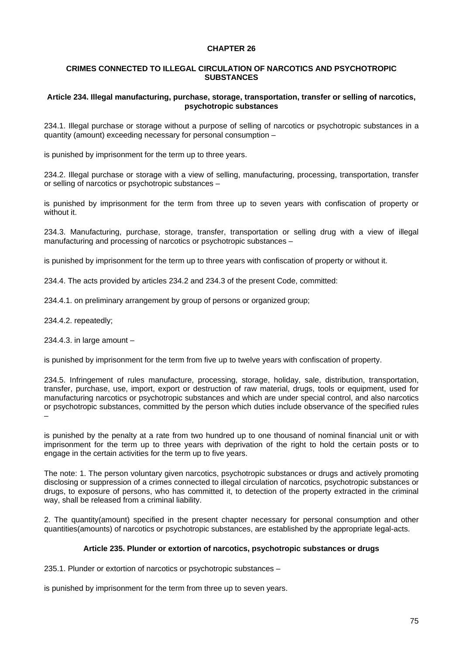## **CHAPTER 26**

## **CRIMES CONNECTED TO ILLEGAL CIRCULATION OF NARCOTICS AND PSYCHOTROPIC SUBSTANCES**

### **Article 234. Illegal manufacturing, purchase, storage, transportation, transfer or selling of narcotics, psychotropic substances**

234.1. Illegal purchase or storage without a purpose of selling of narcotics or psychotropic substances in a quantity (amount) exceeding necessary for personal consumption –

is punished by imprisonment for the term up to three years.

234.2. Illegal purchase or storage with a view of selling, manufacturing, processing, transportation, transfer or selling of narcotics or psychotropic substances –

is punished by imprisonment for the term from three up to seven years with confiscation of property or without it.

234.3. Manufacturing, purchase, storage, transfer, transportation or selling drug with a view of illegal manufacturing and processing of narcotics or psychotropic substances –

is punished by imprisonment for the term up to three years with confiscation of property or without it.

234.4. The acts provided by articles 234.2 and 234.3 of the present Code, committed:

234.4.1. on preliminary arrangement by group of persons or organized group;

234.4.2. repeatedly;

234.4.3. in large amount –

is punished by imprisonment for the term from five up to twelve years with confiscation of property.

234.5. Infringement of rules manufacture, processing, storage, holiday, sale, distribution, transportation, transfer, purchase, use, import, export or destruction of raw material, drugs, tools or equipment, used for manufacturing narcotics or psychotropic substances and which are under special control, and also narcotics or psychotropic substances, committed by the person which duties include observance of the specified rules –

is punished by the penalty at a rate from two hundred up to one thousand of nominal financial unit or with imprisonment for the term up to three years with deprivation of the right to hold the certain posts or to engage in the certain activities for the term up to five years.

The note: 1. The person voluntary given narcotics, psychotropic substances or drugs and actively promoting disclosing or suppression of a crimes connected to illegal circulation of narcotics, psychotropic substances or drugs, to exposure of persons, who has committed it, to detection of the property extracted in the criminal way, shall be released from a criminal liability.

2. The quantity(amount) specified in the present chapter necessary for personal consumption and other quantities(amounts) of narcotics or psychotropic substances, are established by the appropriate legal-acts.

## **Article 235. Plunder or extortion of narcotics, psychotropic substances or drugs**

235.1. Plunder or extortion of narcotics or psychotropic substances –

is punished by imprisonment for the term from three up to seven years.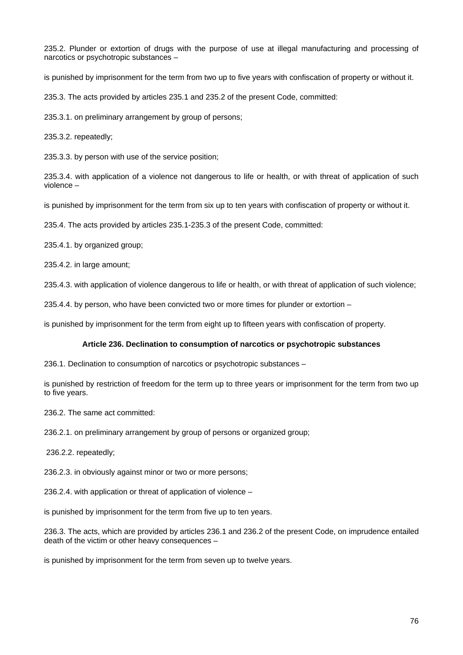235.2. Plunder or extortion of drugs with the purpose of use at illegal manufacturing and processing of narcotics or psychotropic substances –

is punished by imprisonment for the term from two up to five years with confiscation of property or without it.

235.3. The acts provided by articles 235.1 and 235.2 of the present Code, committed:

235.3.1. on preliminary arrangement by group of persons;

235.3.2. repeatedly;

235.3.3. by person with use of the service position;

235.3.4. with application of a violence not dangerous to life or health, or with threat of application of such violence –

is punished by imprisonment for the term from six up to ten years with confiscation of property or without it.

235.4. The acts provided by articles 235.1-235.3 of the present Code, committed:

235.4.1. by organized group;

235.4.2. in large amount;

235.4.3. with application of violence dangerous to life or health, or with threat of application of such violence;

235.4.4. by person, who have been convicted two or more times for plunder or extortion –

is punished by imprisonment for the term from eight up to fifteen years with confiscation of property.

# **Article 236. Declination to consumption of narcotics or psychotropic substances**

236.1. Declination to consumption of narcotics or psychotropic substances –

is punished by restriction of freedom for the term up to three years or imprisonment for the term from two up to five years.

236.2. The same act committed:

236.2.1. on preliminary arrangement by group of persons or organized group;

236.2.2. repeatedly;

236.2.3. in obviously against minor or two or more persons;

236.2.4. with application or threat of application of violence –

is punished by imprisonment for the term from five up to ten years.

236.3. The acts, which are provided by articles 236.1 and 236.2 of the present Code, on imprudence entailed death of the victim or other heavy consequences –

is punished by imprisonment for the term from seven up to twelve years.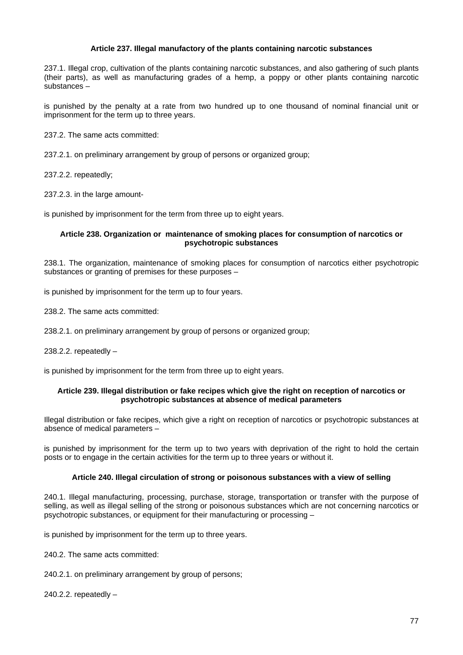## **Article 237. Illegal manufactory of the plants containing narcotic substances**

237.1. Illegal crop, cultivation of the plants containing narcotic substances, and also gathering of such plants (their parts), as well as manufacturing grades of a hemp, a poppy or other plants containing narcotic substances –

is punished by the penalty at a rate from two hundred up to one thousand of nominal financial unit or imprisonment for the term up to three years.

237.2. The same acts committed:

237.2.1. on preliminary arrangement by group of persons or organized group;

237.2.2. repeatedly;

237.2.3. in the large amount-

is punished by imprisonment for the term from three up to eight years.

### **Article 238. Organization or maintenance of smoking places for consumption of narcotics or psychotropic substances**

238.1. The organization, maintenance of smoking places for consumption of narcotics either psychotropic substances or granting of premises for these purposes –

is punished by imprisonment for the term up to four years.

238.2. The same acts committed:

238.2.1. on preliminary arrangement by group of persons or organized group;

238.2.2. repeatedly  $-$ 

is punished by imprisonment for the term from three up to eight years.

#### **Article 239. Illegal distribution or fake recipes which give the right on reception of narcotics or psychotropic substances at absence of medical parameters**

Illegal distribution or fake recipes, which give a right on reception of narcotics or psychotropic substances at absence of medical parameters –

is punished by imprisonment for the term up to two years with deprivation of the right to hold the certain posts or to engage in the certain activities for the term up to three years or without it.

#### **Article 240. Illegal circulation of strong or poisonous substances with a view of selling**

240.1. Illegal manufacturing, processing, purchase, storage, transportation or transfer with the purpose of selling, as well as illegal selling of the strong or poisonous substances which are not concerning narcotics or psychotropic substances, or equipment for their manufacturing or processing –

is punished by imprisonment for the term up to three years.

240.2. The same acts committed:

240.2.1. on preliminary arrangement by group of persons;

240.2.2. repeatedly –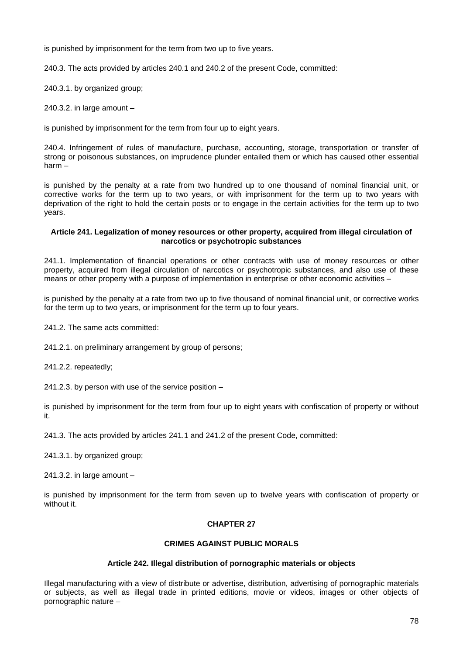is punished by imprisonment for the term from two up to five years.

240.3. The acts provided by articles 240.1 and 240.2 of the present Code, committed:

240.3.1. by organized group;

240.3.2. in large amount –

is punished by imprisonment for the term from four up to eight years.

240.4. Infringement of rules of manufacture, purchase, accounting, storage, transportation or transfer of strong or poisonous substances, on imprudence plunder entailed them or which has caused other essential harm –

is punished by the penalty at a rate from two hundred up to one thousand of nominal financial unit, or corrective works for the term up to two years, or with imprisonment for the term up to two years with deprivation of the right to hold the certain posts or to engage in the certain activities for the term up to two years.

### **Article 241. Legalization of money resources or other property, acquired from illegal circulation of narcotics or psychotropic substances**

241.1. Implementation of financial operations or other contracts with use of money resources or other property, acquired from illegal circulation of narcotics or psychotropic substances, and also use of these means or other property with a purpose of implementation in enterprise or other economic activities –

is punished by the penalty at a rate from two up to five thousand of nominal financial unit, or corrective works for the term up to two years, or imprisonment for the term up to four years.

241.2. The same acts committed:

241.2.1. on preliminary arrangement by group of persons;

241.2.2. repeatedly;

241.2.3. by person with use of the service position –

is punished by imprisonment for the term from four up to eight years with confiscation of property or without it.

241.3. The acts provided by articles 241.1 and 241.2 of the present Code, committed:

241.3.1. by organized group;

241.3.2. in large amount –

is punished by imprisonment for the term from seven up to twelve years with confiscation of property or without it.

# **CHAPTER 27**

# **CRIMES AGAINST PUBLIC MORALS**

# **Article 242. Illegal distribution of pornographic materials or objects**

Illegal manufacturing with a view of distribute or advertise, distribution, advertising of pornographic materials or subjects, as well as illegal trade in printed editions, movie or videos, images or other objects of pornographic nature –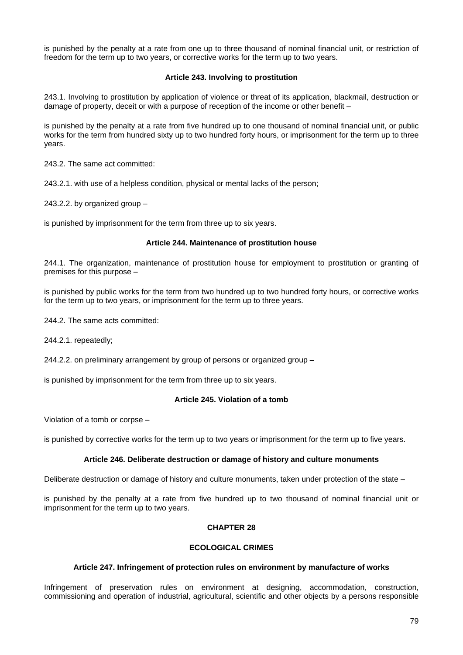is punished by the penalty at a rate from one up to three thousand of nominal financial unit, or restriction of freedom for the term up to two years, or corrective works for the term up to two years.

# **Article 243. Involving to prostitution**

243.1. Involving to prostitution by application of violence or threat of its application, blackmail, destruction or damage of property, deceit or with a purpose of reception of the income or other benefit –

is punished by the penalty at a rate from five hundred up to one thousand of nominal financial unit, or public works for the term from hundred sixty up to two hundred forty hours, or imprisonment for the term up to three years.

243.2. The same act committed:

243.2.1. with use of a helpless condition, physical or mental lacks of the person;

243.2.2. by organized group  $-$ 

is punished by imprisonment for the term from three up to six years.

### **Article 244. Maintenance of prostitution house**

244.1. The organization, maintenance of prostitution house for employment to prostitution or granting of premises for this purpose –

is punished by public works for the term from two hundred up to two hundred forty hours, or corrective works for the term up to two years, or imprisonment for the term up to three years.

244.2. The same acts committed:

244.2.1. repeatedly;

244.2.2. on preliminary arrangement by group of persons or organized group –

is punished by imprisonment for the term from three up to six years.

#### **Article 245. Violation of a tomb**

Violation of a tomb or corpse –

is punished by corrective works for the term up to two years or imprisonment for the term up to five years.

# **Article 246. Deliberate destruction or damage of history and culture monuments**

Deliberate destruction or damage of history and culture monuments, taken under protection of the state –

is punished by the penalty at a rate from five hundred up to two thousand of nominal financial unit or imprisonment for the term up to two years.

# **CHAPTER 28**

# **ECOLOGICAL CRIMES**

# **Article 247. Infringement of protection rules on environment by manufacture of works**

Infringement of preservation rules on environment at designing, accommodation, construction, commissioning and operation of industrial, agricultural, scientific and other objects by a persons responsible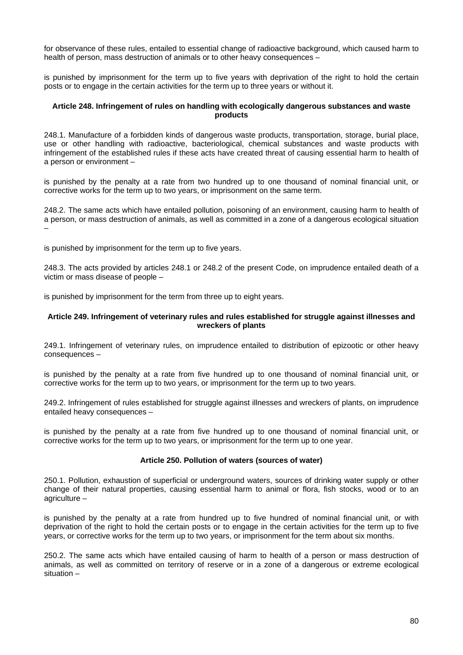for observance of these rules, entailed to essential change of radioactive background, which caused harm to health of person, mass destruction of animals or to other heavy consequences –

is punished by imprisonment for the term up to five years with deprivation of the right to hold the certain posts or to engage in the certain activities for the term up to three years or without it.

## **Article 248. Infringement of rules on handling with ecologically dangerous substances and waste products**

248.1. Manufacture of a forbidden kinds of dangerous waste products, transportation, storage, burial place, use or other handling with radioactive, bacteriological, chemical substances and waste products with infringement of the established rules if these acts have created threat of causing essential harm to health of a person or environment –

is punished by the penalty at a rate from two hundred up to one thousand of nominal financial unit, or corrective works for the term up to two years, or imprisonment on the same term.

248.2. The same acts which have entailed pollution, poisoning of an environment, causing harm to health of a person, or mass destruction of animals, as well as committed in a zone of a dangerous ecological situation –

is punished by imprisonment for the term up to five years.

248.3. The acts provided by articles 248.1 or 248.2 of the present Code, on imprudence entailed death of a victim or mass disease of people –

is punished by imprisonment for the term from three up to eight years.

## **Article 249. Infringement of veterinary rules and rules established for struggle against illnesses and wreckers of plants**

249.1. Infringement of veterinary rules, on imprudence entailed to distribution of epizootic or other heavy consequences –

is punished by the penalty at a rate from five hundred up to one thousand of nominal financial unit, or corrective works for the term up to two years, or imprisonment for the term up to two years.

249.2. Infringement of rules established for struggle against illnesses and wreckers of plants, on imprudence entailed heavy consequences –

is punished by the penalty at a rate from five hundred up to one thousand of nominal financial unit, or corrective works for the term up to two years, or imprisonment for the term up to one year.

# **Article 250. Pollution of waters (sources of water)**

250.1. Pollution, exhaustion of superficial or underground waters, sources of drinking water supply or other change of their natural properties, causing essential harm to animal or flora, fish stocks, wood or to an agriculture –

is punished by the penalty at a rate from hundred up to five hundred of nominal financial unit, or with deprivation of the right to hold the certain posts or to engage in the certain activities for the term up to five years, or corrective works for the term up to two years, or imprisonment for the term about six months.

250.2. The same acts which have entailed causing of harm to health of a person or mass destruction of animals, as well as committed on territory of reserve or in a zone of a dangerous or extreme ecological situation –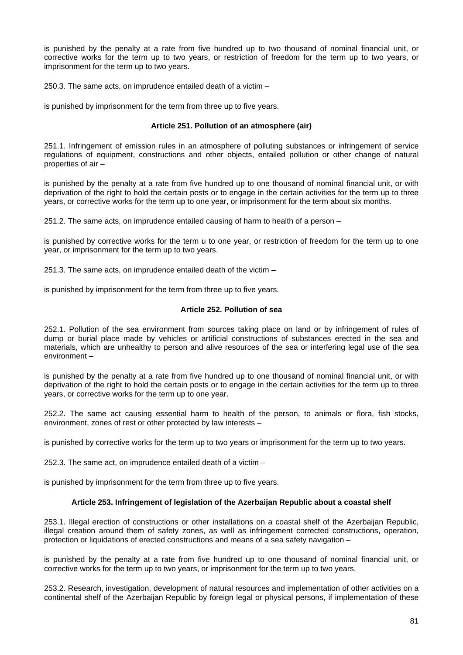is punished by the penalty at a rate from five hundred up to two thousand of nominal financial unit, or corrective works for the term up to two years, or restriction of freedom for the term up to two years, or imprisonment for the term up to two years.

250.3. The same acts, on imprudence entailed death of a victim –

is punished by imprisonment for the term from three up to five years.

## **Article 251. Pollution of an atmosphere (air)**

251.1. Infringement of emission rules in an atmosphere of polluting substances or infringement of service regulations of equipment, constructions and other objects, entailed pollution or other change of natural properties of air –

is punished by the penalty at a rate from five hundred up to one thousand of nominal financial unit, or with deprivation of the right to hold the certain posts or to engage in the certain activities for the term up to three years, or corrective works for the term up to one year, or imprisonment for the term about six months.

251.2. The same acts, on imprudence entailed causing of harm to health of a person –

is punished by corrective works for the term u to one year, or restriction of freedom for the term up to one year, or imprisonment for the term up to two years.

251.3. The same acts, on imprudence entailed death of the victim –

is punished by imprisonment for the term from three up to five years.

## **Article 252. Pollution of sea**

252.1. Pollution of the sea environment from sources taking place on land or by infringement of rules of dump or burial place made by vehicles or artificial constructions of substances erected in the sea and materials, which are unhealthy to person and alive resources of the sea or interfering legal use of the sea environment –

is punished by the penalty at a rate from five hundred up to one thousand of nominal financial unit, or with deprivation of the right to hold the certain posts or to engage in the certain activities for the term up to three years, or corrective works for the term up to one year.

252.2. The same act causing essential harm to health of the person, to animals or flora, fish stocks, environment, zones of rest or other protected by law interests –

is punished by corrective works for the term up to two years or imprisonment for the term up to two years.

252.3. The same act, on imprudence entailed death of a victim –

is punished by imprisonment for the term from three up to five years.

# **Article 253. Infringement of legislation of the Azerbaijan Republic about a coastal shelf**

253.1. Illegal erection of constructions or other installations on a coastal shelf of the Azerbaijan Republic, illegal creation around them of safety zones, as well as infringement corrected constructions, operation, protection or liquidations of erected constructions and means of a sea safety navigation –

is punished by the penalty at a rate from five hundred up to one thousand of nominal financial unit, or corrective works for the term up to two years, or imprisonment for the term up to two years.

253.2. Research, investigation, development of natural resources and implementation of other activities on a continental shelf of the Azerbaijan Republic by foreign legal or physical persons, if implementation of these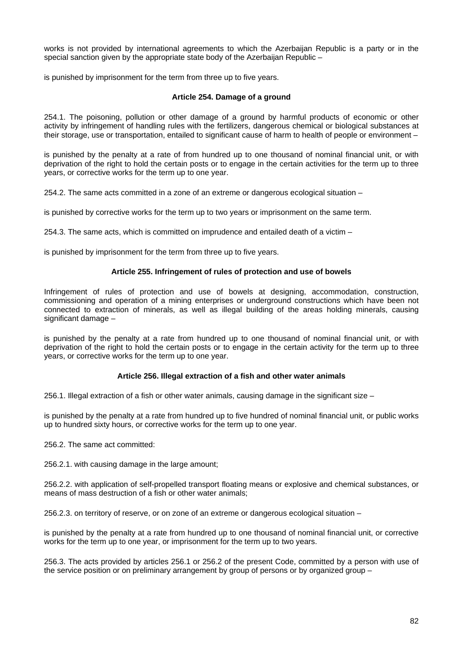works is not provided by international agreements to which the Azerbaijan Republic is a party or in the special sanction given by the appropriate state body of the Azerbaijan Republic  $-$ 

is punished by imprisonment for the term from three up to five years.

### **Article 254. Damage of a ground**

254.1. The poisoning, pollution or other damage of a ground by harmful products of economic or other activity by infringement of handling rules with the fertilizers, dangerous chemical or biological substances at their storage, use or transportation, entailed to significant cause of harm to health of people or environment –

is punished by the penalty at a rate of from hundred up to one thousand of nominal financial unit, or with deprivation of the right to hold the certain posts or to engage in the certain activities for the term up to three years, or corrective works for the term up to one year.

254.2. The same acts committed in a zone of an extreme or dangerous ecological situation –

is punished by corrective works for the term up to two years or imprisonment on the same term.

254.3. The same acts, which is committed on imprudence and entailed death of a victim –

is punished by imprisonment for the term from three up to five years.

# **Article 255. Infringement of rules of protection and use of bowels**

Infringement of rules of protection and use of bowels at designing, accommodation, construction, commissioning and operation of a mining enterprises or underground constructions which have been not connected to extraction of minerals, as well as illegal building of the areas holding minerals, causing significant damage –

is punished by the penalty at a rate from hundred up to one thousand of nominal financial unit, or with deprivation of the right to hold the certain posts or to engage in the certain activity for the term up to three years, or corrective works for the term up to one year.

# **Article 256. Illegal extraction of a fish and other water animals**

256.1. Illegal extraction of a fish or other water animals, causing damage in the significant size –

is punished by the penalty at a rate from hundred up to five hundred of nominal financial unit, or public works up to hundred sixty hours, or corrective works for the term up to one year.

256.2. The same act committed:

256.2.1. with causing damage in the large amount;

256.2.2. with application of self-propelled transport floating means or explosive and chemical substances, or means of mass destruction of a fish or other water animals;

256.2.3. on territory of reserve, or on zone of an extreme or dangerous ecological situation –

is punished by the penalty at a rate from hundred up to one thousand of nominal financial unit, or corrective works for the term up to one year, or imprisonment for the term up to two years.

256.3. The acts provided by articles 256.1 or 256.2 of the present Code, committed by a person with use of the service position or on preliminary arrangement by group of persons or by organized group –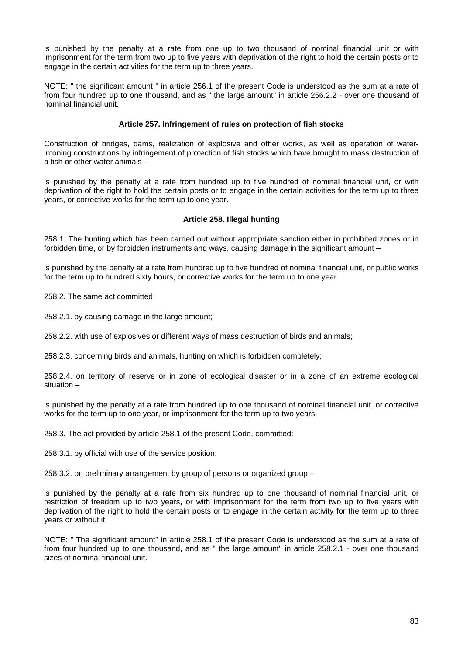is punished by the penalty at a rate from one up to two thousand of nominal financial unit or with imprisonment for the term from two up to five years with deprivation of the right to hold the certain posts or to engage in the certain activities for the term up to three years.

NOTE: " the significant amount " in article 256.1 of the present Code is understood as the sum at a rate of from four hundred up to one thousand, and as " the large amount" in article 256.2.2 - over one thousand of nominal financial unit.

# **Article 257. Infringement of rules on protection of fish stocks**

Construction of bridges, dams, realization of explosive and other works, as well as operation of waterintoning constructions by infringement of protection of fish stocks which have brought to mass destruction of a fish or other water animals –

is punished by the penalty at a rate from hundred up to five hundred of nominal financial unit, or with deprivation of the right to hold the certain posts or to engage in the certain activities for the term up to three years, or corrective works for the term up to one year.

## **Article 258. Illegal hunting**

258.1. The hunting which has been carried out without appropriate sanction either in prohibited zones or in forbidden time, or by forbidden instruments and ways, causing damage in the significant amount –

is punished by the penalty at a rate from hundred up to five hundred of nominal financial unit, or public works for the term up to hundred sixty hours, or corrective works for the term up to one year.

258.2. The same act committed:

258.2.1. by causing damage in the large amount;

258.2.2. with use of explosives or different ways of mass destruction of birds and animals;

258.2.3. concerning birds and animals, hunting on which is forbidden completely;

258.2.4. on territory of reserve or in zone of ecological disaster or in a zone of an extreme ecological situation –

is punished by the penalty at a rate from hundred up to one thousand of nominal financial unit, or corrective works for the term up to one year, or imprisonment for the term up to two years.

258.3. The act provided by article 258.1 of the present Code, committed:

258.3.1. by official with use of the service position;

258.3.2. on preliminary arrangement by group of persons or organized group –

is punished by the penalty at a rate from six hundred up to one thousand of nominal financial unit, or restriction of freedom up to two years, or with imprisonment for the term from two up to five years with deprivation of the right to hold the certain posts or to engage in the certain activity for the term up to three years or without it.

NOTE: " The significant amount" in article 258.1 of the present Code is understood as the sum at a rate of from four hundred up to one thousand, and as " the large amount" in article 258.2.1 - over one thousand sizes of nominal financial unit.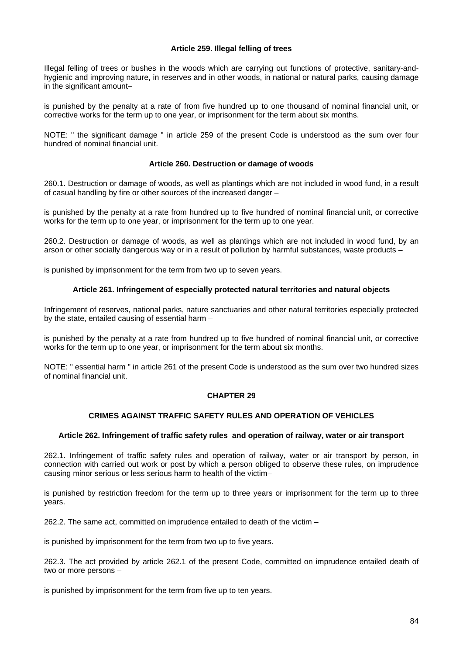# **Article 259. Illegal felling of trees**

Illegal felling of trees or bushes in the woods which are carrying out functions of protective, sanitary-andhygienic and improving nature, in reserves and in other woods, in national or natural parks, causing damage in the significant amount–

is punished by the penalty at a rate of from five hundred up to one thousand of nominal financial unit, or corrective works for the term up to one year, or imprisonment for the term about six months.

NOTE: " the significant damage " in article 259 of the present Code is understood as the sum over four hundred of nominal financial unit.

### **Article 260. Destruction or damage of woods**

260.1. Destruction or damage of woods, as well as plantings which are not included in wood fund, in a result of casual handling by fire or other sources of the increased danger –

is punished by the penalty at a rate from hundred up to five hundred of nominal financial unit, or corrective works for the term up to one year, or imprisonment for the term up to one year.

260.2. Destruction or damage of woods, as well as plantings which are not included in wood fund, by an arson or other socially dangerous way or in a result of pollution by harmful substances, waste products –

is punished by imprisonment for the term from two up to seven years.

### **Article 261. Infringement of especially protected natural territories and natural objects**

Infringement of reserves, national parks, nature sanctuaries and other natural territories especially protected by the state, entailed causing of essential harm –

is punished by the penalty at a rate from hundred up to five hundred of nominal financial unit, or corrective works for the term up to one year, or imprisonment for the term about six months.

NOTE: " essential harm " in article 261 of the present Code is understood as the sum over two hundred sizes of nominal financial unit.

#### **CHAPTER 29**

# **CRIMES AGAINST TRAFFIC SAFETY RULES AND OPERATION OF VEHICLES**

#### **Article 262. Infringement of traffic safety rules and operation of railway, water or air transport**

262.1. Infringement of traffic safety rules and operation of railway, water or air transport by person, in connection with carried out work or post by which a person obliged to observe these rules, on imprudence causing minor serious or less serious harm to health of the victim–

is punished by restriction freedom for the term up to three years or imprisonment for the term up to three years.

262.2. The same act, committed on imprudence entailed to death of the victim –

is punished by imprisonment for the term from two up to five years.

262.3. The act provided by article 262.1 of the present Code, committed on imprudence entailed death of two or more persons –

is punished by imprisonment for the term from five up to ten years.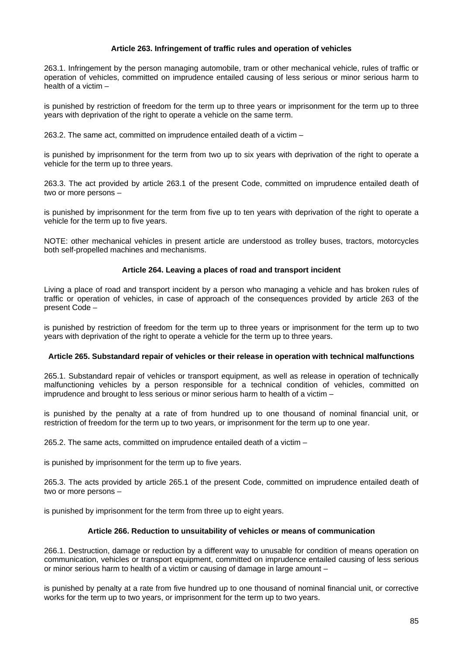## **Article 263. Infringement of traffic rules and operation of vehicles**

263.1. Infringement by the person managing automobile, tram or other mechanical vehicle, rules of traffic or operation of vehicles, committed on imprudence entailed causing of less serious or minor serious harm to health of a victim –

is punished by restriction of freedom for the term up to three years or imprisonment for the term up to three years with deprivation of the right to operate a vehicle on the same term.

263.2. The same act, committed on imprudence entailed death of a victim –

is punished by imprisonment for the term from two up to six years with deprivation of the right to operate a vehicle for the term up to three years.

263.3. The act provided by article 263.1 of the present Code, committed on imprudence entailed death of two or more persons –

is punished by imprisonment for the term from five up to ten years with deprivation of the right to operate a vehicle for the term up to five years.

NOTE: other mechanical vehicles in present article are understood as trolley buses, tractors, motorcycles both self-propelled machines and mechanisms.

### **Article 264. Leaving a places of road and transport incident**

Living a place of road and transport incident by a person who managing a vehicle and has broken rules of traffic or operation of vehicles, in case of approach of the consequences provided by article 263 of the present Code –

is punished by restriction of freedom for the term up to three years or imprisonment for the term up to two years with deprivation of the right to operate a vehicle for the term up to three years.

#### **Article 265. Substandard repair of vehicles or their release in operation with technical malfunctions**

265.1. Substandard repair of vehicles or transport equipment, as well as release in operation of technically malfunctioning vehicles by a person responsible for a technical condition of vehicles, committed on imprudence and brought to less serious or minor serious harm to health of a victim –

is punished by the penalty at a rate of from hundred up to one thousand of nominal financial unit, or restriction of freedom for the term up to two years, or imprisonment for the term up to one year.

265.2. The same acts, committed on imprudence entailed death of a victim –

is punished by imprisonment for the term up to five years.

265.3. The acts provided by article 265.1 of the present Code, committed on imprudence entailed death of two or more persons –

is punished by imprisonment for the term from three up to eight years.

# **Article 266. Reduction to unsuitability of vehicles or means of communication**

266.1. Destruction, damage or reduction by a different way to unusable for condition of means operation on communication, vehicles or transport equipment, committed on imprudence entailed causing of less serious or minor serious harm to health of a victim or causing of damage in large amount –

is punished by penalty at a rate from five hundred up to one thousand of nominal financial unit, or corrective works for the term up to two years, or imprisonment for the term up to two years.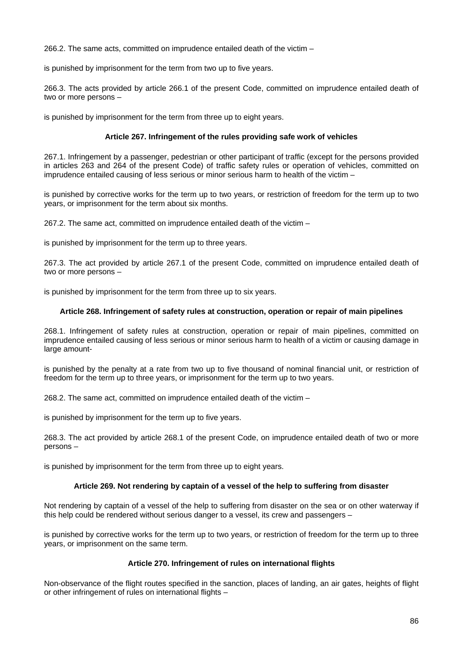266.2. The same acts, committed on imprudence entailed death of the victim –

is punished by imprisonment for the term from two up to five years.

266.3. The acts provided by article 266.1 of the present Code, committed on imprudence entailed death of two or more persons –

is punished by imprisonment for the term from three up to eight years.

## **Article 267. Infringement of the rules providing safe work of vehicles**

267.1. Infringement by a passenger, pedestrian or other participant of traffic (except for the persons provided in articles 263 and 264 of the present Code) of traffic safety rules or operation of vehicles, committed on imprudence entailed causing of less serious or minor serious harm to health of the victim –

is punished by corrective works for the term up to two years, or restriction of freedom for the term up to two years, or imprisonment for the term about six months.

267.2. The same act, committed on imprudence entailed death of the victim –

is punished by imprisonment for the term up to three years.

267.3. The act provided by article 267.1 of the present Code, committed on imprudence entailed death of two or more persons –

is punished by imprisonment for the term from three up to six years.

### **Article 268. Infringement of safety rules at construction, operation or repair of main pipelines**

268.1. Infringement of safety rules at construction, operation or repair of main pipelines, committed on imprudence entailed causing of less serious or minor serious harm to health of a victim or causing damage in large amount-

is punished by the penalty at a rate from two up to five thousand of nominal financial unit, or restriction of freedom for the term up to three years, or imprisonment for the term up to two years.

268.2. The same act, committed on imprudence entailed death of the victim –

is punished by imprisonment for the term up to five years.

268.3. The act provided by article 268.1 of the present Code, on imprudence entailed death of two or more persons –

is punished by imprisonment for the term from three up to eight years.

## **Article 269. Not rendering by captain of a vessel of the help to suffering from disaster**

Not rendering by captain of a vessel of the help to suffering from disaster on the sea or on other waterway if this help could be rendered without serious danger to a vessel, its crew and passengers –

is punished by corrective works for the term up to two years, or restriction of freedom for the term up to three years, or imprisonment on the same term.

# **Article 270. Infringement of rules on international flights**

Non-observance of the flight routes specified in the sanction, places of landing, an air gates, heights of flight or other infringement of rules on international flights –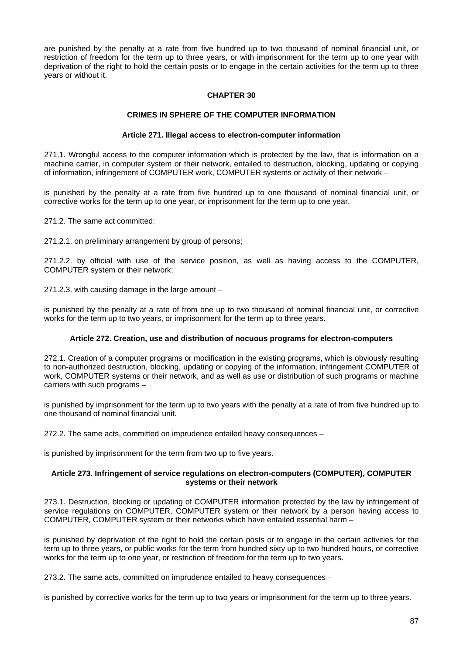are punished by the penalty at a rate from five hundred up to two thousand of nominal financial unit, or restriction of freedom for the term up to three years, or with imprisonment for the term up to one year with deprivation of the right to hold the certain posts or to engage in the certain activities for the term up to three years or without it.

# **CHAPTER 30**

### **CRIMES IN SPHERE OF THE COMPUTER INFORMATION**

#### **Article 271. Illegal access to electron-computer information**

271.1. Wrongful access to the computer information which is protected by the law, that is information on a machine carrier, in computer system or their network, entailed to destruction, blocking, updating or copying of information, infringement of COMPUTER work, COMPUTER systems or activity of their network –

is punished by the penalty at a rate from five hundred up to one thousand of nominal financial unit, or corrective works for the term up to one year, or imprisonment for the term up to one year.

271.2. The same act committed:

271.2.1. on preliminary arrangement by group of persons;

271.2.2. by official with use of the service position, as well as having access to the COMPUTER, COMPUTER system or their network;

271.2.3. with causing damage in the large amount –

is punished by the penalty at a rate of from one up to two thousand of nominal financial unit, or corrective works for the term up to two years, or imprisonment for the term up to three years.

#### **Article 272. Creation, use and distribution of nocuous programs for electron-computers**

272.1. Creation of a computer programs or modification in the existing programs, which is obviously resulting to non-authorized destruction, blocking, updating or copying of the information, infringement COMPUTER of work, COMPUTER systems or their network, and as well as use or distribution of such programs or machine carriers with such programs –

is punished by imprisonment for the term up to two years with the penalty at a rate of from five hundred up to one thousand of nominal financial unit.

272.2. The same acts, committed on imprudence entailed heavy consequences –

is punished by imprisonment for the term from two up to five years.

### **Article 273. Infringement of service regulations on electron-computers (COMPUTER), COMPUTER systems or their network**

273.1. Destruction, blocking or updating of COMPUTER information protected by the law by infringement of service regulations on COMPUTER, COMPUTER system or their network by a person having access to COMPUTER, COMPUTER system or their networks which have entailed essential harm –

is punished by deprivation of the right to hold the certain posts or to engage in the certain activities for the term up to three years, or public works for the term from hundred sixty up to two hundred hours, or corrective works for the term up to one year, or restriction of freedom for the term up to two years.

273.2. The same acts, committed on imprudence entailed to heavy consequences –

is punished by corrective works for the term up to two years or imprisonment for the term up to three years.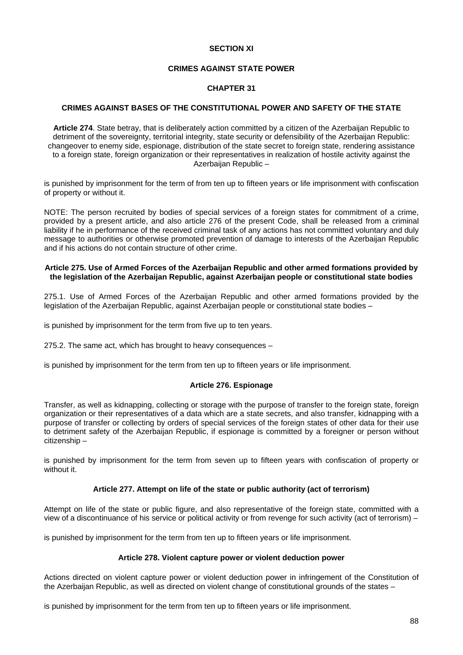## **SECTION XI**

## **CRIMES AGAINST STATE POWER**

## **CHAPTER 31**

# **CRIMES AGAINST BASES OF THE CONSTITUTIONAL POWER AND SAFETY OF THE STATE**

**Article 274**. State betray, that is deliberately action committed by a citizen of the Azerbaijan Republic to detriment of the sovereignty, territorial integrity, state security or defensibility of the Azerbaijan Republic: changeover to enemy side, espionage, distribution of the state secret to foreign state, rendering assistance to a foreign state, foreign organization or their representatives in realization of hostile activity against the Azerbaijan Republic –

is punished by imprisonment for the term of from ten up to fifteen years or life imprisonment with confiscation of property or without it.

NOTE: The person recruited by bodies of special services of a foreign states for commitment of a crime, provided by a present article, and also article 276 of the present Code, shall be released from a criminal liability if he in performance of the received criminal task of any actions has not committed voluntary and duly message to authorities or otherwise promoted prevention of damage to interests of the Azerbaijan Republic and if his actions do not contain structure of other crime.

### **Article 275. Use of Armed Forces of the Azerbaijan Republic and other armed formations provided by the legislation of the Azerbaijan Republic, against Azerbaijan people or constitutional state bodies**

275.1. Use of Armed Forces of the Azerbaijan Republic and other armed formations provided by the legislation of the Azerbaijan Republic, against Azerbaijan people or constitutional state bodies –

is punished by imprisonment for the term from five up to ten years.

275.2. The same act, which has brought to heavy consequences –

is punished by imprisonment for the term from ten up to fifteen years or life imprisonment.

#### **Article 276. Espionage**

Transfer, as well as kidnapping, collecting or storage with the purpose of transfer to the foreign state, foreign organization or their representatives of a data which are a state secrets, and also transfer, kidnapping with a purpose of transfer or collecting by orders of special services of the foreign states of other data for their use to detriment safety of the Azerbaijan Republic, if espionage is committed by a foreigner or person without citizenship –

is punished by imprisonment for the term from seven up to fifteen years with confiscation of property or without it.

### **Article 277. Attempt on life of the state or public authority (act of terrorism)**

Attempt on life of the state or public figure, and also representative of the foreign state, committed with a view of a discontinuance of his service or political activity or from revenge for such activity (act of terrorism) –

is punished by imprisonment for the term from ten up to fifteen years or life imprisonment.

# **Article 278. Violent capture power or violent deduction power**

Actions directed on violent capture power or violent deduction power in infringement of the Constitution of the Azerbaijan Republic, as well as directed on violent change of constitutional grounds of the states –

is punished by imprisonment for the term from ten up to fifteen years or life imprisonment.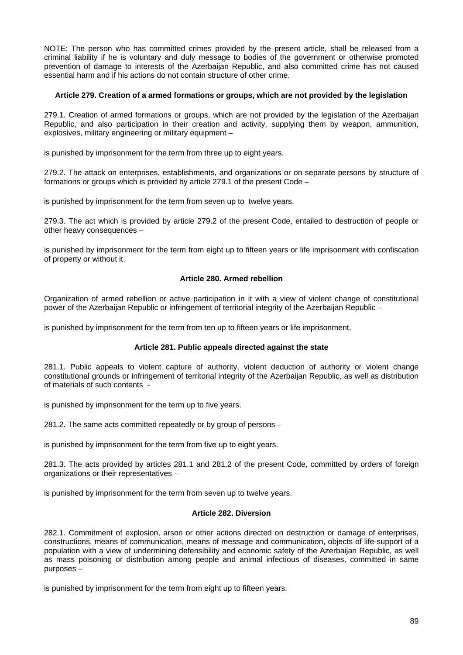NOTE: The person who has committed crimes provided by the present article, shall be released from a criminal liability if he is voluntary and duly message to bodies of the government or otherwise promoted prevention of damage to interests of the Azerbaijan Republic, and also committed crime has not caused essential harm and if his actions do not contain structure of other crime.

# **Article 279. Creation of a armed formations or groups, which are not provided by the legislation**

279.1. Creation of armed formations or groups, which are not provided by the legislation of the Azerbaijan Republic, and also participation in their creation and activity, supplying them by weapon, ammunition, explosives, military engineering or military equipment –

is punished by imprisonment for the term from three up to eight years.

279.2. The attack on enterprises, establishments, and organizations or on separate persons by structure of formations or groups which is provided by article 279.1 of the present Code –

is punished by imprisonment for the term from seven up to twelve years.

279.3. The act which is provided by article 279.2 of the present Code, entailed to destruction of people or other heavy consequences –

is punished by imprisonment for the term from eight up to fifteen years or life imprisonment with confiscation of property or without it.

# **Article 280. Armed rebellion**

Organization of armed rebellion or active participation in it with a view of violent change of constitutional power of the Azerbaijan Republic or infringement of territorial integrity of the Azerbaijan Republic –

is punished by imprisonment for the term from ten up to fifteen years or life imprisonment.

# **Article 281. Public appeals directed against the state**

281.1. Public appeals to violent capture of authority, violent deduction of authority or violent change constitutional grounds or infringement of territorial integrity of the Azerbaijan Republic, as well as distribution of materials of such contents -

is punished by imprisonment for the term up to five years.

281.2. The same acts committed repeatedly or by group of persons –

is punished by imprisonment for the term from five up to eight years.

281.3. The acts provided by articles 281.1 and 281.2 of the present Code, committed by orders of foreign organizations or their representatives –

is punished by imprisonment for the term from seven up to twelve years.

#### **Article 282. Diversion**

282.1. Commitment of explosion, arson or other actions directed on destruction or damage of enterprises, constructions, means of communication, means of message and communication, objects of life-support of a population with a view of undermining defensibility and economic safety of the Azerbaijan Republic, as well as mass poisoning or distribution among people and animal infectious of diseases, committed in same purposes –

is punished by imprisonment for the term from eight up to fifteen years.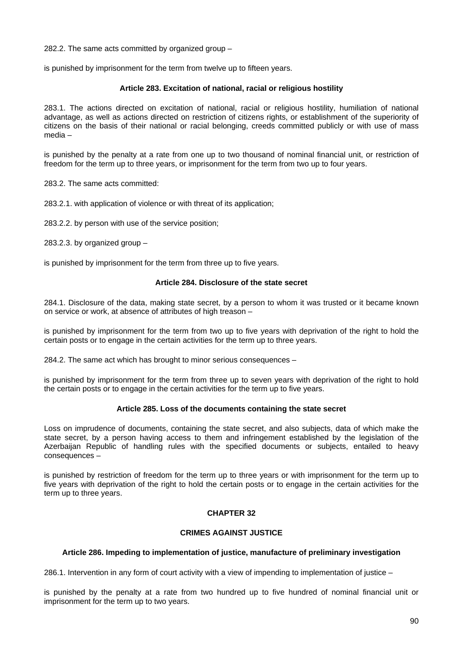282.2. The same acts committed by organized group –

is punished by imprisonment for the term from twelve up to fifteen years.

## **Article 283. Excitation of national, racial or religious hostility**

283.1. The actions directed on excitation of national, racial or religious hostility, humiliation of national advantage, as well as actions directed on restriction of citizens rights, or establishment of the superiority of citizens on the basis of their national or racial belonging, creeds committed publicly or with use of mass media –

is punished by the penalty at a rate from one up to two thousand of nominal financial unit, or restriction of freedom for the term up to three years, or imprisonment for the term from two up to four years.

283.2. The same acts committed:

283.2.1. with application of violence or with threat of its application;

283.2.2. by person with use of the service position;

283.2.3. by organized group  $-$ 

is punished by imprisonment for the term from three up to five years.

#### **Article 284. Disclosure of the state secret**

284.1. Disclosure of the data, making state secret, by a person to whom it was trusted or it became known on service or work, at absence of attributes of high treason –

is punished by imprisonment for the term from two up to five years with deprivation of the right to hold the certain posts or to engage in the certain activities for the term up to three years.

284.2. The same act which has brought to minor serious consequences –

is punished by imprisonment for the term from three up to seven years with deprivation of the right to hold the certain posts or to engage in the certain activities for the term up to five years.

#### **Article 285. Loss of the documents containing the state secret**

Loss on imprudence of documents, containing the state secret, and also subjects, data of which make the state secret, by a person having access to them and infringement established by the legislation of the Azerbaijan Republic of handling rules with the specified documents or subjects, entailed to heavy consequences –

is punished by restriction of freedom for the term up to three years or with imprisonment for the term up to five years with deprivation of the right to hold the certain posts or to engage in the certain activities for the term up to three years.

# **CHAPTER 32**

# **CRIMES AGAINST JUSTICE**

# **Article 286. Impeding to implementation of justice, manufacture of preliminary investigation**

286.1. Intervention in any form of court activity with a view of impending to implementation of justice –

is punished by the penalty at a rate from two hundred up to five hundred of nominal financial unit or imprisonment for the term up to two years.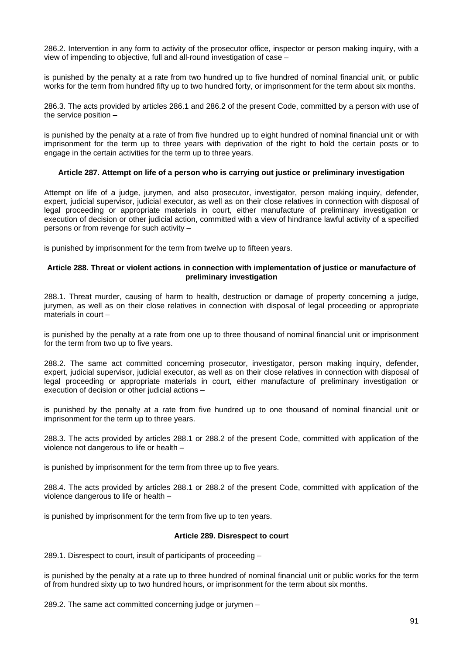286.2. Intervention in any form to activity of the prosecutor office, inspector or person making inquiry, with a view of impending to objective, full and all-round investigation of case –

is punished by the penalty at a rate from two hundred up to five hundred of nominal financial unit, or public works for the term from hundred fifty up to two hundred forty, or imprisonment for the term about six months.

286.3. The acts provided by articles 286.1 and 286.2 of the present Code, committed by a person with use of the service position –

is punished by the penalty at a rate of from five hundred up to eight hundred of nominal financial unit or with imprisonment for the term up to three years with deprivation of the right to hold the certain posts or to engage in the certain activities for the term up to three years.

# **Article 287. Attempt on life of a person who is carrying out justice or preliminary investigation**

Attempt on life of a judge, jurymen, and also prosecutor, investigator, person making inquiry, defender, expert, judicial supervisor, judicial executor, as well as on their close relatives in connection with disposal of legal proceeding or appropriate materials in court, either manufacture of preliminary investigation or execution of decision or other judicial action, committed with a view of hindrance lawful activity of a specified persons or from revenge for such activity –

is punished by imprisonment for the term from twelve up to fifteen years.

### **Article 288. Threat or violent actions in connection with implementation of justice or manufacture of preliminary investigation**

288.1. Threat murder, causing of harm to health, destruction or damage of property concerning a judge, jurymen, as well as on their close relatives in connection with disposal of legal proceeding or appropriate materials in court –

is punished by the penalty at a rate from one up to three thousand of nominal financial unit or imprisonment for the term from two up to five years.

288.2. The same act committed concerning prosecutor, investigator, person making inquiry, defender, expert, judicial supervisor, judicial executor, as well as on their close relatives in connection with disposal of legal proceeding or appropriate materials in court, either manufacture of preliminary investigation or execution of decision or other judicial actions –

is punished by the penalty at a rate from five hundred up to one thousand of nominal financial unit or imprisonment for the term up to three years.

288.3. The acts provided by articles 288.1 or 288.2 of the present Code, committed with application of the violence not dangerous to life or health –

is punished by imprisonment for the term from three up to five years.

288.4. The acts provided by articles 288.1 or 288.2 of the present Code, committed with application of the violence dangerous to life or health –

is punished by imprisonment for the term from five up to ten years.

#### **Article 289. Disrespect to court**

289.1. Disrespect to court, insult of participants of proceeding –

is punished by the penalty at a rate up to three hundred of nominal financial unit or public works for the term of from hundred sixty up to two hundred hours, or imprisonment for the term about six months.

289.2. The same act committed concerning judge or jurymen –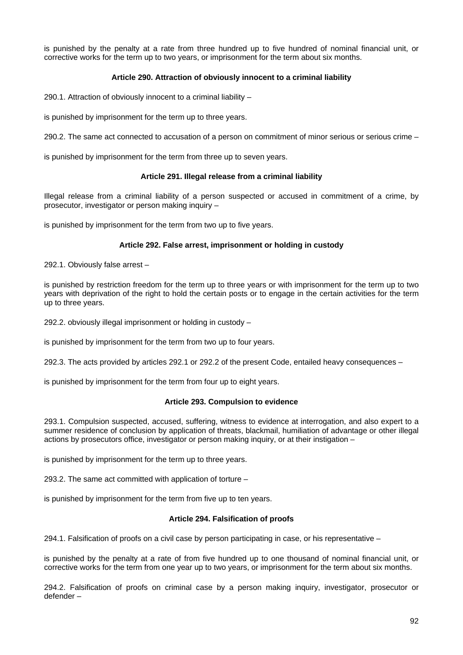is punished by the penalty at a rate from three hundred up to five hundred of nominal financial unit, or corrective works for the term up to two years, or imprisonment for the term about six months.

# **Article 290. Attraction of obviously innocent to a criminal liability**

290.1. Attraction of obviously innocent to a criminal liability –

is punished by imprisonment for the term up to three years.

290.2. The same act connected to accusation of a person on commitment of minor serious or serious crime –

is punished by imprisonment for the term from three up to seven years.

### **Article 291. Illegal release from a criminal liability**

Illegal release from a criminal liability of a person suspected or accused in commitment of a crime, by prosecutor, investigator or person making inquiry –

is punished by imprisonment for the term from two up to five years.

### **Article 292. False arrest, imprisonment or holding in custody**

292.1. Obviously false arrest –

is punished by restriction freedom for the term up to three years or with imprisonment for the term up to two years with deprivation of the right to hold the certain posts or to engage in the certain activities for the term up to three years.

292.2. obviously illegal imprisonment or holding in custody –

is punished by imprisonment for the term from two up to four years.

292.3. The acts provided by articles 292.1 or 292.2 of the present Code, entailed heavy consequences –

is punished by imprisonment for the term from four up to eight years.

#### **Article 293. Compulsion to evidence**

293.1. Compulsion suspected, accused, suffering, witness to evidence at interrogation, and also expert to a summer residence of conclusion by application of threats, blackmail, humiliation of advantage or other illegal actions by prosecutors office, investigator or person making inquiry, or at their instigation –

is punished by imprisonment for the term up to three years.

293.2. The same act committed with application of torture –

is punished by imprisonment for the term from five up to ten years.

# **Article 294. Falsification of proofs**

294.1. Falsification of proofs on a civil case by person participating in case, or his representative –

is punished by the penalty at a rate of from five hundred up to one thousand of nominal financial unit, or corrective works for the term from one year up to two years, or imprisonment for the term about six months.

294.2. Falsification of proofs on criminal case by a person making inquiry, investigator, prosecutor or defender –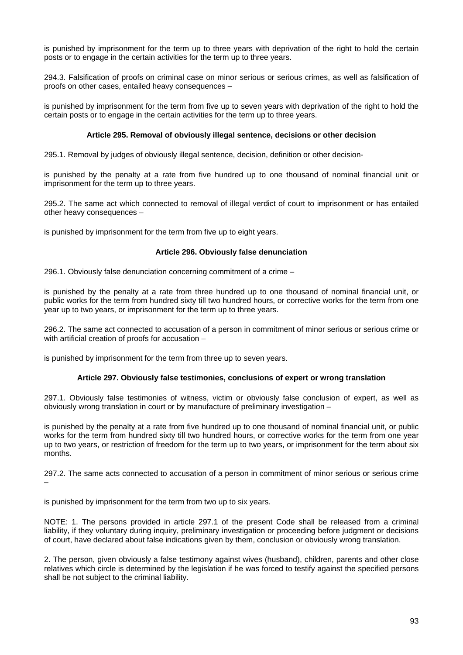is punished by imprisonment for the term up to three years with deprivation of the right to hold the certain posts or to engage in the certain activities for the term up to three years.

294.3. Falsification of proofs on criminal case on minor serious or serious crimes, as well as falsification of proofs on other cases, entailed heavy consequences –

is punished by imprisonment for the term from five up to seven years with deprivation of the right to hold the certain posts or to engage in the certain activities for the term up to three years.

# **Article 295. Removal of obviously illegal sentence, decisions or other decision**

295.1. Removal by judges of obviously illegal sentence, decision, definition or other decision-

is punished by the penalty at a rate from five hundred up to one thousand of nominal financial unit or imprisonment for the term up to three years.

295.2. The same act which connected to removal of illegal verdict of court to imprisonment or has entailed other heavy consequences –

is punished by imprisonment for the term from five up to eight years.

### **Article 296. Obviously false denunciation**

296.1. Obviously false denunciation concerning commitment of a crime –

is punished by the penalty at a rate from three hundred up to one thousand of nominal financial unit, or public works for the term from hundred sixty till two hundred hours, or corrective works for the term from one year up to two years, or imprisonment for the term up to three years.

296.2. The same act connected to accusation of a person in commitment of minor serious or serious crime or with artificial creation of proofs for accusation –

is punished by imprisonment for the term from three up to seven years.

# **Article 297. Obviously false testimonies, conclusions of expert or wrong translation**

297.1. Obviously false testimonies of witness, victim or obviously false conclusion of expert, as well as obviously wrong translation in court or by manufacture of preliminary investigation –

is punished by the penalty at a rate from five hundred up to one thousand of nominal financial unit, or public works for the term from hundred sixty till two hundred hours, or corrective works for the term from one year up to two years, or restriction of freedom for the term up to two years, or imprisonment for the term about six months.

297.2. The same acts connected to accusation of a person in commitment of minor serious or serious crime –

is punished by imprisonment for the term from two up to six years.

NOTE: 1. The persons provided in article 297.1 of the present Code shall be released from a criminal liability, if they voluntary during inquiry, preliminary investigation or proceeding before judgment or decisions of court, have declared about false indications given by them, conclusion or obviously wrong translation.

2. The person, given obviously a false testimony against wives (husband), children, parents and other close relatives which circle is determined by the legislation if he was forced to testify against the specified persons shall be not subject to the criminal liability.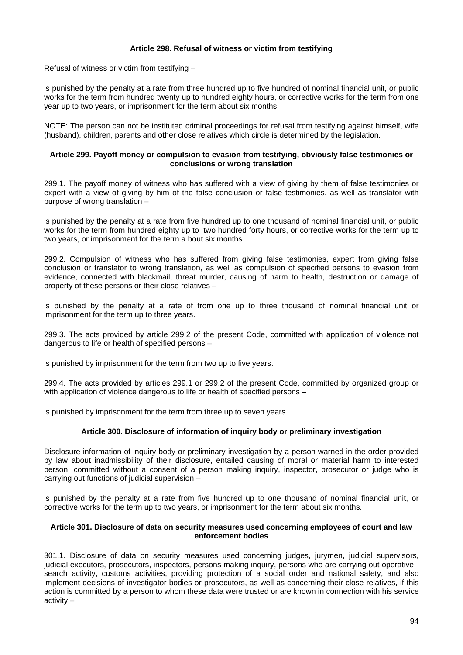# **Article 298. Refusal of witness or victim from testifying**

Refusal of witness or victim from testifying –

is punished by the penalty at a rate from three hundred up to five hundred of nominal financial unit, or public works for the term from hundred twenty up to hundred eighty hours, or corrective works for the term from one year up to two years, or imprisonment for the term about six months.

NOTE: The person can not be instituted criminal proceedings for refusal from testifying against himself, wife (husband), children, parents and other close relatives which circle is determined by the legislation.

### **Article 299. Payoff money or compulsion to evasion from testifying, obviously false testimonies or conclusions or wrong translation**

299.1. The payoff money of witness who has suffered with a view of giving by them of false testimonies or expert with a view of giving by him of the false conclusion or false testimonies, as well as translator with purpose of wrong translation –

is punished by the penalty at a rate from five hundred up to one thousand of nominal financial unit, or public works for the term from hundred eighty up to two hundred forty hours, or corrective works for the term up to two years, or imprisonment for the term a bout six months.

299.2. Compulsion of witness who has suffered from giving false testimonies, expert from giving false conclusion or translator to wrong translation, as well as compulsion of specified persons to evasion from evidence, connected with blackmail, threat murder, causing of harm to health, destruction or damage of property of these persons or their close relatives –

is punished by the penalty at a rate of from one up to three thousand of nominal financial unit or imprisonment for the term up to three years.

299.3. The acts provided by article 299.2 of the present Code, committed with application of violence not dangerous to life or health of specified persons –

is punished by imprisonment for the term from two up to five years.

299.4. The acts provided by articles 299.1 or 299.2 of the present Code, committed by organized group or with application of violence dangerous to life or health of specified persons –

is punished by imprisonment for the term from three up to seven years.

# **Article 300. Disclosure of information of inquiry body or preliminary investigation**

Disclosure information of inquiry body or preliminary investigation by a person warned in the order provided by law about inadmissibility of their disclosure, entailed causing of moral or material harm to interested person, committed without a consent of a person making inquiry, inspector, prosecutor or judge who is carrying out functions of judicial supervision –

is punished by the penalty at a rate from five hundred up to one thousand of nominal financial unit, or corrective works for the term up to two years, or imprisonment for the term about six months.

#### **Article 301. Disclosure of data on security measures used concerning employees of court and law enforcement bodies**

301.1. Disclosure of data on security measures used concerning judges, jurymen, judicial supervisors, judicial executors, prosecutors, inspectors, persons making inquiry, persons who are carrying out operative search activity, customs activities, providing protection of a social order and national safety, and also implement decisions of investigator bodies or prosecutors, as well as concerning their close relatives, if this action is committed by a person to whom these data were trusted or are known in connection with his service activity –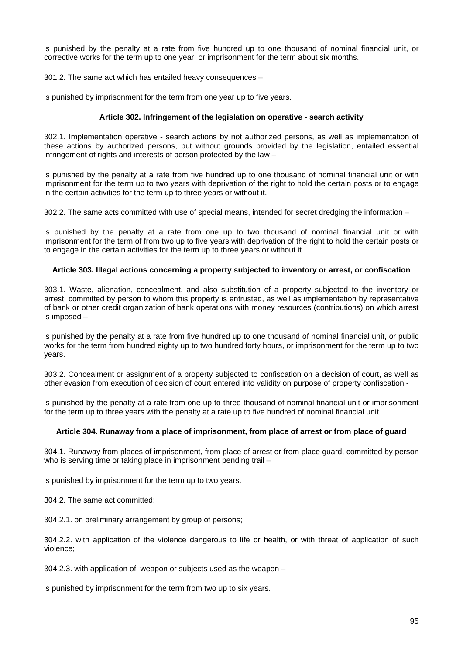is punished by the penalty at a rate from five hundred up to one thousand of nominal financial unit, or corrective works for the term up to one year, or imprisonment for the term about six months.

301.2. The same act which has entailed heavy consequences –

is punished by imprisonment for the term from one year up to five years.

## **Article 302. Infringement of the legislation on operative - search activity**

302.1. Implementation operative - search actions by not authorized persons, as well as implementation of these actions by authorized persons, but without grounds provided by the legislation, entailed essential infringement of rights and interests of person protected by the law –

is punished by the penalty at a rate from five hundred up to one thousand of nominal financial unit or with imprisonment for the term up to two years with deprivation of the right to hold the certain posts or to engage in the certain activities for the term up to three years or without it.

302.2. The same acts committed with use of special means, intended for secret dredging the information –

is punished by the penalty at a rate from one up to two thousand of nominal financial unit or with imprisonment for the term of from two up to five years with deprivation of the right to hold the certain posts or to engage in the certain activities for the term up to three years or without it.

### **Article 303. Illegal actions concerning a property subjected to inventory or arrest, or confiscation**

303.1. Waste, alienation, concealment, and also substitution of a property subjected to the inventory or arrest, committed by person to whom this property is entrusted, as well as implementation by representative of bank or other credit organization of bank operations with money resources (contributions) on which arrest is imposed –

is punished by the penalty at a rate from five hundred up to one thousand of nominal financial unit, or public works for the term from hundred eighty up to two hundred forty hours, or imprisonment for the term up to two years.

303.2. Concealment or assignment of a property subjected to confiscation on a decision of court, as well as other evasion from execution of decision of court entered into validity on purpose of property confiscation -

is punished by the penalty at a rate from one up to three thousand of nominal financial unit or imprisonment for the term up to three years with the penalty at a rate up to five hundred of nominal financial unit

#### **Article 304. Runaway from a place of imprisonment, from place of arrest or from place of guard**

304.1. Runaway from places of imprisonment, from place of arrest or from place guard, committed by person who is serving time or taking place in imprisonment pending trail –

is punished by imprisonment for the term up to two years.

304.2. The same act committed:

304.2.1. on preliminary arrangement by group of persons;

304.2.2. with application of the violence dangerous to life or health, or with threat of application of such violence;

304.2.3. with application of weapon or subjects used as the weapon –

is punished by imprisonment for the term from two up to six years.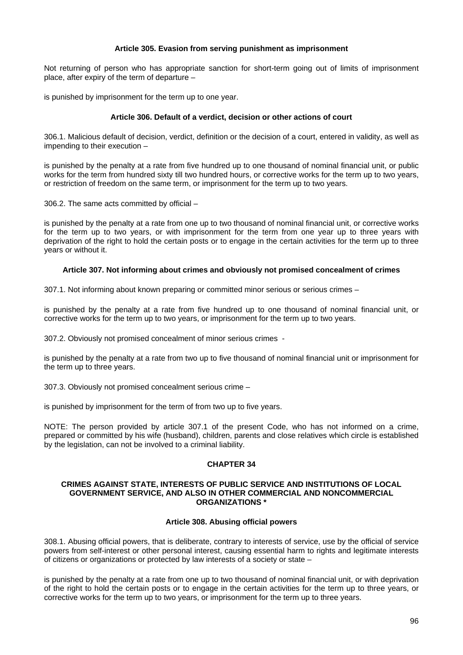### **Article 305. Evasion from serving punishment as imprisonment**

Not returning of person who has appropriate sanction for short-term going out of limits of imprisonment place, after expiry of the term of departure –

is punished by imprisonment for the term up to one year.

### **Article 306. Default of a verdict, decision or other actions of court**

306.1. Malicious default of decision, verdict, definition or the decision of a court, entered in validity, as well as impending to their execution –

is punished by the penalty at a rate from five hundred up to one thousand of nominal financial unit, or public works for the term from hundred sixty till two hundred hours, or corrective works for the term up to two years, or restriction of freedom on the same term, or imprisonment for the term up to two years.

306.2. The same acts committed by official –

is punished by the penalty at a rate from one up to two thousand of nominal financial unit, or corrective works for the term up to two years, or with imprisonment for the term from one year up to three years with deprivation of the right to hold the certain posts or to engage in the certain activities for the term up to three years or without it.

### **Article 307. Not informing about crimes and obviously not promised concealment of crimes**

307.1. Not informing about known preparing or committed minor serious or serious crimes –

is punished by the penalty at a rate from five hundred up to one thousand of nominal financial unit, or corrective works for the term up to two years, or imprisonment for the term up to two years.

307.2. Obviously not promised concealment of minor serious crimes -

is punished by the penalty at a rate from two up to five thousand of nominal financial unit or imprisonment for the term up to three years.

307.3. Obviously not promised concealment serious crime –

is punished by imprisonment for the term of from two up to five years.

NOTE: The person provided by article 307.1 of the present Code, who has not informed on a crime, prepared or committed by his wife (husband), children, parents and close relatives which circle is established by the legislation, can not be involved to a criminal liability.

# **CHAPTER 34**

### **CRIMES AGAINST STATE, INTERESTS OF PUBLIC SERVICE AND INSTITUTIONS OF LOCAL GOVERNMENT SERVICE, AND ALSO IN OTHER COMMERCIAL AND NONCOMMERCIAL ORGANIZATIONS \***

## **Article 308. Abusing official powers**

308.1. Abusing official powers, that is deliberate, contrary to interests of service, use by the official of service powers from self-interest or other personal interest, causing essential harm to rights and legitimate interests of citizens or organizations or protected by law interests of a society or state –

is punished by the penalty at a rate from one up to two thousand of nominal financial unit, or with deprivation of the right to hold the certain posts or to engage in the certain activities for the term up to three years, or corrective works for the term up to two years, or imprisonment for the term up to three years.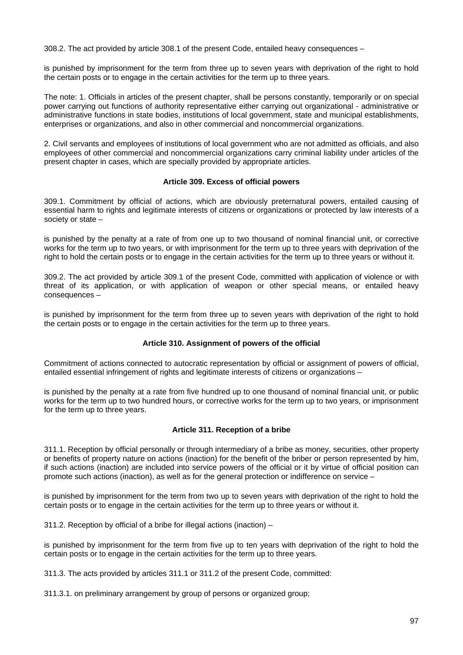308.2. The act provided by article 308.1 of the present Code, entailed heavy consequences –

is punished by imprisonment for the term from three up to seven years with deprivation of the right to hold the certain posts or to engage in the certain activities for the term up to three years.

The note: 1. Officials in articles of the present chapter, shall be persons constantly, temporarily or on special power carrying out functions of authority representative either carrying out organizational - administrative or administrative functions in state bodies, institutions of local government, state and municipal establishments, enterprises or organizations, and also in other commercial and noncommercial organizations.

2. Civil servants and employees of institutions of local government who are not admitted as officials, and also employees of other commercial and noncommercial organizations carry criminal liability under articles of the present chapter in cases, which are specially provided by appropriate articles.

#### **Article 309. Excess of official powers**

309.1. Commitment by official of actions, which are obviously preternatural powers, entailed causing of essential harm to rights and legitimate interests of citizens or organizations or protected by law interests of a society or state –

is punished by the penalty at a rate of from one up to two thousand of nominal financial unit, or corrective works for the term up to two years, or with imprisonment for the term up to three years with deprivation of the right to hold the certain posts or to engage in the certain activities for the term up to three years or without it.

309.2. The act provided by article 309.1 of the present Code, committed with application of violence or with threat of its application, or with application of weapon or other special means, or entailed heavy consequences –

is punished by imprisonment for the term from three up to seven years with deprivation of the right to hold the certain posts or to engage in the certain activities for the term up to three years.

# **Article 310. Assignment of powers of the official**

Commitment of actions connected to autocratic representation by official or assignment of powers of official, entailed essential infringement of rights and legitimate interests of citizens or organizations –

is punished by the penalty at a rate from five hundred up to one thousand of nominal financial unit, or public works for the term up to two hundred hours, or corrective works for the term up to two years, or imprisonment for the term up to three years.

# **Article 311. Reception of a bribe**

311.1. Reception by official personally or through intermediary of a bribe as money, securities, other property or benefits of property nature on actions (inaction) for the benefit of the briber or person represented by him, if such actions (inaction) are included into service powers of the official or it by virtue of official position can promote such actions (inaction), as well as for the general protection or indifference on service –

is punished by imprisonment for the term from two up to seven years with deprivation of the right to hold the certain posts or to engage in the certain activities for the term up to three years or without it.

311.2. Reception by official of a bribe for illegal actions (inaction) –

is punished by imprisonment for the term from five up to ten years with deprivation of the right to hold the certain posts or to engage in the certain activities for the term up to three years.

311.3. The acts provided by articles 311.1 or 311.2 of the present Code, committed:

311.3.1. on preliminary arrangement by group of persons or organized group;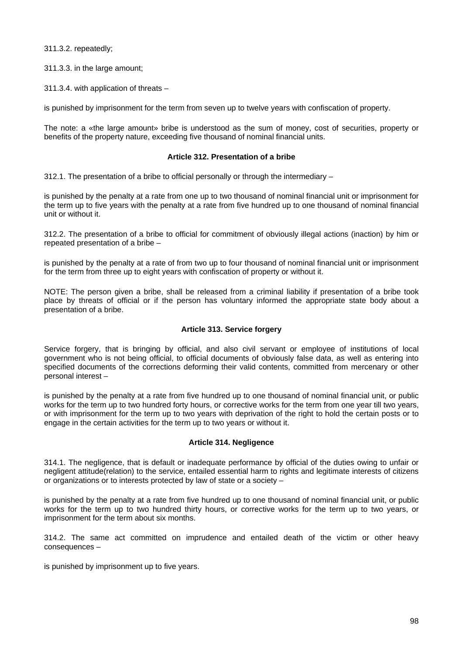311.3.2. repeatedly;

311.3.3. in the large amount;

311.3.4. with application of threats –

is punished by imprisonment for the term from seven up to twelve years with confiscation of property.

The note: a «the large amount» bribe is understood as the sum of money, cost of securities, property or benefits of the property nature, exceeding five thousand of nominal financial units.

### **Article 312. Presentation of a bribe**

312.1. The presentation of a bribe to official personally or through the intermediary  $-$ 

is punished by the penalty at a rate from one up to two thousand of nominal financial unit or imprisonment for the term up to five years with the penalty at a rate from five hundred up to one thousand of nominal financial unit or without it.

312.2. The presentation of a bribe to official for commitment of obviously illegal actions (inaction) by him or repeated presentation of a bribe –

is punished by the penalty at a rate of from two up to four thousand of nominal financial unit or imprisonment for the term from three up to eight years with confiscation of property or without it.

NOTE: The person given a bribe, shall be released from a criminal liability if presentation of a bribe took place by threats of official or if the person has voluntary informed the appropriate state body about a presentation of a bribe.

# **Article 313. Service forgery**

Service forgery, that is bringing by official, and also civil servant or employee of institutions of local government who is not being official, to official documents of obviously false data, as well as entering into specified documents of the corrections deforming their valid contents, committed from mercenary or other personal interest –

is punished by the penalty at a rate from five hundred up to one thousand of nominal financial unit, or public works for the term up to two hundred forty hours, or corrective works for the term from one year till two years, or with imprisonment for the term up to two years with deprivation of the right to hold the certain posts or to engage in the certain activities for the term up to two years or without it.

#### **Article 314. Negligence**

314.1. The negligence, that is default or inadequate performance by official of the duties owing to unfair or negligent attitude(relation) to the service, entailed essential harm to rights and legitimate interests of citizens or organizations or to interests protected by law of state or a society –

is punished by the penalty at a rate from five hundred up to one thousand of nominal financial unit, or public works for the term up to two hundred thirty hours, or corrective works for the term up to two years, or imprisonment for the term about six months.

314.2. The same act committed on imprudence and entailed death of the victim or other heavy consequences –

is punished by imprisonment up to five years.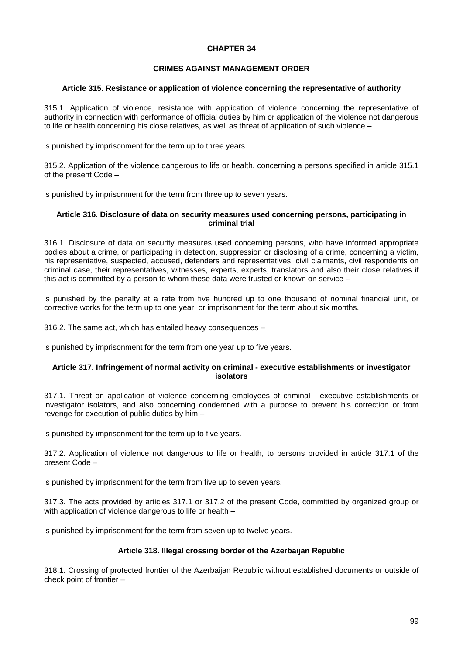### **CHAPTER 34**

## **CRIMES AGAINST MANAGEMENT ORDER**

#### **Article 315. Resistance or application of violence concerning the representative of authority**

315.1. Application of violence, resistance with application of violence concerning the representative of authority in connection with performance of official duties by him or application of the violence not dangerous to life or health concerning his close relatives, as well as threat of application of such violence –

is punished by imprisonment for the term up to three years.

315.2. Application of the violence dangerous to life or health, concerning a persons specified in article 315.1 of the present Code –

is punished by imprisonment for the term from three up to seven years.

#### **Article 316. Disclosure of data on security measures used concerning persons, participating in criminal trial**

316.1. Disclosure of data on security measures used concerning persons, who have informed appropriate bodies about a crime, or participating in detection, suppression or disclosing of a crime, concerning a victim, his representative, suspected, accused, defenders and representatives, civil claimants, civil respondents on criminal case, their representatives, witnesses, experts, experts, translators and also their close relatives if this act is committed by a person to whom these data were trusted or known on service –

is punished by the penalty at a rate from five hundred up to one thousand of nominal financial unit, or corrective works for the term up to one year, or imprisonment for the term about six months.

316.2. The same act, which has entailed heavy consequences –

is punished by imprisonment for the term from one year up to five years.

#### **Article 317. Infringement of normal activity on criminal - executive establishments or investigator isolators**

317.1. Threat on application of violence concerning employees of criminal - executive establishments or investigator isolators, and also concerning condemned with a purpose to prevent his correction or from revenge for execution of public duties by him –

is punished by imprisonment for the term up to five years.

317.2. Application of violence not dangerous to life or health, to persons provided in article 317.1 of the present Code –

is punished by imprisonment for the term from five up to seven years.

317.3. The acts provided by articles 317.1 or 317.2 of the present Code, committed by organized group or with application of violence dangerous to life or health –

is punished by imprisonment for the term from seven up to twelve years.

### **Article 318. Illegal crossing border of the Azerbaijan Republic**

318.1. Crossing of protected frontier of the Azerbaijan Republic without established documents or outside of check point of frontier –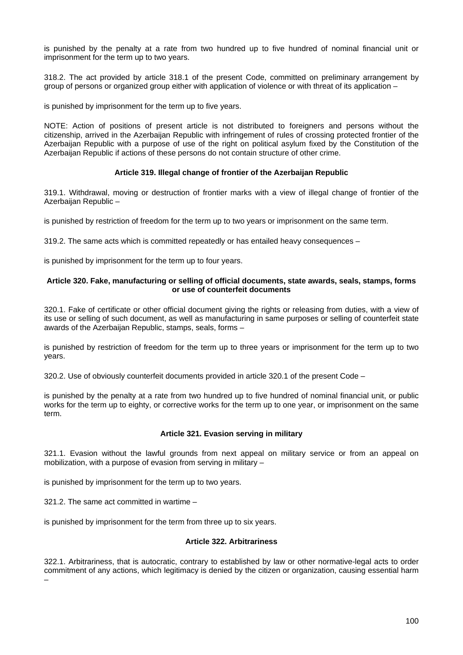is punished by the penalty at a rate from two hundred up to five hundred of nominal financial unit or imprisonment for the term up to two years.

318.2. The act provided by article 318.1 of the present Code, committed on preliminary arrangement by group of persons or organized group either with application of violence or with threat of its application –

is punished by imprisonment for the term up to five years.

NOTE: Action of positions of present article is not distributed to foreigners and persons without the citizenship, arrived in the Azerbaijan Republic with infringement of rules of crossing protected frontier of the Azerbaijan Republic with a purpose of use of the right on political asylum fixed by the Constitution of the Azerbaijan Republic if actions of these persons do not contain structure of other crime.

# **Article 319. Illegal change of frontier of the Azerbaijan Republic**

319.1. Withdrawal, moving or destruction of frontier marks with a view of illegal change of frontier of the Azerbaijan Republic -

is punished by restriction of freedom for the term up to two years or imprisonment on the same term.

319.2. The same acts which is committed repeatedly or has entailed heavy consequences –

is punished by imprisonment for the term up to four years.

### **Article 320. Fake, manufacturing or selling of official documents, state awards, seals, stamps, forms or use of counterfeit documents**

320.1. Fake of certificate or other official document giving the rights or releasing from duties, with a view of its use or selling of such document, as well as manufacturing in same purposes or selling of counterfeit state awards of the Azerbaijan Republic, stamps, seals, forms –

is punished by restriction of freedom for the term up to three years or imprisonment for the term up to two years.

320.2. Use of obviously counterfeit documents provided in article 320.1 of the present Code –

is punished by the penalty at a rate from two hundred up to five hundred of nominal financial unit, or public works for the term up to eighty, or corrective works for the term up to one year, or imprisonment on the same term.

# **Article 321. Evasion serving in military**

321.1. Evasion without the lawful grounds from next appeal on military service or from an appeal on mobilization, with a purpose of evasion from serving in military –

is punished by imprisonment for the term up to two years.

321.2. The same act committed in wartime –

is punished by imprisonment for the term from three up to six years.

# **Article 322. Arbitrariness**

322.1. Arbitrariness, that is autocratic, contrary to established by law or other normative-legal acts to order commitment of any actions, which legitimacy is denied by the citizen or organization, causing essential harm –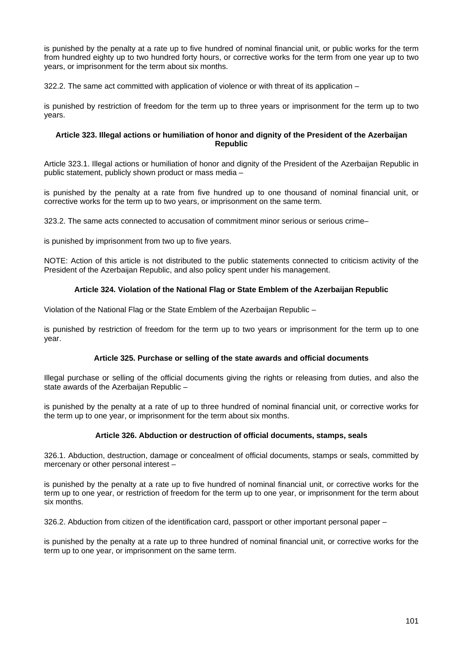is punished by the penalty at a rate up to five hundred of nominal financial unit, or public works for the term from hundred eighty up to two hundred forty hours, or corrective works for the term from one year up to two years, or imprisonment for the term about six months.

322.2. The same act committed with application of violence or with threat of its application –

is punished by restriction of freedom for the term up to three years or imprisonment for the term up to two years.

## **Article 323. Illegal actions or humiliation of honor and dignity of the President of the Azerbaijan Republic**

Article 323.1. Illegal actions or humiliation of honor and dignity of the President of the Azerbaijan Republic in public statement, publicly shown product or mass media –

is punished by the penalty at a rate from five hundred up to one thousand of nominal financial unit, or corrective works for the term up to two years, or imprisonment on the same term.

323.2. The same acts connected to accusation of commitment minor serious or serious crime–

is punished by imprisonment from two up to five years.

NOTE: Action of this article is not distributed to the public statements connected to criticism activity of the President of the Azerbaijan Republic, and also policy spent under his management.

# **Article 324. Violation of the National Flag or State Emblem of the Azerbaijan Republic**

Violation of the National Flag or the State Emblem of the Azerbaijan Republic –

is punished by restriction of freedom for the term up to two years or imprisonment for the term up to one year.

# **Article 325. Purchase or selling of the state awards and official documents**

Illegal purchase or selling of the official documents giving the rights or releasing from duties, and also the state awards of the Azerbaijan Republic –

is punished by the penalty at a rate of up to three hundred of nominal financial unit, or corrective works for the term up to one year, or imprisonment for the term about six months.

# **Article 326. Abduction or destruction of official documents, stamps, seals**

326.1. Abduction, destruction, damage or concealment of official documents, stamps or seals, committed by mercenary or other personal interest –

is punished by the penalty at a rate up to five hundred of nominal financial unit, or corrective works for the term up to one year, or restriction of freedom for the term up to one year, or imprisonment for the term about six months.

326.2. Abduction from citizen of the identification card, passport or other important personal paper –

is punished by the penalty at a rate up to three hundred of nominal financial unit, or corrective works for the term up to one year, or imprisonment on the same term.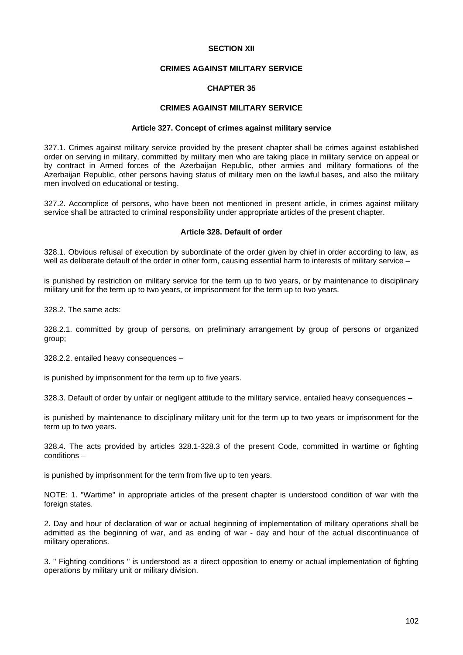#### **SECTION XII**

### **CRIMES AGAINST MILITARY SERVICE**

### **CHAPTER 35**

# **CRIMES AGAINST MILITARY SERVICE**

#### **Article 327. Concept of crimes against military service**

327.1. Crimes against military service provided by the present chapter shall be crimes against established order on serving in military, committed by military men who are taking place in military service on appeal or by contract in Armed forces of the Azerbaijan Republic, other armies and military formations of the Azerbaijan Republic, other persons having status of military men on the lawful bases, and also the military men involved on educational or testing.

327.2. Accomplice of persons, who have been not mentioned in present article, in crimes against military service shall be attracted to criminal responsibility under appropriate articles of the present chapter.

### **Article 328. Default of order**

328.1. Obvious refusal of execution by subordinate of the order given by chief in order according to law, as well as deliberate default of the order in other form, causing essential harm to interests of military service –

is punished by restriction on military service for the term up to two years, or by maintenance to disciplinary military unit for the term up to two years, or imprisonment for the term up to two years.

328.2. The same acts:

328.2.1. committed by group of persons, on preliminary arrangement by group of persons or organized group;

328.2.2. entailed heavy consequences –

is punished by imprisonment for the term up to five years.

328.3. Default of order by unfair or negligent attitude to the military service, entailed heavy consequences –

is punished by maintenance to disciplinary military unit for the term up to two years or imprisonment for the term up to two years.

328.4. The acts provided by articles 328.1-328.3 of the present Code, committed in wartime or fighting conditions –

is punished by imprisonment for the term from five up to ten years.

NOTE: 1. "Wartime" in appropriate articles of the present chapter is understood condition of war with the foreign states.

2. Day and hour of declaration of war or actual beginning of implementation of military operations shall be admitted as the beginning of war, and as ending of war - day and hour of the actual discontinuance of military operations.

3. " Fighting conditions " is understood as a direct opposition to enemy or actual implementation of fighting operations by military unit or military division.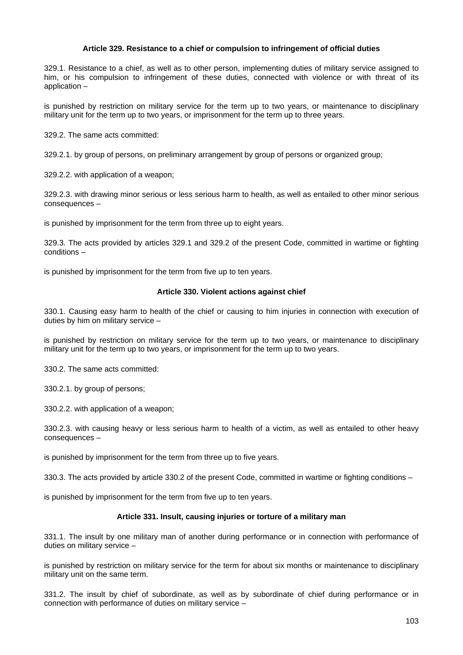### **Article 329. Resistance to a chief or compulsion to infringement of official duties**

329.1. Resistance to a chief, as well as to other person, implementing duties of military service assigned to him, or his compulsion to infringement of these duties, connected with violence or with threat of its application –

is punished by restriction on military service for the term up to two years, or maintenance to disciplinary military unit for the term up to two years, or imprisonment for the term up to three years.

329.2. The same acts committed:

329.2.1. by group of persons, on preliminary arrangement by group of persons or organized group;

329.2.2. with application of a weapon;

329.2.3. with drawing minor serious or less serious harm to health, as well as entailed to other minor serious consequences –

is punished by imprisonment for the term from three up to eight years.

329.3. The acts provided by articles 329.1 and 329.2 of the present Code, committed in wartime or fighting conditions –

is punished by imprisonment for the term from five up to ten years.

### **Article 330. Violent actions against chief**

330.1. Causing easy harm to health of the chief or causing to him injuries in connection with execution of duties by him on military service –

is punished by restriction on military service for the term up to two years, or maintenance to disciplinary military unit for the term up to two years, or imprisonment for the term up to two years.

330.2. The same acts committed:

330.2.1. by group of persons;

330.2.2. with application of a weapon;

330.2.3. with causing heavy or less serious harm to health of a victim, as well as entailed to other heavy consequences –

is punished by imprisonment for the term from three up to five years.

330.3. The acts provided by article 330.2 of the present Code, committed in wartime or fighting conditions –

is punished by imprisonment for the term from five up to ten years.

# **Article 331. Insult, causing injuries or torture of a military man**

331.1. The insult by one military man of another during performance or in connection with performance of duties on military service –

is punished by restriction on military service for the term for about six months or maintenance to disciplinary military unit on the same term.

331.2. The insult by chief of subordinate, as well as by subordinate of chief during performance or in connection with performance of duties on military service –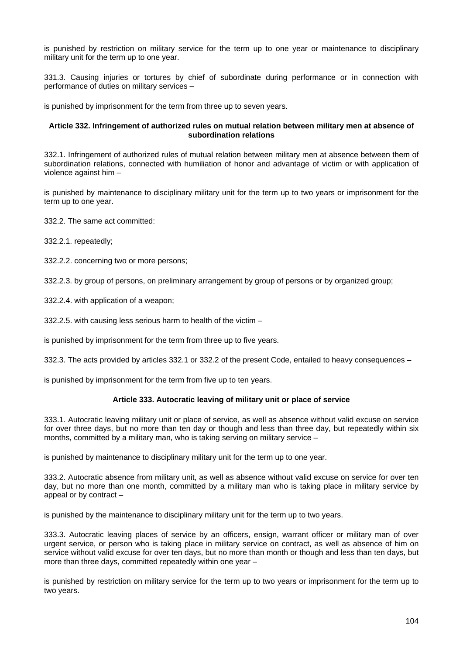is punished by restriction on military service for the term up to one year or maintenance to disciplinary military unit for the term up to one year.

331.3. Causing injuries or tortures by chief of subordinate during performance or in connection with performance of duties on military services –

is punished by imprisonment for the term from three up to seven years.

### **Article 332. Infringement of authorized rules on mutual relation between military men at absence of subordination relations**

332.1. Infringement of authorized rules of mutual relation between military men at absence between them of subordination relations, connected with humiliation of honor and advantage of victim or with application of violence against him –

is punished by maintenance to disciplinary military unit for the term up to two years or imprisonment for the term up to one year.

332.2. The same act committed:

332.2.1. repeatedly;

332.2.2. concerning two or more persons;

332.2.3. by group of persons, on preliminary arrangement by group of persons or by organized group;

332.2.4. with application of a weapon;

332.2.5. with causing less serious harm to health of the victim –

is punished by imprisonment for the term from three up to five years.

332.3. The acts provided by articles 332.1 or 332.2 of the present Code, entailed to heavy consequences –

is punished by imprisonment for the term from five up to ten years.

# **Article 333. Autocratic leaving of military unit or place of service**

333.1. Autocratic leaving military unit or place of service, as well as absence without valid excuse on service for over three days, but no more than ten day or though and less than three day, but repeatedly within six months, committed by a military man, who is taking serving on military service –

is punished by maintenance to disciplinary military unit for the term up to one year.

333.2. Autocratic absence from military unit, as well as absence without valid excuse on service for over ten day, but no more than one month, committed by a military man who is taking place in military service by appeal or by contract –

is punished by the maintenance to disciplinary military unit for the term up to two years.

333.3. Autocratic leaving places of service by an officers, ensign, warrant officer or military man of over urgent service, or person who is taking place in military service on contract, as well as absence of him on service without valid excuse for over ten days, but no more than month or though and less than ten days, but more than three days, committed repeatedly within one year –

is punished by restriction on military service for the term up to two years or imprisonment for the term up to two years.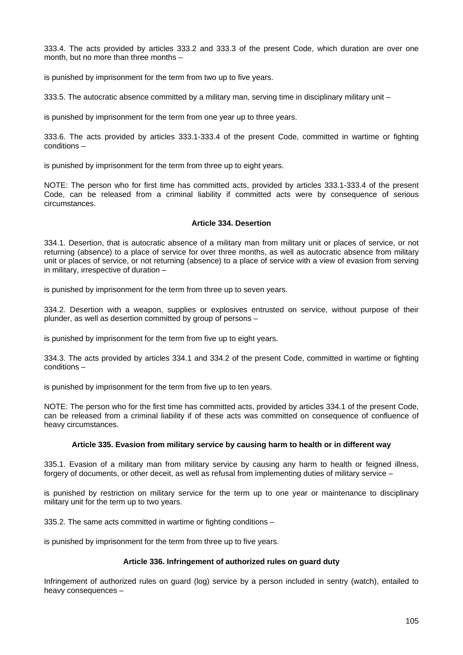333.4. The acts provided by articles 333.2 and 333.3 of the present Code, which duration are over one month, but no more than three months –

is punished by imprisonment for the term from two up to five years.

333.5. The autocratic absence committed by a military man, serving time in disciplinary military unit –

is punished by imprisonment for the term from one year up to three years.

333.6. The acts provided by articles 333.1-333.4 of the present Code, committed in wartime or fighting conditions –

is punished by imprisonment for the term from three up to eight years.

NOTE: The person who for first time has committed acts, provided by articles 333.1-333.4 of the present Code, can be released from a criminal liability if committed acts were by consequence of serious circumstances.

### **Article 334. Desertion**

334.1. Desertion, that is autocratic absence of a military man from military unit or places of service, or not returning (absence) to a place of service for over three months, as well as autocratic absence from military unit or places of service, or not returning (absence) to a place of service with a view of evasion from serving in military, irrespective of duration –

is punished by imprisonment for the term from three up to seven years.

334.2. Desertion with a weapon, supplies or explosives entrusted on service, without purpose of their plunder, as well as desertion committed by group of persons –

is punished by imprisonment for the term from five up to eight years.

334.3. The acts provided by articles 334.1 and 334.2 of the present Code, committed in wartime or fighting conditions –

is punished by imprisonment for the term from five up to ten years.

NOTE: The person who for the first time has committed acts, provided by articles 334.1 of the present Code, can be released from a criminal liability if of these acts was committed on consequence of confluence of heavy circumstances.

# **Article 335. Evasion from military service by causing harm to health or in different way**

335.1. Evasion of a military man from military service by causing any harm to health or feigned illness, forgery of documents, or other deceit, as well as refusal from implementing duties of military service –

is punished by restriction on military service for the term up to one year or maintenance to disciplinary military unit for the term up to two years.

335.2. The same acts committed in wartime or fighting conditions –

is punished by imprisonment for the term from three up to five years.

# **Article 336. Infringement of authorized rules on guard duty**

Infringement of authorized rules on guard (log) service by a person included in sentry (watch), entailed to heavy consequences –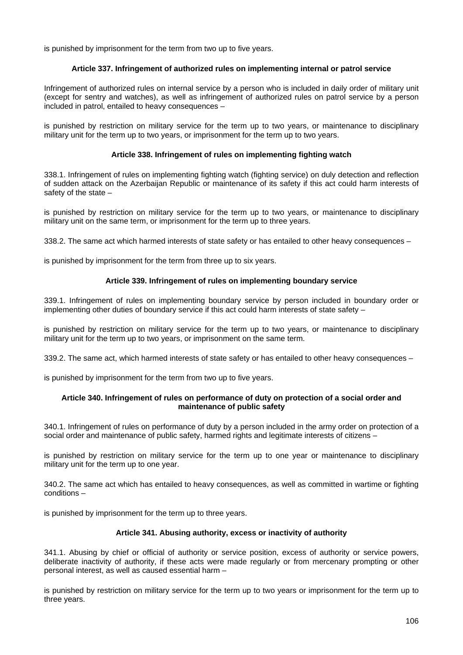is punished by imprisonment for the term from two up to five years.

# **Article 337. Infringement of authorized rules on implementing internal or patrol service**

Infringement of authorized rules on internal service by a person who is included in daily order of military unit (except for sentry and watches), as well as infringement of authorized rules on patrol service by a person included in patrol, entailed to heavy consequences –

is punished by restriction on military service for the term up to two years, or maintenance to disciplinary military unit for the term up to two years, or imprisonment for the term up to two years.

# **Article 338. Infringement of rules on implementing fighting watch**

338.1. Infringement of rules on implementing fighting watch (fighting service) on duly detection and reflection of sudden attack on the Azerbaijan Republic or maintenance of its safety if this act could harm interests of safety of the state –

is punished by restriction on military service for the term up to two years, or maintenance to disciplinary military unit on the same term, or imprisonment for the term up to three years.

338.2. The same act which harmed interests of state safety or has entailed to other heavy consequences –

is punished by imprisonment for the term from three up to six years.

# **Article 339. Infringement of rules on implementing boundary service**

339.1. Infringement of rules on implementing boundary service by person included in boundary order or implementing other duties of boundary service if this act could harm interests of state safety –

is punished by restriction on military service for the term up to two years, or maintenance to disciplinary military unit for the term up to two years, or imprisonment on the same term.

339.2. The same act, which harmed interests of state safety or has entailed to other heavy consequences –

is punished by imprisonment for the term from two up to five years.

### **Article 340. Infringement of rules on performance of duty on protection of a social order and maintenance of public safety**

340.1. Infringement of rules on performance of duty by a person included in the army order on protection of a social order and maintenance of public safety, harmed rights and legitimate interests of citizens –

is punished by restriction on military service for the term up to one year or maintenance to disciplinary military unit for the term up to one year.

340.2. The same act which has entailed to heavy consequences, as well as committed in wartime or fighting conditions –

is punished by imprisonment for the term up to three years.

# **Article 341. Abusing authority, excess or inactivity of authority**

341.1. Abusing by chief or official of authority or service position, excess of authority or service powers, deliberate inactivity of authority, if these acts were made regularly or from mercenary prompting or other personal interest, as well as caused essential harm –

is punished by restriction on military service for the term up to two years or imprisonment for the term up to three years.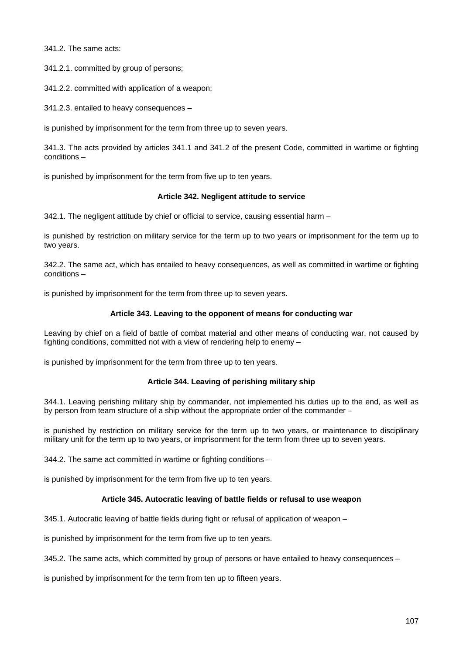341.2. The same acts:

341.2.1. committed by group of persons;

341.2.2. committed with application of a weapon;

341.2.3. entailed to heavy consequences –

is punished by imprisonment for the term from three up to seven years.

341.3. The acts provided by articles 341.1 and 341.2 of the present Code, committed in wartime or fighting conditions –

is punished by imprisonment for the term from five up to ten years.

### **Article 342. Negligent attitude to service**

 $342.1$ . The negligent attitude by chief or official to service, causing essential harm  $-$ 

is punished by restriction on military service for the term up to two years or imprisonment for the term up to two years.

342.2. The same act, which has entailed to heavy consequences, as well as committed in wartime or fighting conditions –

is punished by imprisonment for the term from three up to seven years.

# **Article 343. Leaving to the opponent of means for conducting war**

Leaving by chief on a field of battle of combat material and other means of conducting war, not caused by fighting conditions, committed not with a view of rendering help to enemy –

is punished by imprisonment for the term from three up to ten years.

# **Article 344. Leaving of perishing military ship**

344.1. Leaving perishing military ship by commander, not implemented his duties up to the end, as well as by person from team structure of a ship without the appropriate order of the commander –

is punished by restriction on military service for the term up to two years, or maintenance to disciplinary military unit for the term up to two years, or imprisonment for the term from three up to seven years.

344.2. The same act committed in wartime or fighting conditions –

is punished by imprisonment for the term from five up to ten years.

# **Article 345. Autocratic leaving of battle fields or refusal to use weapon**

345.1. Autocratic leaving of battle fields during fight or refusal of application of weapon –

is punished by imprisonment for the term from five up to ten years.

345.2. The same acts, which committed by group of persons or have entailed to heavy consequences –

is punished by imprisonment for the term from ten up to fifteen years.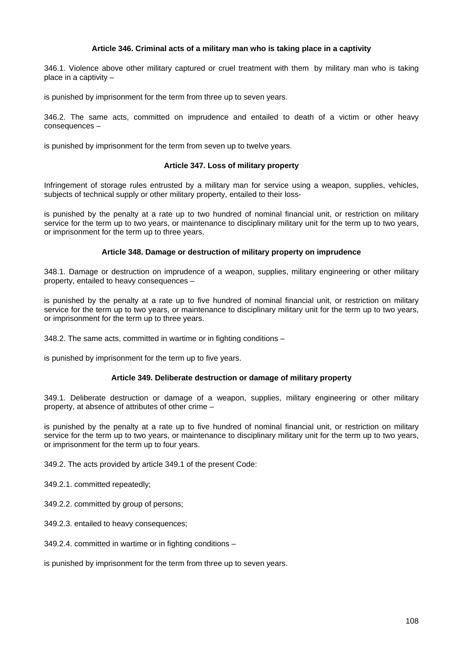## **Article 346. Criminal acts of a military man who is taking place in a captivity**

346.1. Violence above other military captured or cruel treatment with them by military man who is taking place in a captivity –

is punished by imprisonment for the term from three up to seven years.

346.2. The same acts, committed on imprudence and entailed to death of a victim or other heavy consequences –

is punished by imprisonment for the term from seven up to twelve years.

#### **Article 347. Loss of military property**

Infringement of storage rules entrusted by a military man for service using a weapon, supplies, vehicles, subjects of technical supply or other military property, entailed to their loss-

is punished by the penalty at a rate up to two hundred of nominal financial unit, or restriction on military service for the term up to two years, or maintenance to disciplinary military unit for the term up to two years, or imprisonment for the term up to three years.

#### **Article 348. Damage or destruction of military property on imprudence**

348.1. Damage or destruction on imprudence of a weapon, supplies, military engineering or other military property, entailed to heavy consequences –

is punished by the penalty at a rate up to five hundred of nominal financial unit, or restriction on military service for the term up to two years, or maintenance to disciplinary military unit for the term up to two years, or imprisonment for the term up to three years.

348.2. The same acts, committed in wartime or in fighting conditions –

is punished by imprisonment for the term up to five years.

### **Article 349. Deliberate destruction or damage of military property**

349.1. Deliberate destruction or damage of a weapon, supplies, military engineering or other military property, at absence of attributes of other crime –

is punished by the penalty at a rate up to five hundred of nominal financial unit, or restriction on military service for the term up to two years, or maintenance to disciplinary military unit for the term up to two years, or imprisonment for the term up to four years.

349.2. The acts provided by article 349.1 of the present Code:

349.2.1. committed repeatedly;

349.2.2. committed by group of persons;

349.2.3. entailed to heavy consequences;

349.2.4. committed in wartime or in fighting conditions –

is punished by imprisonment for the term from three up to seven years.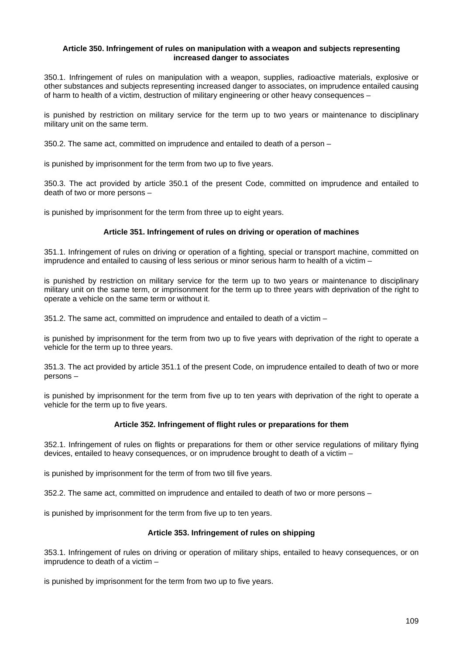## **Article 350. Infringement of rules on manipulation with a weapon and subjects representing increased danger to associates**

350.1. Infringement of rules on manipulation with a weapon, supplies, radioactive materials, explosive or other substances and subjects representing increased danger to associates, on imprudence entailed causing of harm to health of a victim, destruction of military engineering or other heavy consequences –

is punished by restriction on military service for the term up to two years or maintenance to disciplinary military unit on the same term.

350.2. The same act, committed on imprudence and entailed to death of a person –

is punished by imprisonment for the term from two up to five years.

350.3. The act provided by article 350.1 of the present Code, committed on imprudence and entailed to death of two or more persons –

is punished by imprisonment for the term from three up to eight years.

## **Article 351. Infringement of rules on driving or operation of machines**

351.1. Infringement of rules on driving or operation of a fighting, special or transport machine, committed on imprudence and entailed to causing of less serious or minor serious harm to health of a victim –

is punished by restriction on military service for the term up to two years or maintenance to disciplinary military unit on the same term, or imprisonment for the term up to three years with deprivation of the right to operate a vehicle on the same term or without it.

351.2. The same act, committed on imprudence and entailed to death of a victim –

is punished by imprisonment for the term from two up to five years with deprivation of the right to operate a vehicle for the term up to three years.

351.3. The act provided by article 351.1 of the present Code, on imprudence entailed to death of two or more persons –

is punished by imprisonment for the term from five up to ten years with deprivation of the right to operate a vehicle for the term up to five years.

## **Article 352. Infringement of flight rules or preparations for them**

352.1. Infringement of rules on flights or preparations for them or other service regulations of military flying devices, entailed to heavy consequences, or on imprudence brought to death of a victim –

is punished by imprisonment for the term of from two till five years.

352.2. The same act, committed on imprudence and entailed to death of two or more persons –

is punished by imprisonment for the term from five up to ten years.

## **Article 353. Infringement of rules on shipping**

353.1. Infringement of rules on driving or operation of military ships, entailed to heavy consequences, or on imprudence to death of a victim –

is punished by imprisonment for the term from two up to five years.